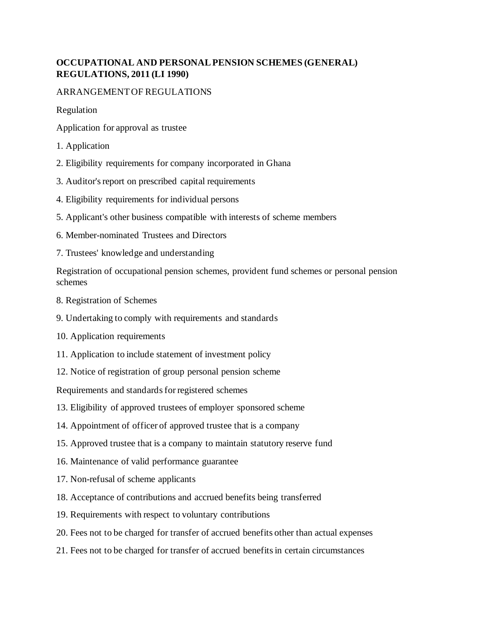## **OCCUPATIONAL AND PERSONAL PENSION SCHEMES (GENERAL) REGULATIONS, 2011 (LI 1990)**

## ARRANGEMENT OF REGULATIONS

Regulation

- Application for approval as trustee
- 1. Application
- 2. Eligibility requirements for company incorporated in Ghana
- 3. Auditor's report on prescribed capital requirements
- 4. Eligibility requirements for individual persons
- 5. Applicant's other business compatible with interests of scheme members
- 6. Member-nominated Trustees and Directors
- 7. Trustees' knowledge and understanding

Registration of occupational pension schemes, provident fund schemes or personal pension schemes

- 8. Registration of Schemes
- 9. Undertaking to comply with requirements and standards
- 10. Application requirements
- 11. Application to include statement of investment policy
- 12. Notice of registration of group personal pension scheme

Requirements and standards for registered schemes

- 13. Eligibility of approved trustees of employer sponsored scheme
- 14. Appointment of officer of approved trustee that is a company
- 15. Approved trustee that is a company to maintain statutory reserve fund
- 16. Maintenance of valid performance guarantee
- 17. Non-refusal of scheme applicants
- 18. Acceptance of contributions and accrued benefits being transferred
- 19. Requirements with respect to voluntary contributions
- 20. Fees not to be charged for transfer of accrued benefits other than actual expenses
- 21. Fees not to be charged for transfer of accrued benefits in certain circumstances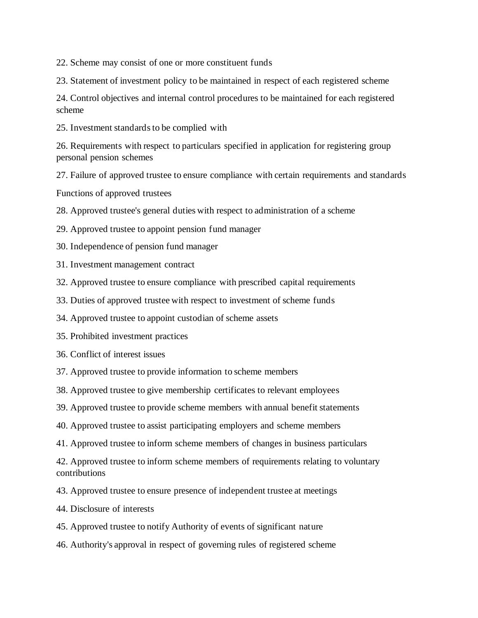22. Scheme may consist of one or more constituent funds

23. Statement of investment policy to be maintained in respect of each registered scheme

24. Control objectives and internal control procedures to be maintained for each registered scheme

25. Investment standards to be complied with

26. Requirements with respect to particulars specified in application for registering group personal pension schemes

27. Failure of approved trustee to ensure compliance with certain requirements and standards

Functions of approved trustees

28. Approved trustee's general duties with respect to administration of a scheme

- 29. Approved trustee to appoint pension fund manager
- 30. Independence of pension fund manager
- 31. Investment management contract
- 32. Approved trustee to ensure compliance with prescribed capital requirements
- 33. Duties of approved trustee with respect to investment of scheme funds
- 34. Approved trustee to appoint custodian of scheme assets
- 35. Prohibited investment practices
- 36. Conflict of interest issues
- 37. Approved trustee to provide information to scheme members
- 38. Approved trustee to give membership certificates to relevant employees
- 39. Approved trustee to provide scheme members with annual benefit statements
- 40. Approved trustee to assist participating employers and scheme members
- 41. Approved trustee to inform scheme members of changes in business particulars

42. Approved trustee to inform scheme members of requirements relating to voluntary contributions

- 43. Approved trustee to ensure presence of independent trustee at meetings
- 44. Disclosure of interests
- 45. Approved trustee to notify Authority of events of significant nature
- 46. Authority's approval in respect of governing rules of registered scheme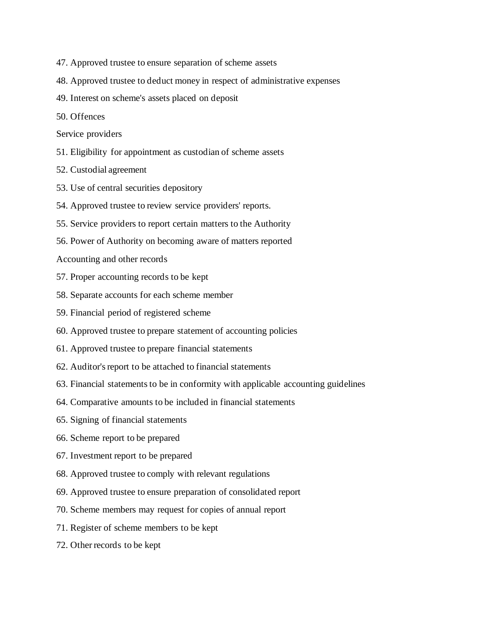- 47. Approved trustee to ensure separation of scheme assets
- 48. Approved trustee to deduct money in respect of administrative expenses
- 49. Interest on scheme's assets placed on deposit
- 50. Offences
- Service providers
- 51. Eligibility for appointment as custodian of scheme assets
- 52. Custodial agreement
- 53. Use of central securities depository
- 54. Approved trustee to review service providers' reports.
- 55. Service providers to report certain matters to the Authority
- 56. Power of Authority on becoming aware of matters reported
- Accounting and other records
- 57. Proper accounting records to be kept
- 58. Separate accounts for each scheme member
- 59. Financial period of registered scheme
- 60. Approved trustee to prepare statement of accounting policies
- 61. Approved trustee to prepare financial statements
- 62. Auditor's report to be attached to financial statements
- 63. Financial statements to be in conformity with applicable accounting guidelines
- 64. Comparative amounts to be included in financial statements
- 65. Signing of financial statements
- 66. Scheme report to be prepared
- 67. Investment report to be prepared
- 68. Approved trustee to comply with relevant regulations
- 69. Approved trustee to ensure preparation of consolidated report
- 70. Scheme members may request for copies of annual report
- 71. Register of scheme members to be kept
- 72. Other records to be kept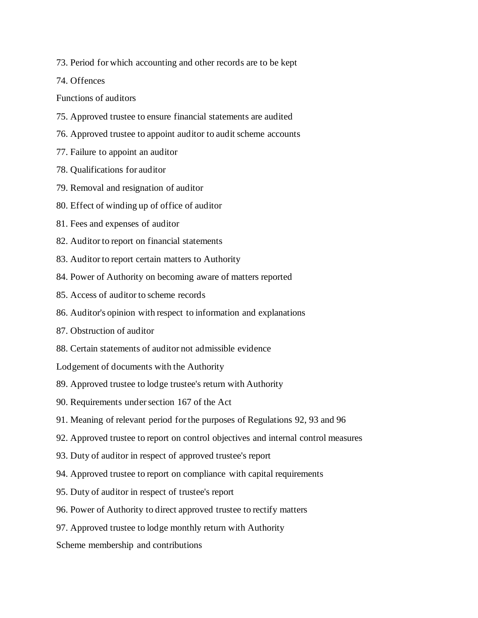73. Period for which accounting and other records are to be kept

74. Offences

Functions of auditors

- 75. Approved trustee to ensure financial statements are audited
- 76. Approved trustee to appoint auditor to audit scheme accounts
- 77. Failure to appoint an auditor
- 78. Qualifications for auditor
- 79. Removal and resignation of auditor
- 80. Effect of winding up of office of auditor
- 81. Fees and expenses of auditor
- 82. Auditor to report on financial statements
- 83. Auditor to report certain matters to Authority
- 84. Power of Authority on becoming aware of matters reported
- 85. Access of auditor to scheme records
- 86. Auditor's opinion with respect to information and explanations
- 87. Obstruction of auditor
- 88. Certain statements of auditor not admissible evidence
- Lodgement of documents with the Authority
- 89. Approved trustee to lodge trustee's return with Authority
- 90. Requirements under section 167 of the Act
- 91. Meaning of relevant period for the purposes of Regulations 92, 93 and 96
- 92. Approved trustee to report on control objectives and internal control measures
- 93. Duty of auditor in respect of approved trustee's report
- 94. Approved trustee to report on compliance with capital requirements
- 95. Duty of auditor in respect of trustee's report
- 96. Power of Authority to direct approved trustee to rectify matters
- 97. Approved trustee to lodge monthly return with Authority

Scheme membership and contributions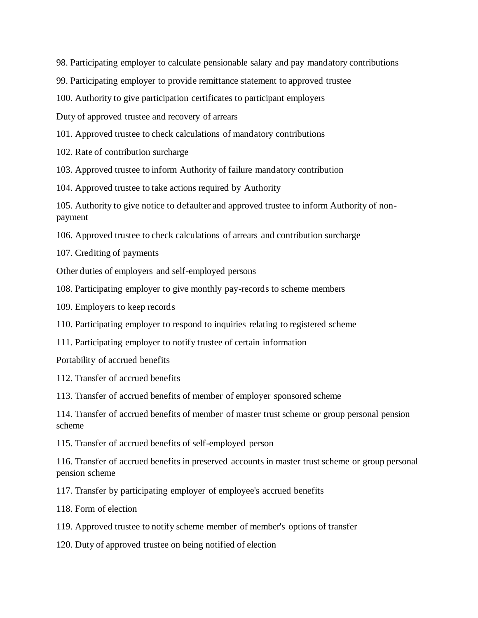98. Participating employer to calculate pensionable salary and pay mandatory contributions

99. Participating employer to provide remittance statement to approved trustee

100. Authority to give participation certificates to participant employers

Duty of approved trustee and recovery of arrears

101. Approved trustee to check calculations of mandatory contributions

102. Rate of contribution surcharge

103. Approved trustee to inform Authority of failure mandatory contribution

104. Approved trustee to take actions required by Authority

105. Authority to give notice to defaulter and approved trustee to inform Authority of nonpayment

106. Approved trustee to check calculations of arrears and contribution surcharge

107. Crediting of payments

Other duties of employers and self-employed persons

108. Participating employer to give monthly pay-records to scheme members

109. Employers to keep records

110. Participating employer to respond to inquiries relating to registered scheme

111. Participating employer to notify trustee of certain information

Portability of accrued benefits

112. Transfer of accrued benefits

113. Transfer of accrued benefits of member of employer sponsored scheme

114. Transfer of accrued benefits of member of master trust scheme or group personal pension scheme

115. Transfer of accrued benefits of self-employed person

116. Transfer of accrued benefits in preserved accounts in master trust scheme or group personal pension scheme

117. Transfer by participating employer of employee's accrued benefits

118. Form of election

119. Approved trustee to notify scheme member of member's options of transfer

120. Duty of approved trustee on being notified of election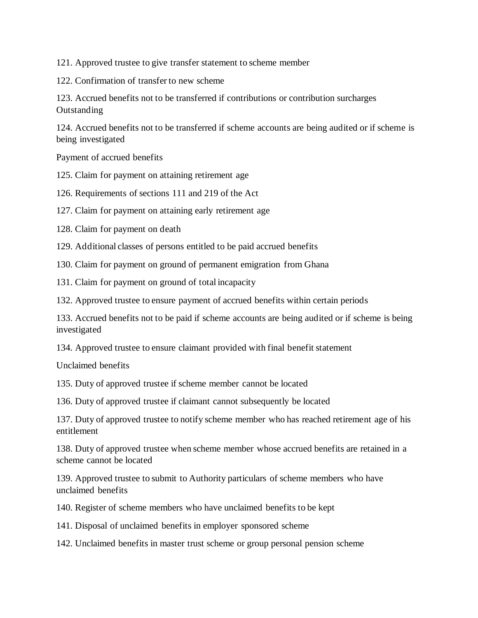121. Approved trustee to give transfer statement to scheme member

122. Confirmation of transfer to new scheme

123. Accrued benefits not to be transferred if contributions or contribution surcharges **Outstanding** 

124. Accrued benefits not to be transferred if scheme accounts are being audited or if scheme is being investigated

Payment of accrued benefits

125. Claim for payment on attaining retirement age

126. Requirements of sections 111 and 219 of the Act

127. Claim for payment on attaining early retirement age

128. Claim for payment on death

129. Additional classes of persons entitled to be paid accrued benefits

130. Claim for payment on ground of permanent emigration from Ghana

131. Claim for payment on ground of total incapacity

132. Approved trustee to ensure payment of accrued benefits within certain periods

133. Accrued benefits not to be paid if scheme accounts are being audited or if scheme is being investigated

134. Approved trustee to ensure claimant provided with final benefit statement

Unclaimed benefits

135. Duty of approved trustee if scheme member cannot be located

136. Duty of approved trustee if claimant cannot subsequently be located

137. Duty of approved trustee to notify scheme member who has reached retirement age of his entitlement

138. Duty of approved trustee when scheme member whose accrued benefits are retained in a scheme cannot be located

139. Approved trustee to submit to Authority particulars of scheme members who have unclaimed benefits

140. Register of scheme members who have unclaimed benefits to be kept

141. Disposal of unclaimed benefits in employer sponsored scheme

142. Unclaimed benefits in master trust scheme or group personal pension scheme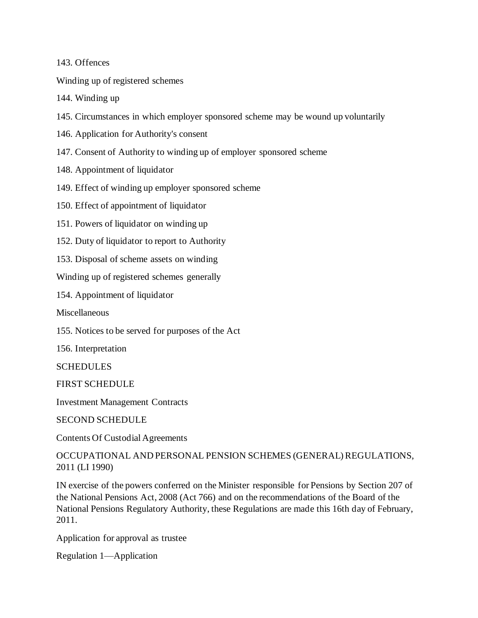143. Offences

Winding up of registered schemes

144. Winding up

- 145. Circumstances in which employer sponsored scheme may be wound up voluntarily
- 146. Application for Authority's consent
- 147. Consent of Authority to winding up of employer sponsored scheme
- 148. Appointment of liquidator
- 149. Effect of winding up employer sponsored scheme
- 150. Effect of appointment of liquidator
- 151. Powers of liquidator on winding up
- 152. Duty of liquidator to report to Authority
- 153. Disposal of scheme assets on winding

Winding up of registered schemes generally

154. Appointment of liquidator

**Miscellaneous** 

155. Notices to be served for purposes of the Act

156. Interpretation

SCHEDULES

FIRST SCHEDULE

Investment Management Contracts

SECOND SCHEDULE

Contents Of Custodial Agreements

OCCUPATIONAL AND PERSONAL PENSION SCHEMES (GENERAL) REGULATIONS, 2011 (LI 1990)

IN exercise of the powers conferred on the Minister responsible for Pensions by Section 207 of the National Pensions Act, 2008 (Act 766) and on the recommendations of the Board of the National Pensions Regulatory Authority, these Regulations are made this 16th day of February, 2011.

Application for approval as trustee

Regulation 1—Application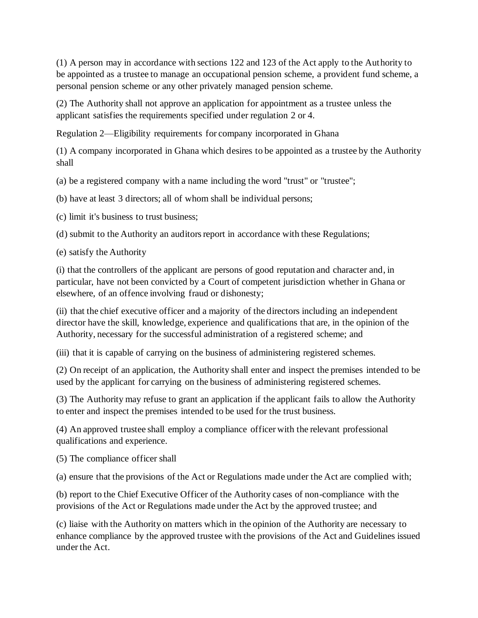(1) A person may in accordance with sections 122 and 123 of the Act apply to the Authority to be appointed as a trustee to manage an occupational pension scheme, a provident fund scheme, a personal pension scheme or any other privately managed pension scheme.

(2) The Authority shall not approve an application for appointment as a trustee unless the applicant satisfies the requirements specified under regulation 2 or 4.

Regulation 2—Eligibility requirements for company incorporated in Ghana

(1) A company incorporated in Ghana which desires to be appointed as a trustee by the Authority shall

(a) be a registered company with a name including the word "trust" or "trustee";

(b) have at least 3 directors; all of whom shall be individual persons;

(c) limit it's business to trust business;

(d) submit to the Authority an auditors report in accordance with these Regulations;

(e) satisfy the Authority

(i) that the controllers of the applicant are persons of good reputation and character and, in particular, have not been convicted by a Court of competent jurisdiction whether in Ghana or elsewhere, of an offence involving fraud or dishonesty;

(ii) that the chief executive officer and a majority of the directors including an independent director have the skill, knowledge, experience and qualifications that are, in the opinion of the Authority, necessary for the successful administration of a registered scheme; and

(iii) that it is capable of carrying on the business of administering registered schemes.

(2) On receipt of an application, the Authority shall enter and inspect the premises intended to be used by the applicant for carrying on the business of administering registered schemes.

(3) The Authority may refuse to grant an application if the applicant fails to allow the Authority to enter and inspect the premises intended to be used for the trust business.

(4) An approved trustee shall employ a compliance officer with the relevant professional qualifications and experience.

(5) The compliance officer shall

(a) ensure that the provisions of the Act or Regulations made under the Act are complied with;

(b) report to the Chief Executive Officer of the Authority cases of non-compliance with the provisions of the Act or Regulations made under the Act by the approved trustee; and

(c) liaise with the Authority on matters which in the opinion of the Authority are necessary to enhance compliance by the approved trustee with the provisions of the Act and Guidelines issued under the Act.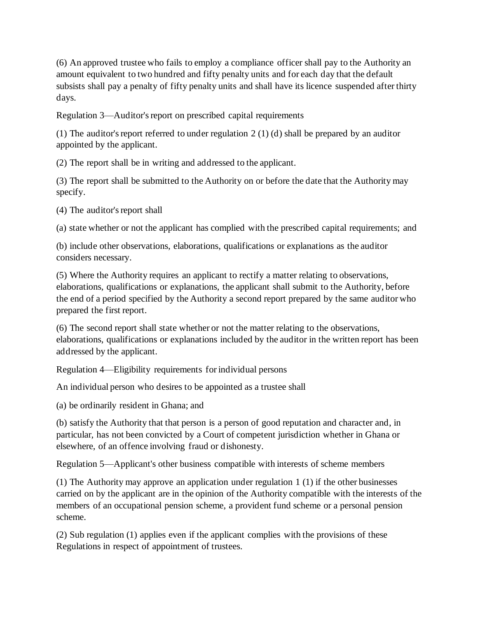(6) An approved trustee who fails to employ a compliance officer shall pay to the Authority an amount equivalent to two hundred and fifty penalty units and for each day that the default subsists shall pay a penalty of fifty penalty units and shall have its licence suspended after thirty days.

Regulation 3—Auditor's report on prescribed capital requirements

(1) The auditor's report referred to under regulation 2 (1) (d) shall be prepared by an auditor appointed by the applicant.

(2) The report shall be in writing and addressed to the applicant.

(3) The report shall be submitted to the Authority on or before the date that the Authority may specify.

(4) The auditor's report shall

(a) state whether or not the applicant has complied with the prescribed capital requirements; and

(b) include other observations, elaborations, qualifications or explanations as the auditor considers necessary.

(5) Where the Authority requires an applicant to rectify a matter relating to observations, elaborations, qualifications or explanations, the applicant shall submit to the Authority, before the end of a period specified by the Authority a second report prepared by the same auditor who prepared the first report.

(6) The second report shall state whether or not the matter relating to the observations, elaborations, qualifications or explanations included by the auditor in the written report has been addressed by the applicant.

Regulation 4—Eligibility requirements for individual persons

An individual person who desires to be appointed as a trustee shall

(a) be ordinarily resident in Ghana; and

(b) satisfy the Authority that that person is a person of good reputation and character and, in particular, has not been convicted by a Court of competent jurisdiction whether in Ghana or elsewhere, of an offence involving fraud or dishonesty.

Regulation 5—Applicant's other business compatible with interests of scheme members

(1) The Authority may approve an application under regulation 1 (1) if the other businesses carried on by the applicant are in the opinion of the Authority compatible with the interests of the members of an occupational pension scheme, a provident fund scheme or a personal pension scheme.

(2) Sub regulation (1) applies even if the applicant complies with the provisions of these Regulations in respect of appointment of trustees.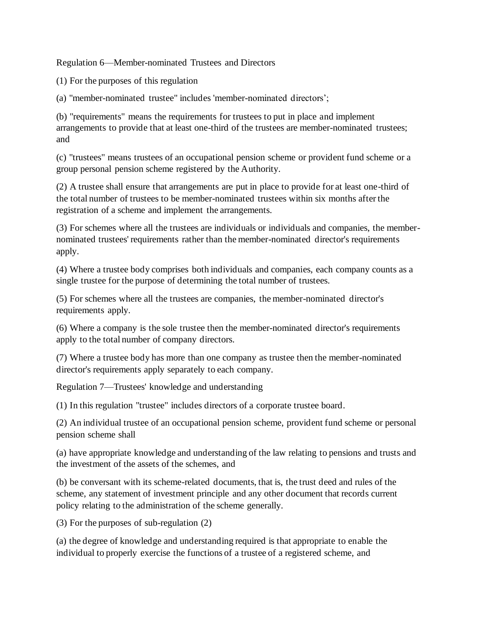Regulation 6—Member-nominated Trustees and Directors

(1) For the purposes of this regulation

(a) "member-nominated trustee" includes 'member-nominated directors';

(b) "requirements" means the requirements for trustees to put in place and implement arrangements to provide that at least one-third of the trustees are member-nominated trustees; and

(c) "trustees" means trustees of an occupational pension scheme or provident fund scheme or a group personal pension scheme registered by the Authority.

(2) A trustee shall ensure that arrangements are put in place to provide for at least one-third of the total number of trustees to be member-nominated trustees within six months after the registration of a scheme and implement the arrangements.

(3) For schemes where all the trustees are individuals or individuals and companies, the membernominated trustees' requirements rather than the member-nominated director's requirements apply.

(4) Where a trustee body comprises both individuals and companies, each company counts as a single trustee for the purpose of determining the total number of trustees.

(5) For schemes where all the trustees are companies, the member-nominated director's requirements apply.

(6) Where a company is the sole trustee then the member-nominated director's requirements apply to the total number of company directors.

(7) Where a trustee body has more than one company as trustee then the member-nominated director's requirements apply separately to each company.

Regulation 7—Trustees' knowledge and understanding

(1) In this regulation "trustee" includes directors of a corporate trustee board.

(2) An individual trustee of an occupational pension scheme, provident fund scheme or personal pension scheme shall

(a) have appropriate knowledge and understanding of the law relating to pensions and trusts and the investment of the assets of the schemes, and

(b) be conversant with its scheme-related documents, that is, the trust deed and rules of the scheme, any statement of investment principle and any other document that records current policy relating to the administration of the scheme generally.

(3) For the purposes of sub-regulation (2)

(a) the degree of knowledge and understanding required is that appropriate to enable the individual to properly exercise the functions of a trustee of a registered scheme, and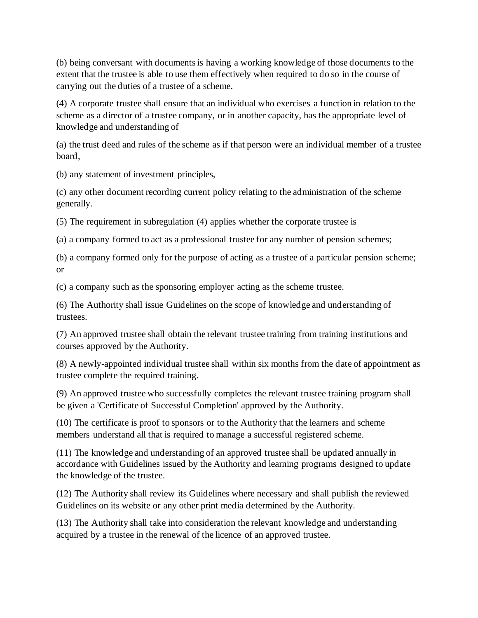(b) being conversant with documents is having a working knowledge of those documents to the extent that the trustee is able to use them effectively when required to do so in the course of carrying out the duties of a trustee of a scheme.

(4) A corporate trustee shall ensure that an individual who exercises a function in relation to the scheme as a director of a trustee company, or in another capacity, has the appropriate level of knowledge and understanding of

(a) the trust deed and rules of the scheme as if that person were an individual member of a trustee board,

(b) any statement of investment principles,

(c) any other document recording current policy relating to the administration of the scheme generally.

(5) The requirement in subregulation (4) applies whether the corporate trustee is

(a) a company formed to act as a professional trustee for any number of pension schemes;

(b) a company formed only for the purpose of acting as a trustee of a particular pension scheme; or

(c) a company such as the sponsoring employer acting as the scheme trustee.

(6) The Authority shall issue Guidelines on the scope of knowledge and understanding of trustees.

(7) An approved trustee shall obtain the relevant trustee training from training institutions and courses approved by the Authority.

(8) A newly-appointed individual trustee shall within six months from the date of appointment as trustee complete the required training.

(9) An approved trustee who successfully completes the relevant trustee training program shall be given a 'Certificate of Successful Completion' approved by the Authority.

(10) The certificate is proof to sponsors or to the Authority that the learners and scheme members understand all that is required to manage a successful registered scheme.

(11) The knowledge and understanding of an approved trustee shall be updated annually in accordance with Guidelines issued by the Authority and learning programs designed to update the knowledge of the trustee.

(12) The Authority shall review its Guidelines where necessary and shall publish the reviewed Guidelines on its website or any other print media determined by the Authority.

(13) The Authority shall take into consideration the relevant knowledge and understanding acquired by a trustee in the renewal of the licence of an approved trustee.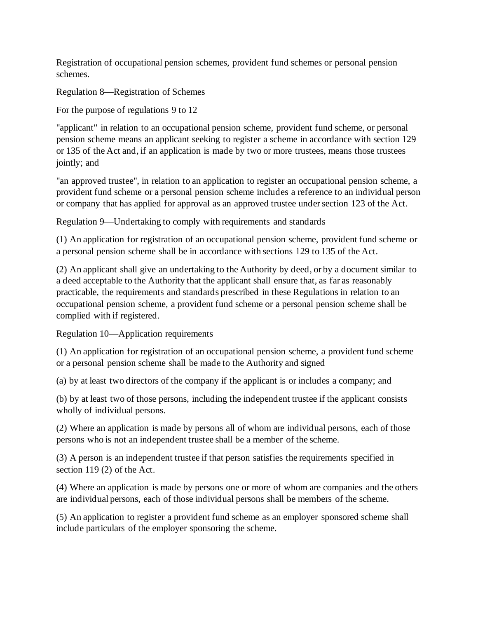Registration of occupational pension schemes, provident fund schemes or personal pension schemes.

Regulation 8—Registration of Schemes

For the purpose of regulations 9 to 12

"applicant" in relation to an occupational pension scheme, provident fund scheme, or personal pension scheme means an applicant seeking to register a scheme in accordance with section 129 or 135 of the Act and, if an application is made by two or more trustees, means those trustees jointly; and

"an approved trustee", in relation to an application to register an occupational pension scheme, a provident fund scheme or a personal pension scheme includes a reference to an individual person or company that has applied for approval as an approved trustee under section 123 of the Act.

Regulation 9—Undertaking to comply with requirements and standards

(1) An application for registration of an occupational pension scheme, provident fund scheme or a personal pension scheme shall be in accordance with sections 129 to 135 of the Act.

(2) An applicant shall give an undertaking to the Authority by deed, or by a document similar to a deed acceptable to the Authority that the applicant shall ensure that, as far as reasonably practicable, the requirements and standards prescribed in these Regulations in relation to an occupational pension scheme, a provident fund scheme or a personal pension scheme shall be complied with if registered.

Regulation 10—Application requirements

(1) An application for registration of an occupational pension scheme, a provident fund scheme or a personal pension scheme shall be made to the Authority and signed

(a) by at least two directors of the company if the applicant is or includes a company; and

(b) by at least two of those persons, including the independent trustee if the applicant consists wholly of individual persons.

(2) Where an application is made by persons all of whom are individual persons, each of those persons who is not an independent trustee shall be a member of the scheme.

(3) A person is an independent trustee if that person satisfies the requirements specified in section 119 (2) of the Act.

(4) Where an application is made by persons one or more of whom are companies and the others are individual persons, each of those individual persons shall be members of the scheme.

(5) An application to register a provident fund scheme as an employer sponsored scheme shall include particulars of the employer sponsoring the scheme.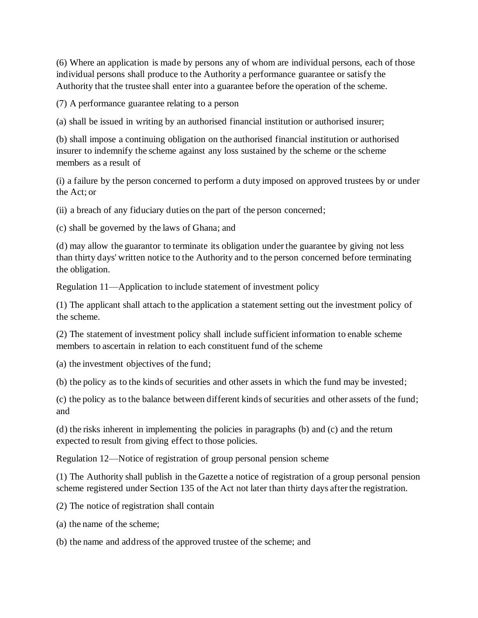(6) Where an application is made by persons any of whom are individual persons, each of those individual persons shall produce to the Authority a performance guarantee or satisfy the Authority that the trustee shall enter into a guarantee before the operation of the scheme.

(7) A performance guarantee relating to a person

(a) shall be issued in writing by an authorised financial institution or authorised insurer;

(b) shall impose a continuing obligation on the authorised financial institution or authorised insurer to indemnify the scheme against any loss sustained by the scheme or the scheme members as a result of

(i) a failure by the person concerned to perform a duty imposed on approved trustees by or under the Act; or

(ii) a breach of any fiduciary duties on the part of the person concerned;

(c) shall be governed by the laws of Ghana; and

(d) may allow the guarantor to terminate its obligation under the guarantee by giving not less than thirty days' written notice to the Authority and to the person concerned before terminating the obligation.

Regulation 11—Application to include statement of investment policy

(1) The applicant shall attach to the application a statement setting out the investment policy of the scheme.

(2) The statement of investment policy shall include sufficient information to enable scheme members to ascertain in relation to each constituent fund of the scheme

(a) the investment objectives of the fund;

(b) the policy as to the kinds of securities and other assets in which the fund may be invested;

(c) the policy as to the balance between different kinds of securities and other assets of the fund; and

(d) the risks inherent in implementing the policies in paragraphs (b) and (c) and the return expected to result from giving effect to those policies.

Regulation 12—Notice of registration of group personal pension scheme

(1) The Authority shall publish in the Gazette a notice of registration of a group personal pension scheme registered under Section 135 of the Act not later than thirty days after the registration.

(2) The notice of registration shall contain

(a) the name of the scheme;

(b) the name and address of the approved trustee of the scheme; and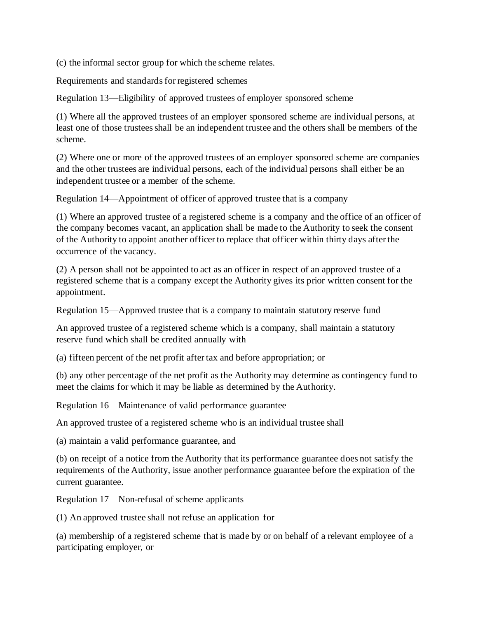(c) the informal sector group for which the scheme relates.

Requirements and standards for registered schemes

Regulation 13—Eligibility of approved trustees of employer sponsored scheme

(1) Where all the approved trustees of an employer sponsored scheme are individual persons, at least one of those trustees shall be an independent trustee and the others shall be members of the scheme.

(2) Where one or more of the approved trustees of an employer sponsored scheme are companies and the other trustees are individual persons, each of the individual persons shall either be an independent trustee or a member of the scheme.

Regulation 14—Appointment of officer of approved trustee that is a company

(1) Where an approved trustee of a registered scheme is a company and the office of an officer of the company becomes vacant, an application shall be made to the Authority to seek the consent of the Authority to appoint another officer to replace that officer within thirty days after the occurrence of the vacancy.

(2) A person shall not be appointed to act as an officer in respect of an approved trustee of a registered scheme that is a company except the Authority gives its prior written consent for the appointment.

Regulation 15—Approved trustee that is a company to maintain statutory reserve fund

An approved trustee of a registered scheme which is a company, shall maintain a statutory reserve fund which shall be credited annually with

(a) fifteen percent of the net profit after tax and before appropriation; or

(b) any other percentage of the net profit as the Authority may determine as contingency fund to meet the claims for which it may be liable as determined by the Authority.

Regulation 16—Maintenance of valid performance guarantee

An approved trustee of a registered scheme who is an individual trustee shall

(a) maintain a valid performance guarantee, and

(b) on receipt of a notice from the Authority that its performance guarantee does not satisfy the requirements of the Authority, issue another performance guarantee before the expiration of the current guarantee.

Regulation 17—Non-refusal of scheme applicants

(1) An approved trustee shall not refuse an application for

(a) membership of a registered scheme that is made by or on behalf of a relevant employee of a participating employer, or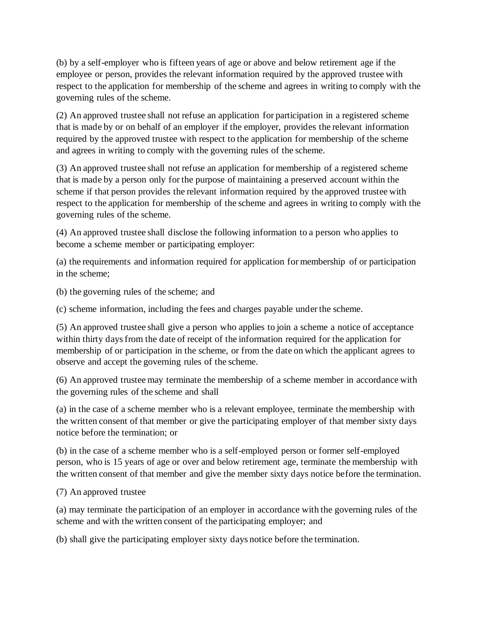(b) by a self-employer who is fifteen years of age or above and below retirement age if the employee or person, provides the relevant information required by the approved trustee with respect to the application for membership of the scheme and agrees in writing to comply with the governing rules of the scheme.

(2) An approved trustee shall not refuse an application for participation in a registered scheme that is made by or on behalf of an employer if the employer, provides the relevant information required by the approved trustee with respect to the application for membership of the scheme and agrees in writing to comply with the governing rules of the scheme.

(3) An approved trustee shall not refuse an application for membership of a registered scheme that is made by a person only for the purpose of maintaining a preserved account within the scheme if that person provides the relevant information required by the approved trustee with respect to the application for membership of the scheme and agrees in writing to comply with the governing rules of the scheme.

(4) An approved trustee shall disclose the following information to a person who applies to become a scheme member or participating employer:

(a) the requirements and information required for application for membership of or participation in the scheme;

(b) the governing rules of the scheme; and

(c) scheme information, including the fees and charges payable under the scheme.

(5) An approved trustee shall give a person who applies to join a scheme a notice of acceptance within thirty days from the date of receipt of the information required for the application for membership of or participation in the scheme, or from the date on which the applicant agrees to observe and accept the governing rules of the scheme.

(6) An approved trustee may terminate the membership of a scheme member in accordance with the governing rules of the scheme and shall

(a) in the case of a scheme member who is a relevant employee, terminate the membership with the written consent of that member or give the participating employer of that member sixty days notice before the termination; or

(b) in the case of a scheme member who is a self-employed person or former self-employed person, who is 15 years of age or over and below retirement age, terminate the membership with the written consent of that member and give the member sixty days notice before the termination.

(7) An approved trustee

(a) may terminate the participation of an employer in accordance with the governing rules of the scheme and with the written consent of the participating employer; and

(b) shall give the participating employer sixty days notice before the termination.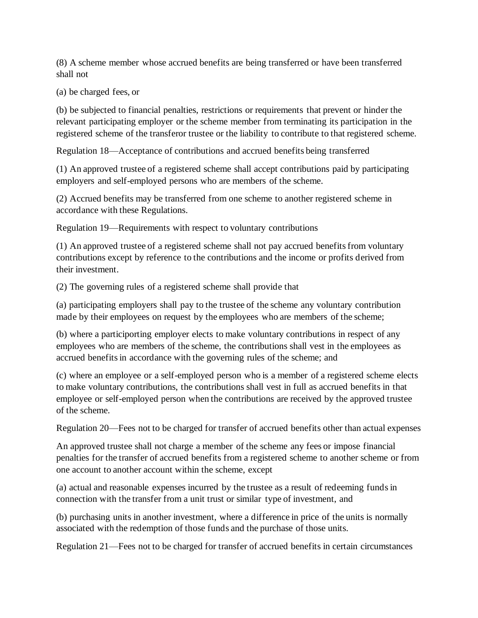(8) A scheme member whose accrued benefits are being transferred or have been transferred shall not

(a) be charged fees, or

(b) be subjected to financial penalties, restrictions or requirements that prevent or hinder the relevant participating employer or the scheme member from terminating its participation in the registered scheme of the transferor trustee or the liability to contribute to that registered scheme.

Regulation 18—Acceptance of contributions and accrued benefits being transferred

(1) An approved trustee of a registered scheme shall accept contributions paid by participating employers and self-employed persons who are members of the scheme.

(2) Accrued benefits may be transferred from one scheme to another registered scheme in accordance with these Regulations.

Regulation 19—Requirements with respect to voluntary contributions

(1) An approved trustee of a registered scheme shall not pay accrued benefits from voluntary contributions except by reference to the contributions and the income or profits derived from their investment.

(2) The governing rules of a registered scheme shall provide that

(a) participating employers shall pay to the trustee of the scheme any voluntary contribution made by their employees on request by the employees who are members of the scheme;

(b) where a participorting employer elects to make voluntary contributions in respect of any employees who are members of the scheme, the contributions shall vest in the employees as accrued benefits in accordance with the governing rules of the scheme; and

(c) where an employee or a self-employed person who is a member of a registered scheme elects to make voluntary contributions, the contributions shall vest in full as accrued benefits in that employee or self-employed person when the contributions are received by the approved trustee of the scheme.

Regulation 20—Fees not to be charged for transfer of accrued benefits other than actual expenses

An approved trustee shall not charge a member of the scheme any fees or impose financial penalties for the transfer of accrued benefits from a registered scheme to another scheme or from one account to another account within the scheme, except

(a) actual and reasonable expenses incurred by the trustee as a result of redeeming funds in connection with the transfer from a unit trust or similar type of investment, and

(b) purchasing units in another investment, where a difference in price of the units is normally associated with the redemption of those funds and the purchase of those units.

Regulation 21—Fees not to be charged for transfer of accrued benefits in certain circumstances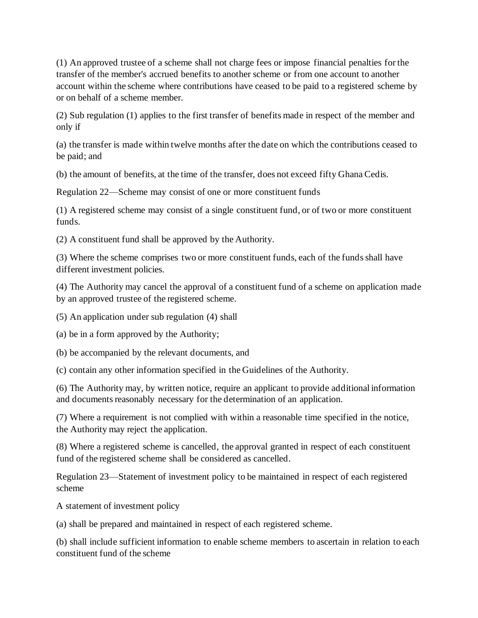(1) An approved trustee of a scheme shall not charge fees or impose financial penalties for the transfer of the member's accrued benefits to another scheme or from one account to another account within the scheme where contributions have ceased to be paid to a registered scheme by or on behalf of a scheme member.

(2) Sub regulation (1) applies to the first transfer of benefits made in respect of the member and only if

(a) the transfer is made within twelve months after the date on which the contributions ceased to be paid; and

(b) the amount of benefits, at the time of the transfer, does not exceed fifty Ghana Cedis.

Regulation 22—Scheme may consist of one or more constituent funds

(1) A registered scheme may consist of a single constituent fund, or of two or more constituent funds.

(2) A constituent fund shall be approved by the Authority.

(3) Where the scheme comprises two or more constituent funds, each of the funds shall have different investment policies.

(4) The Authority may cancel the approval of a constituent fund of a scheme on application made by an approved trustee of the registered scheme.

(5) An application under sub regulation (4) shall

(a) be in a form approved by the Authority;

(b) be accompanied by the relevant documents, and

(c) contain any other information specified in the Guidelines of the Authority.

(6) The Authority may, by written notice, require an applicant to provide additional information and documents reasonably necessary for the determination of an application.

(7) Where a requirement is not complied with within a reasonable time specified in the notice, the Authority may reject the application.

(8) Where a registered scheme is cancelled, the approval granted in respect of each constituent fund of the registered scheme shall be considered as cancelled.

Regulation 23—Statement of investment policy to be maintained in respect of each registered scheme

A statement of investment policy

(a) shall be prepared and maintained in respect of each registered scheme.

(b) shall include sufficient information to enable scheme members to ascertain in relation to each constituent fund of the scheme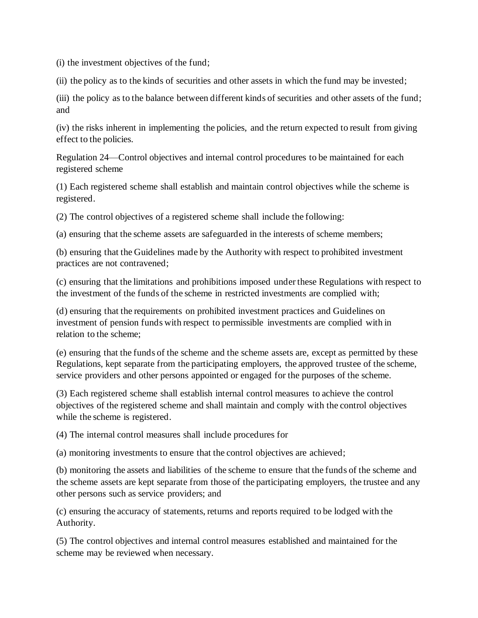(i) the investment objectives of the fund;

(ii) the policy as to the kinds of securities and other assets in which the fund may be invested;

(iii) the policy as to the balance between different kinds of securities and other assets of the fund; and

(iv) the risks inherent in implementing the policies, and the return expected to result from giving effect to the policies.

Regulation 24—Control objectives and internal control procedures to be maintained for each registered scheme

(1) Each registered scheme shall establish and maintain control objectives while the scheme is registered.

(2) The control objectives of a registered scheme shall include the following:

(a) ensuring that the scheme assets are safeguarded in the interests of scheme members;

(b) ensuring that the Guidelines made by the Authority with respect to prohibited investment practices are not contravened;

(c) ensuring that the limitations and prohibitions imposed under these Regulations with respect to the investment of the funds of the scheme in restricted investments are complied with;

(d) ensuring that the requirements on prohibited investment practices and Guidelines on investment of pension funds with respect to permissible investments are complied with in relation to the scheme;

(e) ensuring that the funds of the scheme and the scheme assets are, except as permitted by these Regulations, kept separate from the participating employers, the approved trustee of the scheme, service providers and other persons appointed or engaged for the purposes of the scheme.

(3) Each registered scheme shall establish internal control measures to achieve the control objectives of the registered scheme and shall maintain and comply with the control objectives while the scheme is registered.

(4) The internal control measures shall include procedures for

(a) monitoring investments to ensure that the control objectives are achieved;

(b) monitoring the assets and liabilities of the scheme to ensure that the funds of the scheme and the scheme assets are kept separate from those of the participating employers, the trustee and any other persons such as service providers; and

(c) ensuring the accuracy of statements, returns and reports required to be lodged with the Authority.

(5) The control objectives and internal control measures established and maintained for the scheme may be reviewed when necessary.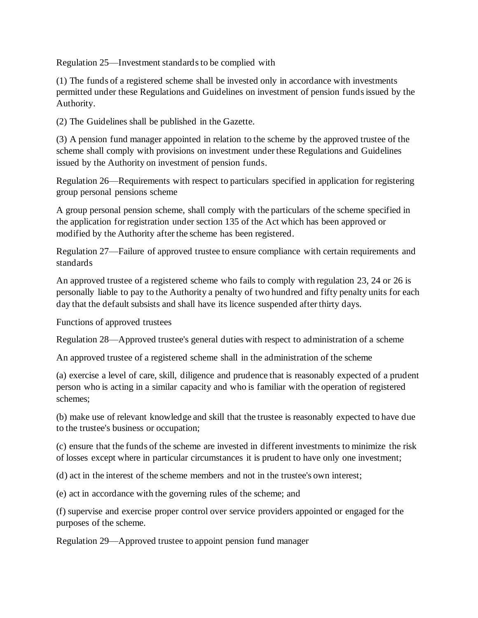Regulation 25—Investment standards to be complied with

(1) The funds of a registered scheme shall be invested only in accordance with investments permitted under these Regulations and Guidelines on investment of pension funds issued by the Authority.

(2) The Guidelines shall be published in the Gazette.

(3) A pension fund manager appointed in relation to the scheme by the approved trustee of the scheme shall comply with provisions on investment under these Regulations and Guidelines issued by the Authority on investment of pension funds.

Regulation 26—Requirements with respect to particulars specified in application for registering group personal pensions scheme

A group personal pension scheme, shall comply with the particulars of the scheme specified in the application for registration under section 135 of the Act which has been approved or modified by the Authority after the scheme has been registered.

Regulation 27—Failure of approved trustee to ensure compliance with certain requirements and standards

An approved trustee of a registered scheme who fails to comply with regulation 23, 24 or 26 is personally liable to pay to the Authority a penalty of two hundred and fifty penalty units for each day that the default subsists and shall have its licence suspended after thirty days.

Functions of approved trustees

Regulation 28—Approved trustee's general duties with respect to administration of a scheme

An approved trustee of a registered scheme shall in the administration of the scheme

(a) exercise a level of care, skill, diligence and prudence that is reasonably expected of a prudent person who is acting in a similar capacity and who is familiar with the operation of registered schemes;

(b) make use of relevant knowledge and skill that the trustee is reasonably expected to have due to the trustee's business or occupation;

(c) ensure that the funds of the scheme are invested in different investments to minimize the risk of losses except where in particular circumstances it is prudent to have only one investment;

(d) act in the interest of the scheme members and not in the trustee's own interest;

(e) act in accordance with the governing rules of the scheme; and

(f) supervise and exercise proper control over service providers appointed or engaged for the purposes of the scheme.

Regulation 29—Approved trustee to appoint pension fund manager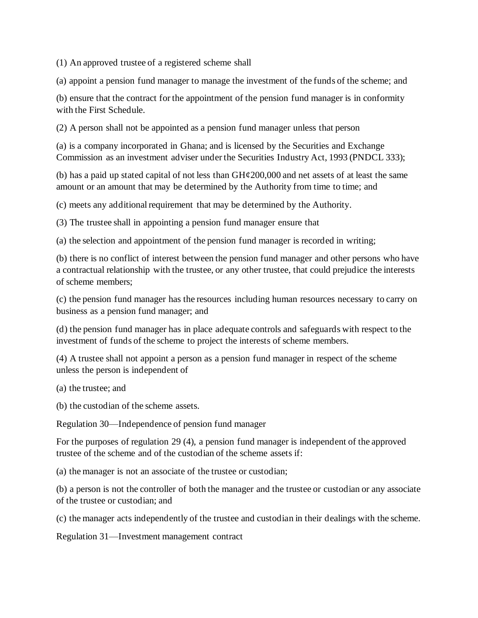(1) An approved trustee of a registered scheme shall

(a) appoint a pension fund manager to manage the investment of the funds of the scheme; and

(b) ensure that the contract for the appointment of the pension fund manager is in conformity with the First Schedule.

(2) A person shall not be appointed as a pension fund manager unless that person

(a) is a company incorporated in Ghana; and is licensed by the Securities and Exchange Commission as an investment adviser under the Securities Industry Act, 1993 (PNDCL 333);

(b) has a paid up stated capital of not less than  $GH¢200,000$  and net assets of at least the same amount or an amount that may be determined by the Authority from time to time; and

(c) meets any additional requirement that may be determined by the Authority.

(3) The trustee shall in appointing a pension fund manager ensure that

(a) the selection and appointment of the pension fund manager is recorded in writing;

(b) there is no conflict of interest between the pension fund manager and other persons who have a contractual relationship with the trustee, or any other trustee, that could prejudice the interests of scheme members;

(c) the pension fund manager has the resources including human resources necessary to carry on business as a pension fund manager; and

(d) the pension fund manager has in place adequate controls and safeguards with respect to the investment of funds of the scheme to project the interests of scheme members.

(4) A trustee shall not appoint a person as a pension fund manager in respect of the scheme unless the person is independent of

(a) the trustee; and

(b) the custodian of the scheme assets.

Regulation 30—Independence of pension fund manager

For the purposes of regulation 29 (4), a pension fund manager is independent of the approved trustee of the scheme and of the custodian of the scheme assets if:

(a) the manager is not an associate of the trustee or custodian;

(b) a person is not the controller of both the manager and the trustee or custodian or any associate of the trustee or custodian; and

(c) the manager acts independently of the trustee and custodian in their dealings with the scheme.

Regulation 31—Investment management contract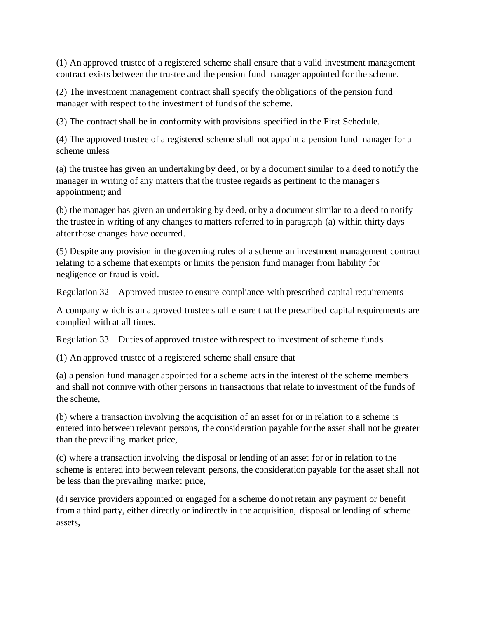(1) An approved trustee of a registered scheme shall ensure that a valid investment management contract exists between the trustee and the pension fund manager appointed for the scheme.

(2) The investment management contract shall specify the obligations of the pension fund manager with respect to the investment of funds of the scheme.

(3) The contract shall be in conformity with provisions specified in the First Schedule.

(4) The approved trustee of a registered scheme shall not appoint a pension fund manager for a scheme unless

(a) the trustee has given an undertaking by deed, or by a document similar to a deed to notify the manager in writing of any matters that the trustee regards as pertinent to the manager's appointment; and

(b) the manager has given an undertaking by deed, or by a document similar to a deed to notify the trustee in writing of any changes to matters referred to in paragraph (a) within thirty days after those changes have occurred.

(5) Despite any provision in the governing rules of a scheme an investment management contract relating to a scheme that exempts or limits the pension fund manager from liability for negligence or fraud is void.

Regulation 32—Approved trustee to ensure compliance with prescribed capital requirements

A company which is an approved trustee shall ensure that the prescribed capital requirements are complied with at all times.

Regulation 33—Duties of approved trustee with respect to investment of scheme funds

(1) An approved trustee of a registered scheme shall ensure that

(a) a pension fund manager appointed for a scheme acts in the interest of the scheme members and shall not connive with other persons in transactions that relate to investment of the funds of the scheme,

(b) where a transaction involving the acquisition of an asset for or in relation to a scheme is entered into between relevant persons, the consideration payable for the asset shall not be greater than the prevailing market price,

(c) where a transaction involving the disposal or lending of an asset for or in relation to the scheme is entered into between relevant persons, the consideration payable for the asset shall not be less than the prevailing market price,

(d) service providers appointed or engaged for a scheme do not retain any payment or benefit from a third party, either directly or indirectly in the acquisition, disposal or lending of scheme assets,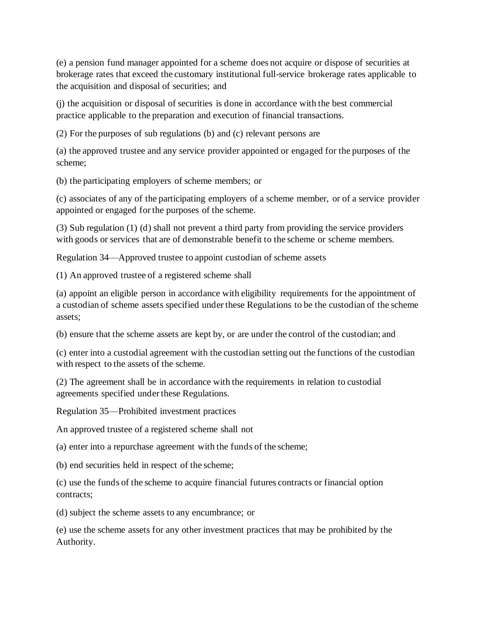(e) a pension fund manager appointed for a scheme does not acquire or dispose of securities at brokerage rates that exceed the customary institutional full-service brokerage rates applicable to the acquisition and disposal of securities; and

(j) the acquisition or disposal of securities is done in accordance with the best commercial practice applicable to the preparation and execution of financial transactions.

(2) For the purposes of sub regulations (b) and (c) relevant persons are

(a) the approved trustee and any service provider appointed or engaged for the purposes of the scheme;

(b) the participating employers of scheme members; or

(c) associates of any of the participating employers of a scheme member, or of a service provider appointed or engaged for the purposes of the scheme.

(3) Sub regulation (1) (d) shall not prevent a third party from providing the service providers with goods or services that are of demonstrable benefit to the scheme or scheme members.

Regulation 34—Approved trustee to appoint custodian of scheme assets

(1) An approved trustee of a registered scheme shall

(a) appoint an eligible person in accordance with eligibility requirements for the appointment of a custodian of scheme assets specified under these Regulations to be the custodian of the scheme assets;

(b) ensure that the scheme assets are kept by, or are under the control of the custodian; and

(c) enter into a custodial agreement with the custodian setting out the functions of the custodian with respect to the assets of the scheme.

(2) The agreement shall be in accordance with the requirements in relation to custodial agreements specified under these Regulations.

Regulation 35—Prohibited investment practices

An approved trustee of a registered scheme shall not

(a) enter into a repurchase agreement with the funds of the scheme;

(b) end securities held in respect of the scheme;

(c) use the funds of the scheme to acquire financial futures contracts or financial option contracts;

(d) subject the scheme assets to any encumbrance; or

(e) use the scheme assets for any other investment practices that may be prohibited by the Authority.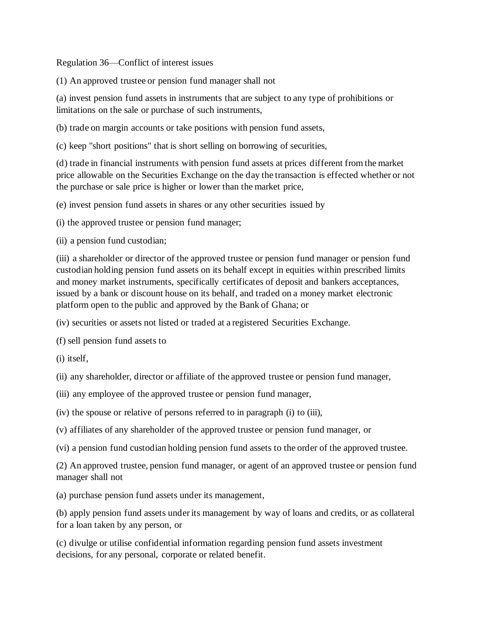Regulation 36—Conflict of interest issues

(1) An approved trustee or pension fund manager shall not

(a) invest pension fund assets in instruments that are subject to any type of prohibitions or limitations on the sale or purchase of such instruments,

(b) trade on margin accounts or take positions with pension fund assets,

(c) keep "short positions" that is short selling on borrowing of securities,

(d) trade in financial instruments with pension fund assets at prices different from the market price allowable on the Securities Exchange on the day the transaction is effected whether or not the purchase or sale price is higher or lower than the market price,

(e) invest pension fund assets in shares or any other securities issued by

(i) the approved trustee or pension fund manager;

(ii) a pension fund custodian;

(iii) a shareholder or director of the approved trustee or pension fund manager or pension fund custodian holding pension fund assets on its behalf except in equities within prescribed limits and money market instruments, specifically certificates of deposit and bankers acceptances, issued by a bank or discount house on its behalf, and traded on a money market electronic platform open to the public and approved by the Bank of Ghana; or

(iv) securities or assets not listed or traded at a registered Securities Exchange.

(f) sell pension fund assets to

(i) itself,

(ii) any shareholder, director or affiliate of the approved trustee or pension fund manager,

- (iii) any employee of the approved trustee or pension fund manager,
- (iv) the spouse or relative of persons referred to in paragraph (i) to (iii),
- (v) affiliates of any shareholder of the approved trustee or pension fund manager, or
- (vi) a pension fund custodian holding pension fund assets to the order of the approved trustee.

(2) An approved trustee, pension fund manager, or agent of an approved trustee or pension fund manager shall not

(a) purchase pension fund assets under its management,

(b) apply pension fund assets under its management by way of loans and credits, or as collateral for a loan taken by any person, or

(c) divulge or utilise confidential information regarding pension fund assets investment decisions, for any personal, corporate or related benefit.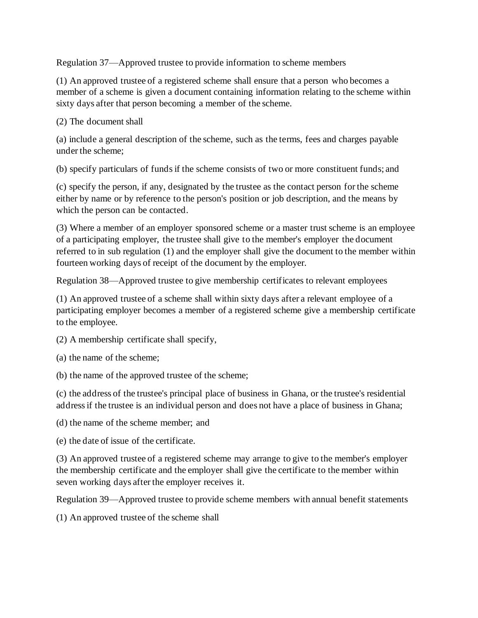Regulation 37—Approved trustee to provide information to scheme members

(1) An approved trustee of a registered scheme shall ensure that a person who becomes a member of a scheme is given a document containing information relating to the scheme within sixty days after that person becoming a member of the scheme.

## (2) The document shall

(a) include a general description of the scheme, such as the terms, fees and charges payable under the scheme;

(b) specify particulars of funds if the scheme consists of two or more constituent funds; and

(c) specify the person, if any, designated by the trustee as the contact person for the scheme either by name or by reference to the person's position or job description, and the means by which the person can be contacted.

(3) Where a member of an employer sponsored scheme or a master trust scheme is an employee of a participating employer, the trustee shall give to the member's employer the document referred to in sub regulation (1) and the employer shall give the document to the member within fourteen working days of receipt of the document by the employer.

Regulation 38—Approved trustee to give membership certificates to relevant employees

(1) An approved trustee of a scheme shall within sixty days after a relevant employee of a participating employer becomes a member of a registered scheme give a membership certificate to the employee.

(2) A membership certificate shall specify,

(a) the name of the scheme;

(b) the name of the approved trustee of the scheme;

(c) the address of the trustee's principal place of business in Ghana, or the trustee's residential address if the trustee is an individual person and does not have a place of business in Ghana;

(d) the name of the scheme member; and

(e) the date of issue of the certificate.

(3) An approved trustee of a registered scheme may arrange to give to the member's employer the membership certificate and the employer shall give the certificate to the member within seven working days after the employer receives it.

Regulation 39—Approved trustee to provide scheme members with annual benefit statements

(1) An approved trustee of the scheme shall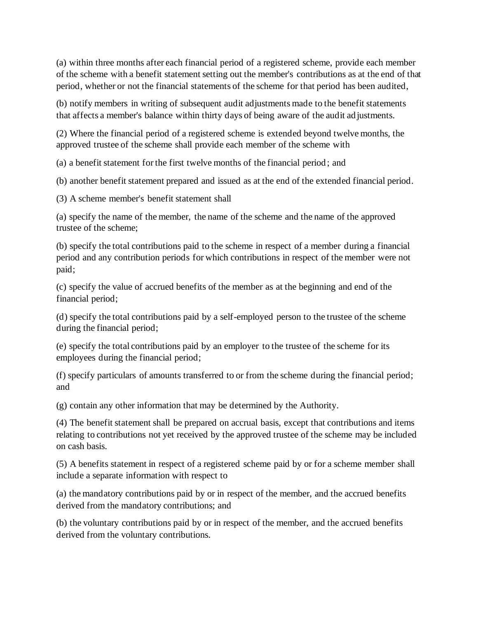(a) within three months after each financial period of a registered scheme, provide each member of the scheme with a benefit statement setting out the member's contributions as at the end of that period, whether or not the financial statements of the scheme for that period has been audited,

(b) notify members in writing of subsequent audit adjustments made to the benefit statements that affects a member's balance within thirty days of being aware of the audit ad justments.

(2) Where the financial period of a registered scheme is extended beyond twelve months, the approved trustee of the scheme shall provide each member of the scheme with

(a) a benefit statement for the first twelve months of the financial period; and

(b) another benefit statement prepared and issued as at the end of the extended financial period.

(3) A scheme member's benefit statement shall

(a) specify the name of the member, the name of the scheme and the name of the approved trustee of the scheme;

(b) specify the total contributions paid to the scheme in respect of a member during a financial period and any contribution periods for which contributions in respect of the member were not paid;

(c) specify the value of accrued benefits of the member as at the beginning and end of the financial period;

(d) specify the total contributions paid by a self-employed person to the trustee of the scheme during the financial period;

(e) specify the total contributions paid by an employer to the trustee of the scheme for its employees during the financial period;

(f) specify particulars of amounts transferred to or from the scheme during the financial period; and

(g) contain any other information that may be determined by the Authority.

(4) The benefit statement shall be prepared on accrual basis, except that contributions and items relating to contributions not yet received by the approved trustee of the scheme may be included on cash basis.

(5) A benefits statement in respect of a registered scheme paid by or for a scheme member shall include a separate information with respect to

(a) the mandatory contributions paid by or in respect of the member, and the accrued benefits derived from the mandatory contributions; and

(b) the voluntary contributions paid by or in respect of the member, and the accrued benefits derived from the voluntary contributions.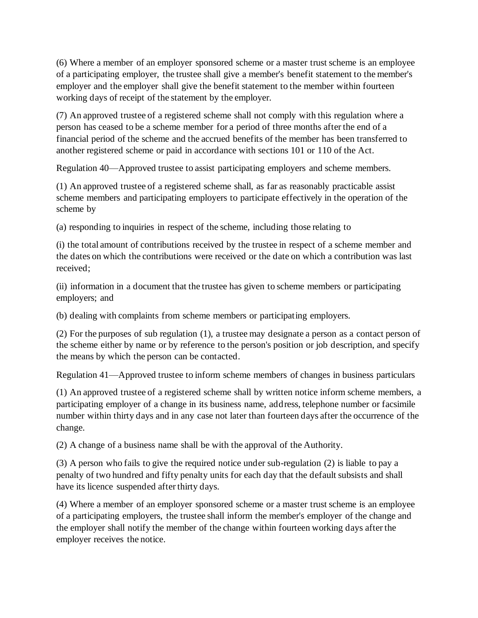(6) Where a member of an employer sponsored scheme or a master trust scheme is an employee of a participating employer, the trustee shall give a member's benefit statement to the member's employer and the employer shall give the benefit statement to the member within fourteen working days of receipt of the statement by the employer.

(7) An approved trustee of a registered scheme shall not comply with this regulation where a person has ceased to be a scheme member for a period of three months after the end of a financial period of the scheme and the accrued benefits of the member has been transferred to another registered scheme or paid in accordance with sections 101 or 110 of the Act.

Regulation 40—Approved trustee to assist participating employers and scheme members.

(1) An approved trustee of a registered scheme shall, as far as reasonably practicable assist scheme members and participating employers to participate effectively in the operation of the scheme by

(a) responding to inquiries in respect of the scheme, including those relating to

(i) the total amount of contributions received by the trustee in respect of a scheme member and the dates on which the contributions were received or the date on which a contribution was last received;

(ii) information in a document that the trustee has given to scheme members or participating employers; and

(b) dealing with complaints from scheme members or participating employers.

(2) For the purposes of sub regulation (1), a trustee may designate a person as a contact person of the scheme either by name or by reference to the person's position or job description, and specify the means by which the person can be contacted.

Regulation 41—Approved trustee to inform scheme members of changes in business particulars

(1) An approved trustee of a registered scheme shall by written notice inform scheme members, a participating employer of a change in its business name, address, telephone number or facsimile number within thirty days and in any case not later than fourteen days after the occurrence of the change.

(2) A change of a business name shall be with the approval of the Authority.

(3) A person who fails to give the required notice under sub-regulation (2) is liable to pay a penalty of two hundred and fifty penalty units for each day that the default subsists and shall have its licence suspended after thirty days.

(4) Where a member of an employer sponsored scheme or a master trust scheme is an employee of a participating employers, the trustee shall inform the member's employer of the change and the employer shall notify the member of the change within fourteen working days after the employer receives the notice.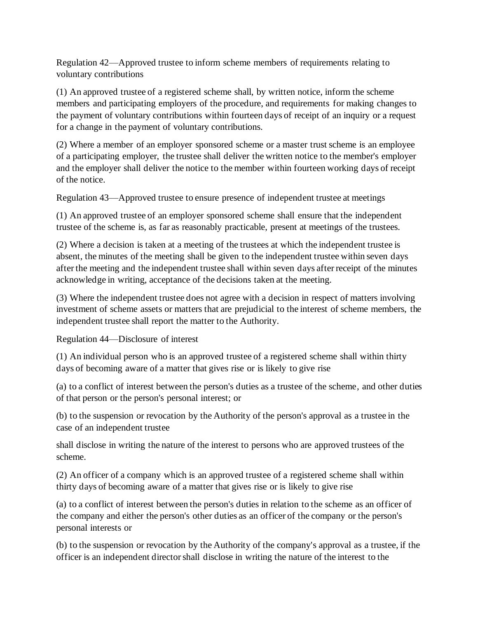Regulation 42—Approved trustee to inform scheme members of requirements relating to voluntary contributions

(1) An approved trustee of a registered scheme shall, by written notice, inform the scheme members and participating employers of the procedure, and requirements for making changes to the payment of voluntary contributions within fourteen days of receipt of an inquiry or a request for a change in the payment of voluntary contributions.

(2) Where a member of an employer sponsored scheme or a master trust scheme is an employee of a participating employer, the trustee shall deliver the written notice to the member's employer and the employer shall deliver the notice to the member within fourteen working days of receipt of the notice.

Regulation 43—Approved trustee to ensure presence of independent trustee at meetings

(1) An approved trustee of an employer sponsored scheme shall ensure that the independent trustee of the scheme is, as far as reasonably practicable, present at meetings of the trustees.

(2) Where a decision is taken at a meeting of the trustees at which the independent trustee is absent, the minutes of the meeting shall be given to the independent trustee within seven days after the meeting and the independent trustee shall within seven days after receipt of the minutes acknowledge in writing, acceptance of the decisions taken at the meeting.

(3) Where the independent trustee does not agree with a decision in respect of matters involving investment of scheme assets or matters that are prejudicial to the interest of scheme members, the independent trustee shall report the matter to the Authority.

Regulation 44—Disclosure of interest

(1) An individual person who is an approved trustee of a registered scheme shall within thirty days of becoming aware of a matter that gives rise or is likely to give rise

(a) to a conflict of interest between the person's duties as a trustee of the scheme, and other duties of that person or the person's personal interest; or

(b) to the suspension or revocation by the Authority of the person's approval as a trustee in the case of an independent trustee

shall disclose in writing the nature of the interest to persons who are approved trustees of the scheme.

(2) An officer of a company which is an approved trustee of a registered scheme shall within thirty days of becoming aware of a matter that gives rise or is likely to give rise

(a) to a conflict of interest between the person's duties in relation to the scheme as an officer of the company and either the person's other duties as an officer of the company or the person's personal interests or

(b) to the suspension or revocation by the Authority of the company's approval as a trustee, if the officer is an independent director shall disclose in writing the nature of the interest to the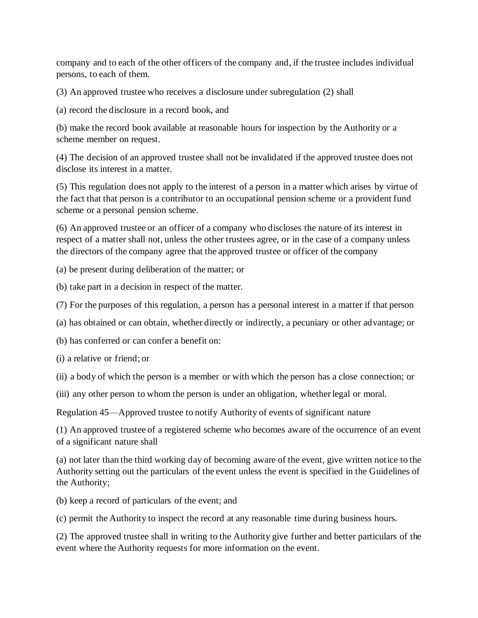company and to each of the other officers of the company and, if the trustee includes individual persons, to each of them.

(3) An approved trustee who receives a disclosure under subregulation (2) shall

(a) record the disclosure in a record book, and

(b) make the record book available at reasonable hours for inspection by the Authority or a scheme member on request.

(4) The decision of an approved trustee shall not be invalidated if the approved trustee does not disclose its interest in a matter.

(5) This regulation does not apply to the interest of a person in a matter which arises by virtue of the fact that that person is a contributor to an occupational pension scheme or a provident fund scheme or a personal pension scheme.

(6) An approved trustee or an officer of a company who discloses the nature of its interest in respect of a matter shall not, unless the other trustees agree, or in the case of a company unless the directors of the company agree that the approved trustee or officer of the company

(a) be present during deliberation of the matter; or

(b) take part in a decision in respect of the matter.

(7) For the purposes of this regulation, a person has a personal interest in a matter if that person

(a) has obtained or can obtain, whether directly or indirectly, a pecuniary or other advantage; or

(b) has conferred or can confer a benefit on:

(i) a relative or friend; or

(ii) a body of which the person is a member or with which the person has a close connection; or

(iii) any other person to whom the person is under an obligation, whether legal or moral.

Regulation 45—Approved trustee to notify Authority of events of significant nature

(1) An approved trustee of a registered scheme who becomes aware of the occurrence of an event of a significant nature shall

(a) not later than the third working day of becoming aware of the event, give written notice to the Authority setting out the particulars of the event unless the event is specified in the Guidelines of the Authority;

(b) keep a record of particulars of the event; and

(c) permit the Authority to inspect the record at any reasonable time during business hours.

(2) The approved trustee shall in writing to the Authority give further and better particulars of the event where the Authority requests for more information on the event.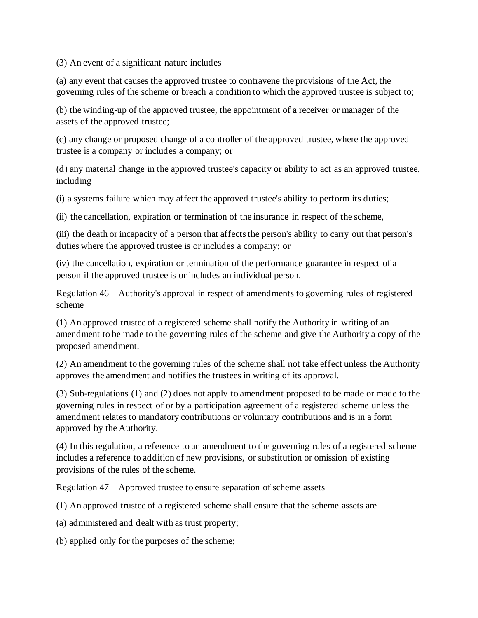(3) An event of a significant nature includes

(a) any event that causes the approved trustee to contravene the provisions of the Act, the governing rules of the scheme or breach a condition to which the approved trustee is subject to;

(b) the winding-up of the approved trustee, the appointment of a receiver or manager of the assets of the approved trustee;

(c) any change or proposed change of a controller of the approved trustee, where the approved trustee is a company or includes a company; or

(d) any material change in the approved trustee's capacity or ability to act as an approved trustee, including

(i) a systems failure which may affect the approved trustee's ability to perform its duties;

(ii) the cancellation, expiration or termination of the insurance in respect of the scheme,

(iii) the death or incapacity of a person that affects the person's ability to carry out that person's duties where the approved trustee is or includes a company; or

(iv) the cancellation, expiration or termination of the performance guarantee in respect of a person if the approved trustee is or includes an individual person.

Regulation 46—Authority's approval in respect of amendments to governing rules of registered scheme

(1) An approved trustee of a registered scheme shall notify the Authority in writing of an amendment to be made to the governing rules of the scheme and give the Authority a copy of the proposed amendment.

(2) An amendment to the governing rules of the scheme shall not take effect unless the Authority approves the amendment and notifies the trustees in writing of its approval.

(3) Sub-regulations (1) and (2) does not apply to amendment proposed to be made or made to the governing rules in respect of or by a participation agreement of a registered scheme unless the amendment relates to mandatory contributions or voluntary contributions and is in a form approved by the Authority.

(4) In this regulation, a reference to an amendment to the governing rules of a registered scheme includes a reference to addition of new provisions, or substitution or omission of existing provisions of the rules of the scheme.

Regulation 47—Approved trustee to ensure separation of scheme assets

(1) An approved trustee of a registered scheme shall ensure that the scheme assets are

(a) administered and dealt with as trust property;

(b) applied only for the purposes of the scheme;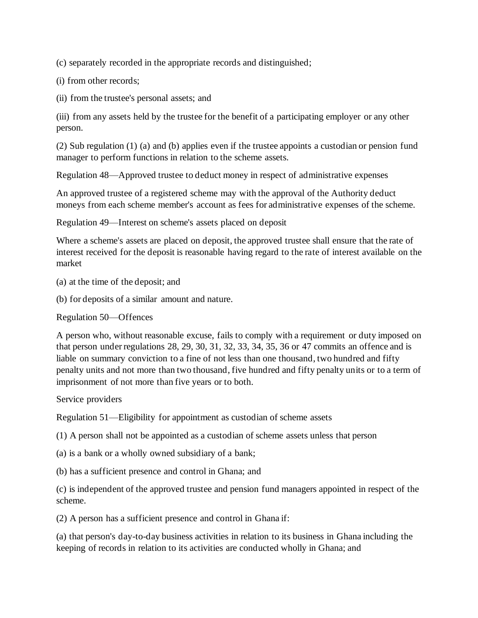(c) separately recorded in the appropriate records and distinguished;

(i) from other records;

(ii) from the trustee's personal assets; and

(iii) from any assets held by the trustee for the benefit of a participating employer or any other person.

(2) Sub regulation (1) (a) and (b) applies even if the trustee appoints a custodian or pension fund manager to perform functions in relation to the scheme assets.

Regulation 48—Approved trustee to deduct money in respect of administrative expenses

An approved trustee of a registered scheme may with the approval of the Authority deduct moneys from each scheme member's account as fees for administrative expenses of the scheme.

Regulation 49—Interest on scheme's assets placed on deposit

Where a scheme's assets are placed on deposit, the approved trustee shall ensure that the rate of interest received for the deposit is reasonable having regard to the rate of interest available on the market

(a) at the time of the deposit; and

(b) for deposits of a similar amount and nature.

Regulation 50—Offences

A person who, without reasonable excuse, fails to comply with a requirement or duty imposed on that person under regulations 28, 29, 30, 31, 32, 33, 34, 35, 36 or 47 commits an offence and is liable on summary conviction to a fine of not less than one thousand, two hundred and fifty penalty units and not more than two thousand, five hundred and fifty penalty units or to a term of imprisonment of not more than five years or to both.

Service providers

Regulation 51—Eligibility for appointment as custodian of scheme assets

(1) A person shall not be appointed as a custodian of scheme assets unless that person

(a) is a bank or a wholly owned subsidiary of a bank;

(b) has a sufficient presence and control in Ghana; and

(c) is independent of the approved trustee and pension fund managers appointed in respect of the scheme.

(2) A person has a sufficient presence and control in Ghana if:

(a) that person's day-to-day business activities in relation to its business in Ghana including the keeping of records in relation to its activities are conducted wholly in Ghana; and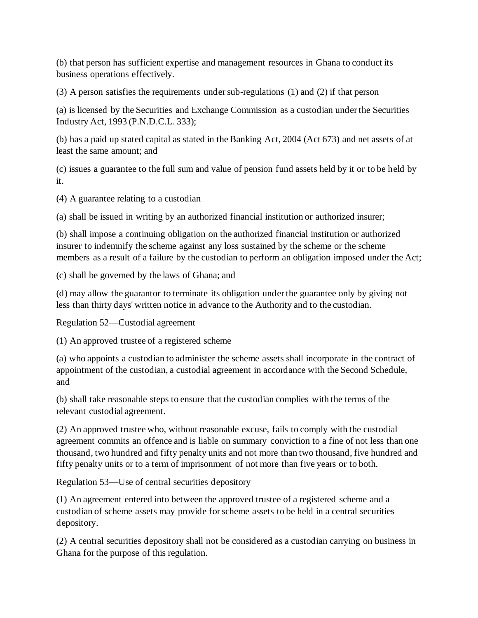(b) that person has sufficient expertise and management resources in Ghana to conduct its business operations effectively.

(3) A person satisfies the requirements under sub-regulations (1) and (2) if that person

(a) is licensed by the Securities and Exchange Commission as a custodian under the Securities Industry Act, 1993 (P.N.D.C.L. 333);

(b) has a paid up stated capital as stated in the Banking Act, 2004 (Act 673) and net assets of at least the same amount; and

(c) issues a guarantee to the full sum and value of pension fund assets held by it or to be held by it.

(4) A guarantee relating to a custodian

(a) shall be issued in writing by an authorized financial institution or authorized insurer;

(b) shall impose a continuing obligation on the authorized financial institution or authorized insurer to indemnify the scheme against any loss sustained by the scheme or the scheme members as a result of a failure by the custodian to perform an obligation imposed under the Act;

(c) shall be governed by the laws of Ghana; and

(d) may allow the guarantor to terminate its obligation under the guarantee only by giving not less than thirty days' written notice in advance to the Authority and to the custodian.

Regulation 52—Custodial agreement

(1) An approved trustee of a registered scheme

(a) who appoints a custodian to administer the scheme assets shall incorporate in the contract of appointment of the custodian, a custodial agreement in accordance with the Second Schedule, and

(b) shall take reasonable steps to ensure that the custodian complies with the terms of the relevant custodial agreement.

(2) An approved trustee who, without reasonable excuse, fails to comply with the custodial agreement commits an offence and is liable on summary conviction to a fine of not less than one thousand, two hundred and fifty penalty units and not more than two thousand, five hundred and fifty penalty units or to a term of imprisonment of not more than five years or to both.

Regulation 53—Use of central securities depository

(1) An agreement entered into between the approved trustee of a registered scheme and a custodian of scheme assets may provide for scheme assets to be held in a central securities depository.

(2) A central securities depository shall not be considered as a custodian carrying on business in Ghana for the purpose of this regulation.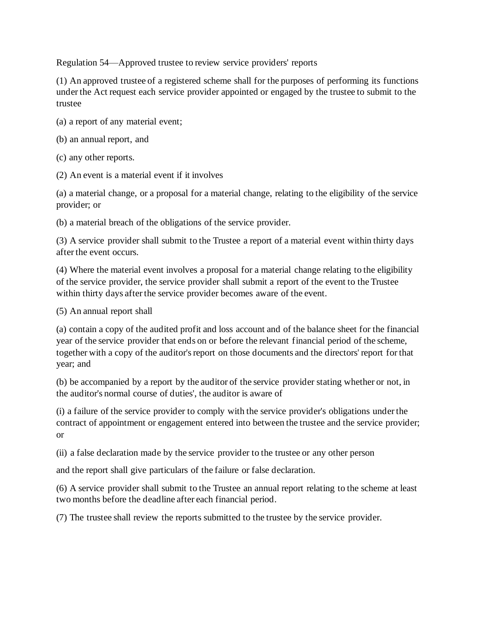Regulation 54—Approved trustee to review service providers' reports

(1) An approved trustee of a registered scheme shall for the purposes of performing its functions under the Act request each service provider appointed or engaged by the trustee to submit to the trustee

- (a) a report of any material event;
- (b) an annual report, and
- (c) any other reports.
- (2) An event is a material event if it involves

(a) a material change, or a proposal for a material change, relating to the eligibility of the service provider; or

(b) a material breach of the obligations of the service provider.

(3) A service provider shall submit to the Trustee a report of a material event within thirty days after the event occurs.

(4) Where the material event involves a proposal for a material change relating to the eligibility of the service provider, the service provider shall submit a report of the event to the Trustee within thirty days after the service provider becomes aware of the event.

(5) An annual report shall

(a) contain a copy of the audited profit and loss account and of the balance sheet for the financial year of the service provider that ends on or before the relevant financial period of the scheme, together with a copy of the auditor's report on those documents and the directors' report for that year; and

(b) be accompanied by a report by the auditor of the service provider stating whether or not, in the auditor's normal course of duties', the auditor is aware of

(i) a failure of the service provider to comply with the service provider's obligations under the contract of appointment or engagement entered into between the trustee and the service provider; or

(ii) a false declaration made by the service provider to the trustee or any other person

and the report shall give particulars of the failure or false declaration.

(6) A service provider shall submit to the Trustee an annual report relating to the scheme at least two months before the deadline after each financial period.

(7) The trustee shall review the reports submitted to the trustee by the service provider.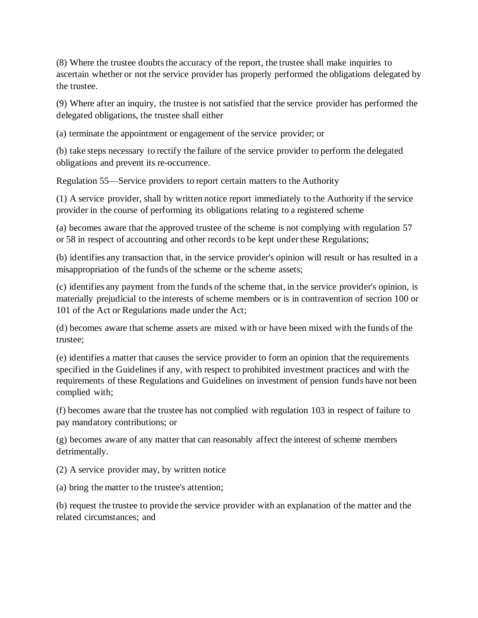(8) Where the trustee doubts the accuracy of the report, the trustee shall make inquiries to ascertain whether or not the service provider has properly performed the obligations delegated by the trustee.

(9) Where after an inquiry, the trustee is not satisfied that the service provider has performed the delegated obligations, the trustee shall either

(a) terminate the appointment or engagement of the service provider; or

(b) take steps necessary to rectify the failure of the service provider to perform the delegated obligations and prevent its re-occurrence.

Regulation 55—Service providers to report certain matters to the Authority

(1) A service provider, shall by written notice report immediately to the Authority if the service provider in the course of performing its obligations relating to a registered scheme

(a) becomes aware that the approved trustee of the scheme is not complying with regulation 57 or 58 in respect of accounting and other records to be kept under these Regulations;

(b) identifies any transaction that, in the service provider's opinion will result or has resulted in a misappropriation of the funds of the scheme or the scheme assets;

(c) identifies any payment from the funds of the scheme that, in the service provider's opinion, is materially prejudicial to the interests of scheme members or is in contravention of section 100 or 101 of the Act or Regulations made under the Act;

(d) becomes aware that scheme assets are mixed with or have been mixed with the funds of the trustee;

(e) identifies a matter that causes the service provider to form an opinion that the requirements specified in the Guidelines if any, with respect to prohibited investment practices and with the requirements of these Regulations and Guidelines on investment of pension funds have not been complied with;

(f) becomes aware that the trustee has not complied with regulation 103 in respect of failure to pay mandatory contributions; or

(g) becomes aware of any matter that can reasonably affect the interest of scheme members detrimentally.

(2) A service provider may, by written notice

(a) bring the matter to the trustee's attention;

(b) request the trustee to provide the service provider with an explanation of the matter and the related circumstances; and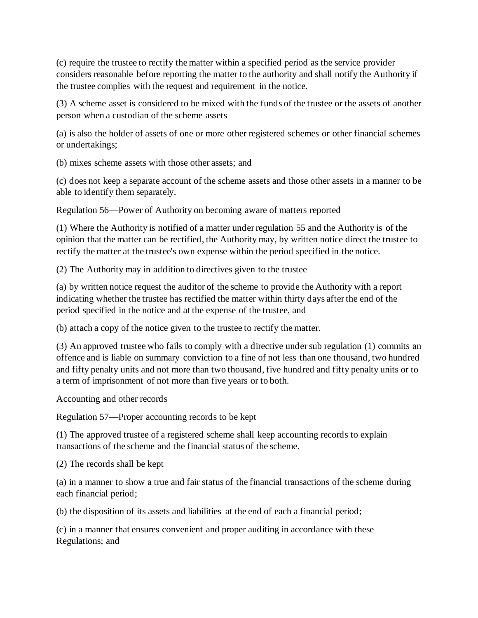(c) require the trustee to rectify the matter within a specified period as the service provider considers reasonable before reporting the matter to the authority and shall notify the Authority if the trustee complies with the request and requirement in the notice.

(3) A scheme asset is considered to be mixed with the funds of the trustee or the assets of another person when a custodian of the scheme assets

(a) is also the holder of assets of one or more other registered schemes or other financial schemes or undertakings;

(b) mixes scheme assets with those other assets; and

(c) does not keep a separate account of the scheme assets and those other assets in a manner to be able to identify them separately.

Regulation 56—Power of Authority on becoming aware of matters reported

(1) Where the Authority is notified of a matter under regulation 55 and the Authority is of the opinion that the matter can be rectified, the Authority may, by written notice direct the trustee to rectify the matter at the trustee's own expense within the period specified in the notice.

(2) The Authority may in addition to directives given to the trustee

(a) by written notice request the auditor of the scheme to provide the Authority with a report indicating whether the trustee has rectified the matter within thirty days after the end of the period specified in the notice and at the expense of the trustee, and

(b) attach a copy of the notice given to the trustee to rectify the matter.

(3) An approved trustee who fails to comply with a directive under sub regulation (1) commits an offence and is liable on summary conviction to a fine of not less than one thousand, two hundred and fifty penalty units and not more than two thousand, five hundred and fifty penalty units or to a term of imprisonment of not more than five years or to both.

Accounting and other records

Regulation 57—Proper accounting records to be kept

(1) The approved trustee of a registered scheme shall keep accounting records to explain transactions of the scheme and the financial status of the scheme.

(2) The records shall be kept

(a) in a manner to show a true and fair status of the financial transactions of the scheme during each financial period;

(b) the disposition of its assets and liabilities at the end of each a financial period;

(c) in a manner that ensures convenient and proper auditing in accordance with these Regulations; and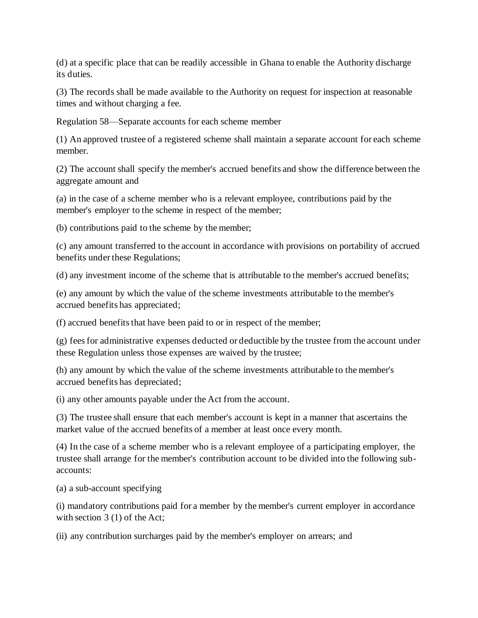(d) at a specific place that can be readily accessible in Ghana to enable the Authority discharge its duties.

(3) The records shall be made available to the Authority on request for inspection at reasonable times and without charging a fee.

Regulation 58—Separate accounts for each scheme member

(1) An approved trustee of a registered scheme shall maintain a separate account for each scheme member.

(2) The account shall specify the member's accrued benefits and show the difference between the aggregate amount and

(a) in the case of a scheme member who is a relevant employee, contributions paid by the member's employer to the scheme in respect of the member;

(b) contributions paid to the scheme by the member;

(c) any amount transferred to the account in accordance with provisions on portability of accrued benefits under these Regulations;

(d) any investment income of the scheme that is attributable to the member's accrued benefits;

(e) any amount by which the value of the scheme investments attributable to the member's accrued benefits has appreciated;

(f) accrued benefits that have been paid to or in respect of the member;

(g) fees for administrative expenses deducted or deductible by the trustee from the account under these Regulation unless those expenses are waived by the trustee;

(h) any amount by which the value of the scheme investments attributable to the member's accrued benefits has depreciated;

(i) any other amounts payable under the Act from the account.

(3) The trustee shall ensure that each member's account is kept in a manner that ascertains the market value of the accrued benefits of a member at least once every month.

(4) In the case of a scheme member who is a relevant employee of a participating employer, the trustee shall arrange for the member's contribution account to be divided into the following subaccounts:

(a) a sub-account specifying

(i) mandatory contributions paid for a member by the member's current employer in accordance with section 3 (1) of the Act;

(ii) any contribution surcharges paid by the member's employer on arrears; and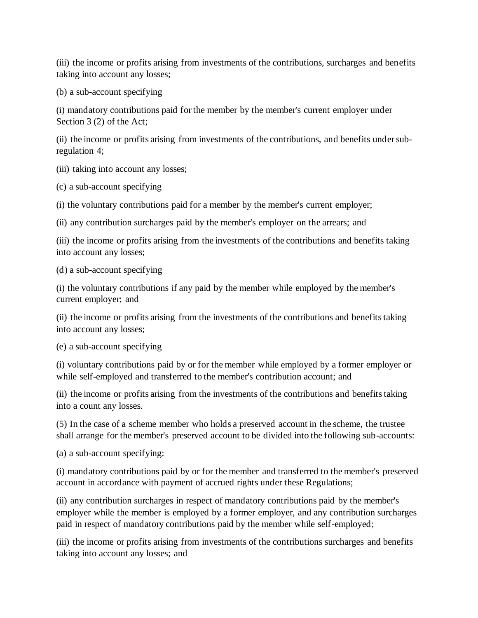(iii) the income or profits arising from investments of the contributions, surcharges and benefits taking into account any losses;

(b) a sub-account specifying

(i) mandatory contributions paid for the member by the member's current employer under Section 3 (2) of the Act;

(ii) the income or profits arising from investments of the contributions, and benefits under subregulation 4;

(iii) taking into account any losses;

(c) a sub-account specifying

(i) the voluntary contributions paid for a member by the member's current employer;

(ii) any contribution surcharges paid by the member's employer on the arrears; and

(iii) the income or profits arising from the investments of the contributions and benefits taking into account any losses;

(d) a sub-account specifying

(i) the voluntary contributions if any paid by the member while employed by the member's current employer; and

(ii) the income or profits arising from the investments of the contributions and benefits taking into account any losses;

(e) a sub-account specifying

(i) voluntary contributions paid by or for the member while employed by a former employer or while self-employed and transferred to the member's contribution account; and

(ii) the income or profits arising from the investments of the contributions and benefits taking into a count any losses.

(5) In the case of a scheme member who holds a preserved account in the scheme, the trustee shall arrange for the member's preserved account to be divided into the following sub-accounts:

(a) a sub-account specifying:

(i) mandatory contributions paid by or for the member and transferred to the member's preserved account in accordance with payment of accrued rights under these Regulations;

(ii) any contribution surcharges in respect of mandatory contributions paid by the member's employer while the member is employed by a former employer, and any contribution surcharges paid in respect of mandatory contributions paid by the member while self-employed;

(iii) the income or profits arising from investments of the contributions surcharges and benefits taking into account any losses; and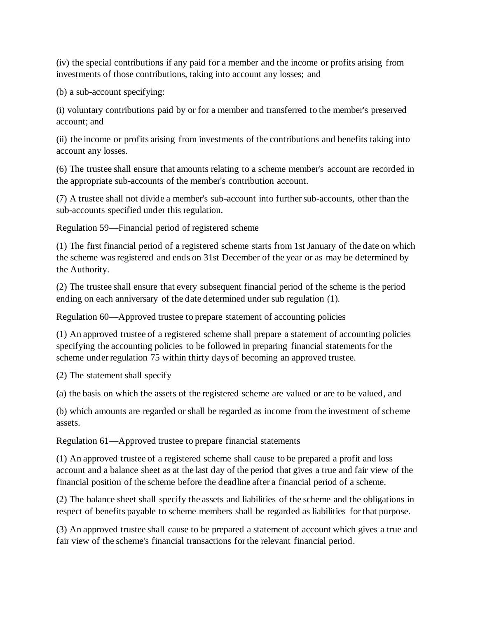(iv) the special contributions if any paid for a member and the income or profits arising from investments of those contributions, taking into account any losses; and

(b) a sub-account specifying:

(i) voluntary contributions paid by or for a member and transferred to the member's preserved account; and

(ii) the income or profits arising from investments of the contributions and benefits taking into account any losses.

(6) The trustee shall ensure that amounts relating to a scheme member's account are recorded in the appropriate sub-accounts of the member's contribution account.

(7) A trustee shall not divide a member's sub-account into further sub-accounts, other than the sub-accounts specified under this regulation.

Regulation 59—Financial period of registered scheme

(1) The first financial period of a registered scheme starts from 1st January of the date on which the scheme was registered and ends on 31st December of the year or as may be determined by the Authority.

(2) The trustee shall ensure that every subsequent financial period of the scheme is the period ending on each anniversary of the date determined under sub regulation (1).

Regulation 60—Approved trustee to prepare statement of accounting policies

(1) An approved trustee of a registered scheme shall prepare a statement of accounting policies specifying the accounting policies to be followed in preparing financial statements for the scheme under regulation 75 within thirty days of becoming an approved trustee.

(2) The statement shall specify

(a) the basis on which the assets of the registered scheme are valued or are to be valued, and

(b) which amounts are regarded or shall be regarded as income from the investment of scheme assets.

Regulation 61—Approved trustee to prepare financial statements

(1) An approved trustee of a registered scheme shall cause to be prepared a profit and loss account and a balance sheet as at the last day of the period that gives a true and fair view of the financial position of the scheme before the deadline after a financial period of a scheme.

(2) The balance sheet shall specify the assets and liabilities of the scheme and the obligations in respect of benefits payable to scheme members shall be regarded as liabilities for that purpose.

(3) An approved trustee shall cause to be prepared a statement of account which gives a true and fair view of the scheme's financial transactions for the relevant financial period.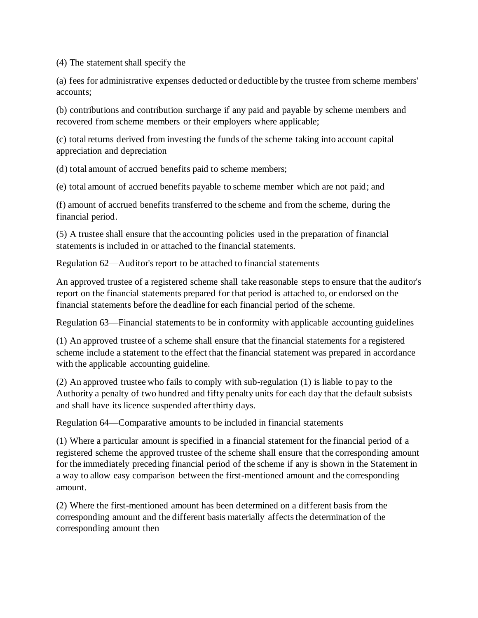(4) The statement shall specify the

(a) fees for administrative expenses deducted or deductible by the trustee from scheme members' accounts;

(b) contributions and contribution surcharge if any paid and payable by scheme members and recovered from scheme members or their employers where applicable;

(c) total returns derived from investing the funds of the scheme taking into account capital appreciation and depreciation

(d) total amount of accrued benefits paid to scheme members;

(e) total amount of accrued benefits payable to scheme member which are not paid; and

(f) amount of accrued benefits transferred to the scheme and from the scheme, during the financial period.

(5) A trustee shall ensure that the accounting policies used in the preparation of financial statements is included in or attached to the financial statements.

Regulation 62—Auditor's report to be attached to financial statements

An approved trustee of a registered scheme shall take reasonable steps to ensure that the auditor's report on the financial statements prepared for that period is attached to, or endorsed on the financial statements before the deadline for each financial period of the scheme.

Regulation 63—Financial statements to be in conformity with applicable accounting guidelines

(1) An approved trustee of a scheme shall ensure that the financial statements for a registered scheme include a statement to the effect that the financial statement was prepared in accordance with the applicable accounting guideline.

(2) An approved trustee who fails to comply with sub-regulation (1) is liable to pay to the Authority a penalty of two hundred and fifty penalty units for each day that the default subsists and shall have its licence suspended after thirty days.

Regulation 64—Comparative amounts to be included in financial statements

(1) Where a particular amount is specified in a financial statement for the financial period of a registered scheme the approved trustee of the scheme shall ensure that the corresponding amount for the immediately preceding financial period of the scheme if any is shown in the Statement in a way to allow easy comparison between the first-mentioned amount and the corresponding amount.

(2) Where the first-mentioned amount has been determined on a different basis from the corresponding amount and the different basis materially affects the determination of the corresponding amount then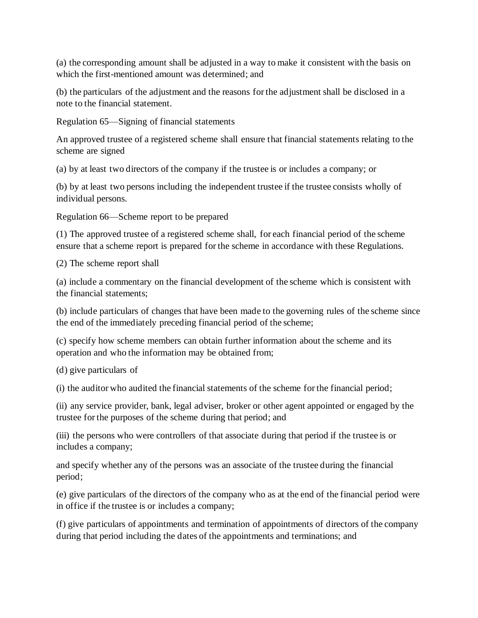(a) the corresponding amount shall be adjusted in a way to make it consistent with the basis on which the first-mentioned amount was determined; and

(b) the particulars of the adjustment and the reasons for the adjustment shall be disclosed in a note to the financial statement.

Regulation 65—Signing of financial statements

An approved trustee of a registered scheme shall ensure that financial statements relating to the scheme are signed

(a) by at least two directors of the company if the trustee is or includes a company; or

(b) by at least two persons including the independent trustee if the trustee consists wholly of individual persons.

Regulation 66—Scheme report to be prepared

(1) The approved trustee of a registered scheme shall, for each financial period of the scheme ensure that a scheme report is prepared for the scheme in accordance with these Regulations.

(2) The scheme report shall

(a) include a commentary on the financial development of the scheme which is consistent with the financial statements;

(b) include particulars of changes that have been made to the governing rules of the scheme since the end of the immediately preceding financial period of the scheme;

(c) specify how scheme members can obtain further information about the scheme and its operation and who the information may be obtained from;

(d) give particulars of

(i) the auditor who audited the financial statements of the scheme for the financial period;

(ii) any service provider, bank, legal adviser, broker or other agent appointed or engaged by the trustee for the purposes of the scheme during that period; and

(iii) the persons who were controllers of that associate during that period if the trustee is or includes a company;

and specify whether any of the persons was an associate of the trustee during the financial period;

(e) give particulars of the directors of the company who as at the end of the financial period were in office if the trustee is or includes a company;

(f) give particulars of appointments and termination of appointments of directors of the company during that period including the dates of the appointments and terminations; and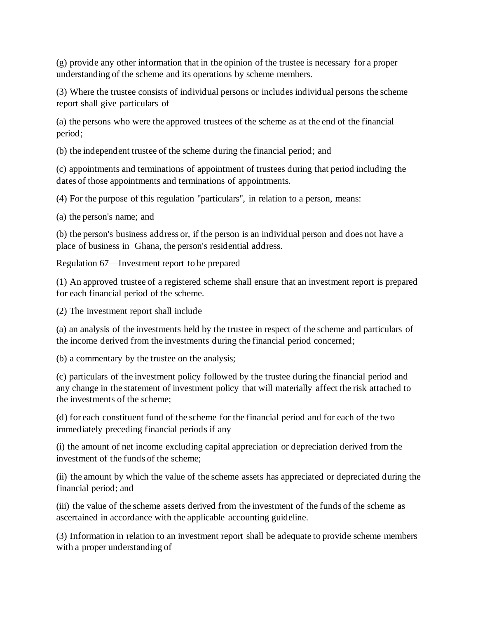(g) provide any other information that in the opinion of the trustee is necessary for a proper understanding of the scheme and its operations by scheme members.

(3) Where the trustee consists of individual persons or includes individual persons the scheme report shall give particulars of

(a) the persons who were the approved trustees of the scheme as at the end of the financial period;

(b) the independent trustee of the scheme during the financial period; and

(c) appointments and terminations of appointment of trustees during that period including the dates of those appointments and terminations of appointments.

(4) For the purpose of this regulation "particulars", in relation to a person, means:

(a) the person's name; and

(b) the person's business address or, if the person is an individual person and does not have a place of business in Ghana, the person's residential address.

Regulation 67—Investment report to be prepared

(1) An approved trustee of a registered scheme shall ensure that an investment report is prepared for each financial period of the scheme.

(2) The investment report shall include

(a) an analysis of the investments held by the trustee in respect of the scheme and particulars of the income derived from the investments during the financial period concerned;

(b) a commentary by the trustee on the analysis;

(c) particulars of the investment policy followed by the trustee during the financial period and any change in the statement of investment policy that will materially affect the risk attached to the investments of the scheme;

(d) for each constituent fund of the scheme for the financial period and for each of the two immediately preceding financial periods if any

(i) the amount of net income excluding capital appreciation or depreciation derived from the investment of the funds of the scheme;

(ii) the amount by which the value of the scheme assets has appreciated or depreciated during the financial period; and

(iii) the value of the scheme assets derived from the investment of the funds of the scheme as ascertained in accordance with the applicable accounting guideline.

(3) Information in relation to an investment report shall be adequate to provide scheme members with a proper understanding of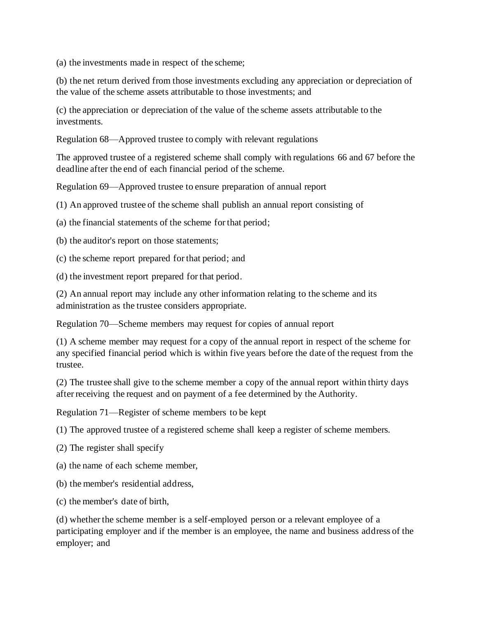(a) the investments made in respect of the scheme;

(b) the net return derived from those investments excluding any appreciation or depreciation of the value of the scheme assets attributable to those investments; and

(c) the appreciation or depreciation of the value of the scheme assets attributable to the investments.

Regulation 68—Approved trustee to comply with relevant regulations

The approved trustee of a registered scheme shall comply with regulations 66 and 67 before the deadline after the end of each financial period of the scheme.

Regulation 69—Approved trustee to ensure preparation of annual report

(1) An approved trustee of the scheme shall publish an annual report consisting of

(a) the financial statements of the scheme for that period;

(b) the auditor's report on those statements;

(c) the scheme report prepared for that period; and

(d) the investment report prepared for that period.

(2) An annual report may include any other information relating to the scheme and its administration as the trustee considers appropriate.

Regulation 70—Scheme members may request for copies of annual report

(1) A scheme member may request for a copy of the annual report in respect of the scheme for any specified financial period which is within five years before the date of the request from the trustee.

(2) The trustee shall give to the scheme member a copy of the annual report within thirty days after receiving the request and on payment of a fee determined by the Authority.

Regulation 71—Register of scheme members to be kept

(1) The approved trustee of a registered scheme shall keep a register of scheme members.

(2) The register shall specify

(a) the name of each scheme member,

(b) the member's residential address,

(c) the member's date of birth,

(d) whether the scheme member is a self-employed person or a relevant employee of a participating employer and if the member is an employee, the name and business address of the employer; and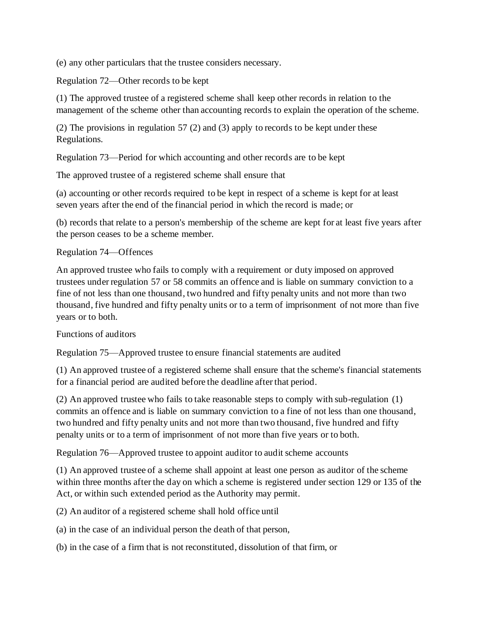(e) any other particulars that the trustee considers necessary.

Regulation 72—Other records to be kept

(1) The approved trustee of a registered scheme shall keep other records in relation to the management of the scheme other than accounting records to explain the operation of the scheme.

(2) The provisions in regulation 57 (2) and (3) apply to records to be kept under these Regulations.

Regulation 73—Period for which accounting and other records are to be kept

The approved trustee of a registered scheme shall ensure that

(a) accounting or other records required to be kept in respect of a scheme is kept for at least seven years after the end of the financial period in which the record is made; or

(b) records that relate to a person's membership of the scheme are kept for at least five years after the person ceases to be a scheme member.

Regulation 74—Offences

An approved trustee who fails to comply with a requirement or duty imposed on approved trustees under regulation 57 or 58 commits an offence and is liable on summary conviction to a fine of not less than one thousand, two hundred and fifty penalty units and not more than two thousand, five hundred and fifty penalty units or to a term of imprisonment of not more than five years or to both.

Functions of auditors

Regulation 75—Approved trustee to ensure financial statements are audited

(1) An approved trustee of a registered scheme shall ensure that the scheme's financial statements for a financial period are audited before the deadline after that period.

(2) An approved trustee who fails to take reasonable steps to comply with sub-regulation (1) commits an offence and is liable on summary conviction to a fine of not less than one thousand, two hundred and fifty penalty units and not more than two thousand, five hundred and fifty penalty units or to a term of imprisonment of not more than five years or to both.

Regulation 76—Approved trustee to appoint auditor to audit scheme accounts

(1) An approved trustee of a scheme shall appoint at least one person as auditor of the scheme within three months after the day on which a scheme is registered under section 129 or 135 of the Act, or within such extended period as the Authority may permit.

(2) An auditor of a registered scheme shall hold office until

(a) in the case of an individual person the death of that person,

(b) in the case of a firm that is not reconstituted, dissolution of that firm, or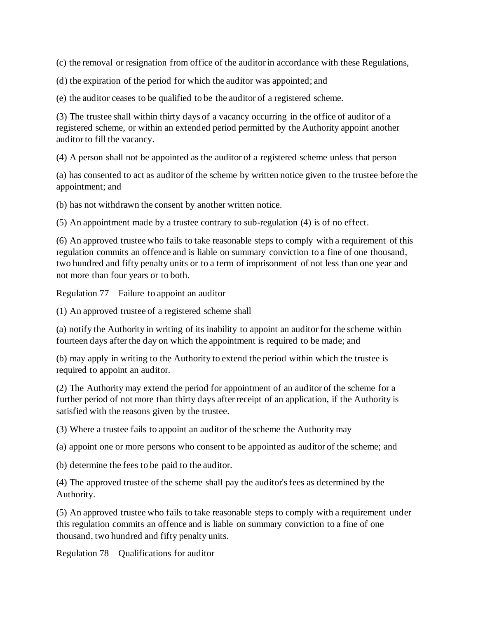(c) the removal or resignation from office of the auditor in accordance with these Regulations,

(d) the expiration of the period for which the auditor was appointed; and

(e) the auditor ceases to be qualified to be the auditor of a registered scheme.

(3) The trustee shall within thirty days of a vacancy occurring in the office of auditor of a registered scheme, or within an extended period permitted by the Authority appoint another auditor to fill the vacancy.

(4) A person shall not be appointed as the auditor of a registered scheme unless that person

(a) has consented to act as auditor of the scheme by written notice given to the trustee before the appointment; and

(b) has not withdrawn the consent by another written notice.

(5) An appointment made by a trustee contrary to sub-regulation (4) is of no effect.

(6) An approved trustee who fails to take reasonable steps to comply with a requirement of this regulation commits an offence and is liable on summary conviction to a fine of one thousand, two hundred and fifty penalty units or to a term of imprisonment of not less than one year and not more than four years or to both.

Regulation 77—Failure to appoint an auditor

(1) An approved trustee of a registered scheme shall

(a) notify the Authority in writing of its inability to appoint an auditor for the scheme within fourteen days after the day on which the appointment is required to be made; and

(b) may apply in writing to the Authority to extend the period within which the trustee is required to appoint an auditor.

(2) The Authority may extend the period for appointment of an auditor of the scheme for a further period of not more than thirty days after receipt of an application, if the Authority is satisfied with the reasons given by the trustee.

(3) Where a trustee fails to appoint an auditor of the scheme the Authority may

(a) appoint one or more persons who consent to be appointed as auditor of the scheme; and

(b) determine the fees to be paid to the auditor.

(4) The approved trustee of the scheme shall pay the auditor's fees as determined by the Authority.

(5) An approved trustee who fails to take reasonable steps to comply with a requirement under this regulation commits an offence and is liable on summary conviction to a fine of one thousand, two hundred and fifty penalty units.

Regulation 78—Qualifications for auditor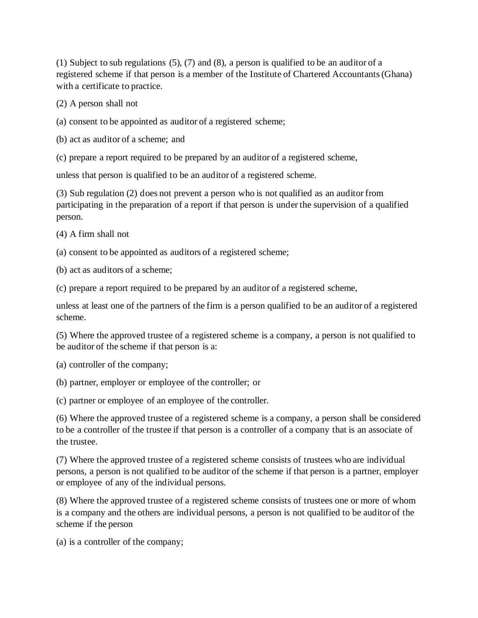(1) Subject to sub regulations (5), (7) and (8), a person is qualified to be an auditor of a registered scheme if that person is a member of the Institute of Chartered Accountants (Ghana) with a certificate to practice.

(2) A person shall not

- (a) consent to be appointed as auditor of a registered scheme;
- (b) act as auditor of a scheme; and
- (c) prepare a report required to be prepared by an auditor of a registered scheme,

unless that person is qualified to be an auditor of a registered scheme.

(3) Sub regulation (2) does not prevent a person who is not qualified as an auditor from participating in the preparation of a report if that person is under the supervision of a qualified person.

(4) A firm shall not

(a) consent to be appointed as auditors of a registered scheme;

(b) act as auditors of a scheme;

(c) prepare a report required to be prepared by an auditor of a registered scheme,

unless at least one of the partners of the firm is a person qualified to be an auditor of a registered scheme.

(5) Where the approved trustee of a registered scheme is a company, a person is not qualified to be auditor of the scheme if that person is a:

(a) controller of the company;

(b) partner, employer or employee of the controller; or

(c) partner or employee of an employee of the controller.

(6) Where the approved trustee of a registered scheme is a company, a person shall be considered to be a controller of the trustee if that person is a controller of a company that is an associate of the trustee.

(7) Where the approved trustee of a registered scheme consists of trustees who are individual persons, a person is not qualified to be auditor of the scheme if that person is a partner, employer or employee of any of the individual persons.

(8) Where the approved trustee of a registered scheme consists of trustees one or more of whom is a company and the others are individual persons, a person is not qualified to be auditor of the scheme if the person

(a) is a controller of the company;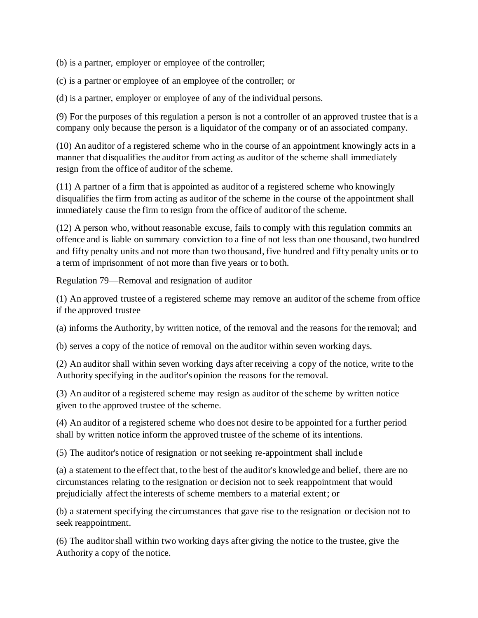(b) is a partner, employer or employee of the controller;

(c) is a partner or employee of an employee of the controller; or

(d) is a partner, employer or employee of any of the individual persons.

(9) For the purposes of this regulation a person is not a controller of an approved trustee that is a company only because the person is a liquidator of the company or of an associated company.

(10) An auditor of a registered scheme who in the course of an appointment knowingly acts in a manner that disqualifies the auditor from acting as auditor of the scheme shall immediately resign from the office of auditor of the scheme.

(11) A partner of a firm that is appointed as auditor of a registered scheme who knowingly disqualifies the firm from acting as auditor of the scheme in the course of the appointment shall immediately cause the firm to resign from the office of auditor of the scheme.

(12) A person who, without reasonable excuse, fails to comply with this regulation commits an offence and is liable on summary conviction to a fine of not less than one thousand, two hundred and fifty penalty units and not more than two thousand, five hundred and fifty penalty units or to a term of imprisonment of not more than five years or to both.

Regulation 79—Removal and resignation of auditor

(1) An approved trustee of a registered scheme may remove an auditor of the scheme from office if the approved trustee

(a) informs the Authority, by written notice, of the removal and the reasons for the removal; and

(b) serves a copy of the notice of removal on the auditor within seven working days.

(2) An auditor shall within seven working days after receiving a copy of the notice, write to the Authority specifying in the auditor's opinion the reasons for the removal.

(3) An auditor of a registered scheme may resign as auditor of the scheme by written notice given to the approved trustee of the scheme.

(4) An auditor of a registered scheme who does not desire to be appointed for a further period shall by written notice inform the approved trustee of the scheme of its intentions.

(5) The auditor's notice of resignation or not seeking re-appointment shall include

(a) a statement to the effect that, to the best of the auditor's knowledge and belief, there are no circumstances relating to the resignation or decision not to seek reappointment that would prejudicially affect the interests of scheme members to a material extent; or

(b) a statement specifying the circumstances that gave rise to the resignation or decision not to seek reappointment.

(6) The auditor shall within two working days after giving the notice to the trustee, give the Authority a copy of the notice.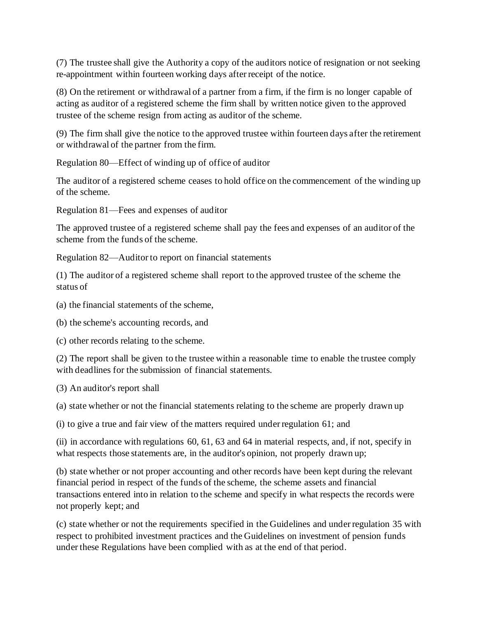(7) The trustee shall give the Authority a copy of the auditors notice of resignation or not seeking re-appointment within fourteen working days after receipt of the notice.

(8) On the retirement or withdrawal of a partner from a firm, if the firm is no longer capable of acting as auditor of a registered scheme the firm shall by written notice given to the approved trustee of the scheme resign from acting as auditor of the scheme.

(9) The firm shall give the notice to the approved trustee within fourteen days after the retirement or withdrawal of the partner from the firm.

Regulation 80—Effect of winding up of office of auditor

The auditor of a registered scheme ceases to hold office on the commencement of the winding up of the scheme.

Regulation 81—Fees and expenses of auditor

The approved trustee of a registered scheme shall pay the fees and expenses of an auditor of the scheme from the funds of the scheme.

Regulation 82—Auditor to report on financial statements

(1) The auditor of a registered scheme shall report to the approved trustee of the scheme the status of

(a) the financial statements of the scheme,

(b) the scheme's accounting records, and

(c) other records relating to the scheme.

(2) The report shall be given to the trustee within a reasonable time to enable the trustee comply with deadlines for the submission of financial statements.

(3) An auditor's report shall

(a) state whether or not the financial statements relating to the scheme are properly drawn up

(i) to give a true and fair view of the matters required under regulation 61; and

(ii) in accordance with regulations 60, 61, 63 and 64 in material respects, and, if not, specify in what respects those statements are, in the auditor's opinion, not properly drawn up;

(b) state whether or not proper accounting and other records have been kept during the relevant financial period in respect of the funds of the scheme, the scheme assets and financial transactions entered into in relation to the scheme and specify in what respects the records were not properly kept; and

(c) state whether or not the requirements specified in the Guidelines and under regulation 35 with respect to prohibited investment practices and the Guidelines on investment of pension funds under these Regulations have been complied with as at the end of that period.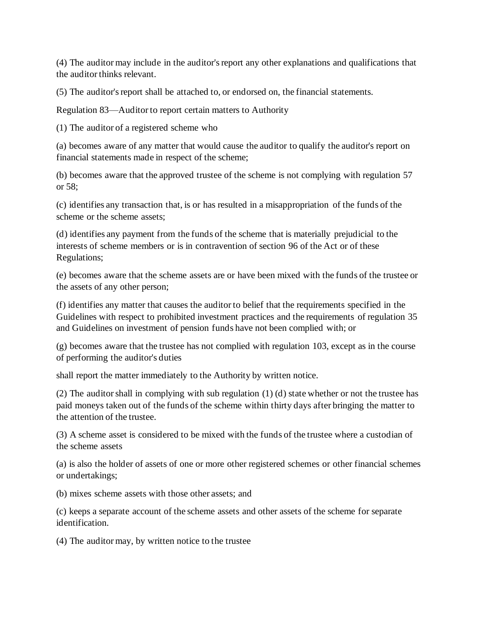(4) The auditor may include in the auditor's report any other explanations and qualifications that the auditor thinks relevant.

(5) The auditor's report shall be attached to, or endorsed on, the financial statements.

Regulation 83—Auditor to report certain matters to Authority

(1) The auditor of a registered scheme who

(a) becomes aware of any matter that would cause the auditor to qualify the auditor's report on financial statements made in respect of the scheme;

(b) becomes aware that the approved trustee of the scheme is not complying with regulation 57 or 58;

(c) identifies any transaction that, is or has resulted in a misappropriation of the funds of the scheme or the scheme assets;

(d) identifies any payment from the funds of the scheme that is materially prejudicial to the interests of scheme members or is in contravention of section 96 of the Act or of these Regulations;

(e) becomes aware that the scheme assets are or have been mixed with the funds of the trustee or the assets of any other person;

(f) identifies any matter that causes the auditor to belief that the requirements specified in the Guidelines with respect to prohibited investment practices and the requirements of regulation 35 and Guidelines on investment of pension funds have not been complied with; or

(g) becomes aware that the trustee has not complied with regulation 103, except as in the course of performing the auditor's duties

shall report the matter immediately to the Authority by written notice.

(2) The auditor shall in complying with sub regulation (1) (d) state whether or not the trustee has paid moneys taken out of the funds of the scheme within thirty days after bringing the matter to the attention of the trustee.

(3) A scheme asset is considered to be mixed with the funds of the trustee where a custodian of the scheme assets

(a) is also the holder of assets of one or more other registered schemes or other financial schemes or undertakings;

(b) mixes scheme assets with those other assets; and

(c) keeps a separate account of the scheme assets and other assets of the scheme for separate identification.

(4) The auditor may, by written notice to the trustee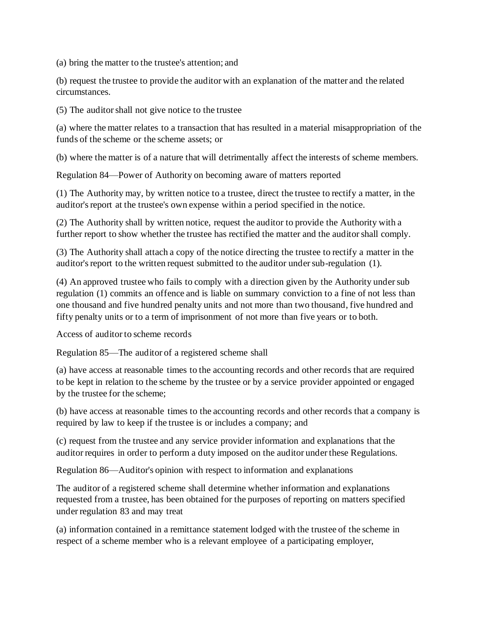(a) bring the matter to the trustee's attention; and

(b) request the trustee to provide the auditor with an explanation of the matter and the related circumstances.

(5) The auditor shall not give notice to the trustee

(a) where the matter relates to a transaction that has resulted in a material misappropriation of the funds of the scheme or the scheme assets; or

(b) where the matter is of a nature that will detrimentally affect the interests of scheme members.

Regulation 84—Power of Authority on becoming aware of matters reported

(1) The Authority may, by written notice to a trustee, direct the trustee to rectify a matter, in the auditor's report at the trustee's own expense within a period specified in the notice.

(2) The Authority shall by written notice, request the auditor to provide the Authority with a further report to show whether the trustee has rectified the matter and the auditor shall comply.

(3) The Authority shall attach a copy of the notice directing the trustee to rectify a matter in the auditor's report to the written request submitted to the auditor under sub-regulation (1).

(4) An approved trustee who fails to comply with a direction given by the Authority under sub regulation (1) commits an offence and is liable on summary conviction to a fine of not less than one thousand and five hundred penalty units and not more than two thousand, five hundred and fifty penalty units or to a term of imprisonment of not more than five years or to both.

Access of auditor to scheme records

Regulation 85—The auditor of a registered scheme shall

(a) have access at reasonable times to the accounting records and other records that are required to be kept in relation to the scheme by the trustee or by a service provider appointed or engaged by the trustee for the scheme;

(b) have access at reasonable times to the accounting records and other records that a company is required by law to keep if the trustee is or includes a company; and

(c) request from the trustee and any service provider information and explanations that the auditor requires in order to perform a duty imposed on the auditor under these Regulations.

Regulation 86—Auditor's opinion with respect to information and explanations

The auditor of a registered scheme shall determine whether information and explanations requested from a trustee, has been obtained for the purposes of reporting on matters specified under regulation 83 and may treat

(a) information contained in a remittance statement lodged with the trustee of the scheme in respect of a scheme member who is a relevant employee of a participating employer,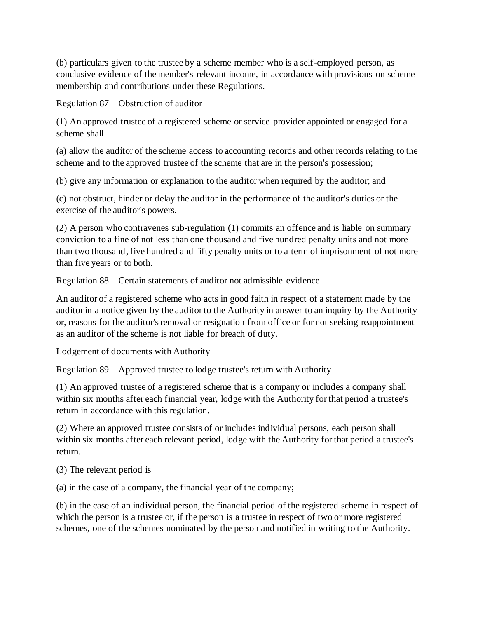(b) particulars given to the trustee by a scheme member who is a self-employed person, as conclusive evidence of the member's relevant income, in accordance with provisions on scheme membership and contributions under these Regulations.

Regulation 87—Obstruction of auditor

(1) An approved trustee of a registered scheme or service provider appointed or engaged for a scheme shall

(a) allow the auditor of the scheme access to accounting records and other records relating to the scheme and to the approved trustee of the scheme that are in the person's possession;

(b) give any information or explanation to the auditor when required by the auditor; and

(c) not obstruct, hinder or delay the auditor in the performance of the auditor's duties or the exercise of the auditor's powers.

(2) A person who contravenes sub-regulation (1) commits an offence and is liable on summary conviction to a fine of not less than one thousand and five hundred penalty units and not more than two thousand, five hundred and fifty penalty units or to a term of imprisonment of not more than five years or to both.

Regulation 88—Certain statements of auditor not admissible evidence

An auditor of a registered scheme who acts in good faith in respect of a statement made by the auditor in a notice given by the auditor to the Authority in answer to an inquiry by the Authority or, reasons for the auditor's removal or resignation from office or for not seeking reappointment as an auditor of the scheme is not liable for breach of duty.

Lodgement of documents with Authority

Regulation 89—Approved trustee to lodge trustee's return with Authority

(1) An approved trustee of a registered scheme that is a company or includes a company shall within six months after each financial year, lodge with the Authority for that period a trustee's return in accordance with this regulation.

(2) Where an approved trustee consists of or includes individual persons, each person shall within six months after each relevant period, lodge with the Authority for that period a trustee's return.

(3) The relevant period is

(a) in the case of a company, the financial year of the company;

(b) in the case of an individual person, the financial period of the registered scheme in respect of which the person is a trustee or, if the person is a trustee in respect of two or more registered schemes, one of the schemes nominated by the person and notified in writing to the Authority.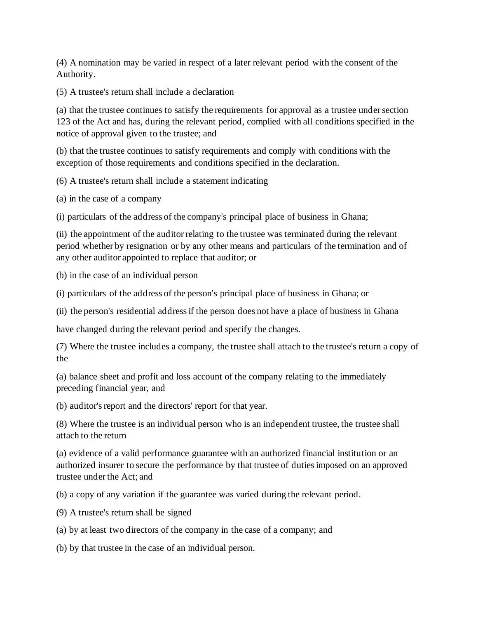(4) A nomination may be varied in respect of a later relevant period with the consent of the Authority.

(5) A trustee's return shall include a declaration

(a) that the trustee continues to satisfy the requirements for approval as a trustee under section 123 of the Act and has, during the relevant period, complied with all conditions specified in the notice of approval given to the trustee; and

(b) that the trustee continues to satisfy requirements and comply with conditions with the exception of those requirements and conditions specified in the declaration.

(6) A trustee's return shall include a statement indicating

(a) in the case of a company

(i) particulars of the address of the company's principal place of business in Ghana;

(ii) the appointment of the auditor relating to the trustee was terminated during the relevant period whether by resignation or by any other means and particulars of the termination and of any other auditor appointed to replace that auditor; or

(b) in the case of an individual person

(i) particulars of the address of the person's principal place of business in Ghana; or

(ii) the person's residential address if the person does not have a place of business in Ghana

have changed during the relevant period and specify the changes.

(7) Where the trustee includes a company, the trustee shall attach to the trustee's return a copy of the

(a) balance sheet and profit and loss account of the company relating to the immediately preceding financial year, and

(b) auditor's report and the directors' report for that year.

(8) Where the trustee is an individual person who is an independent trustee, the trustee shall attach to the return

(a) evidence of a valid performance guarantee with an authorized financial institution or an authorized insurer to secure the performance by that trustee of duties imposed on an approved trustee under the Act; and

(b) a copy of any variation if the guarantee was varied during the relevant period.

(9) A trustee's return shall be signed

(a) by at least two directors of the company in the case of a company; and

(b) by that trustee in the case of an individual person.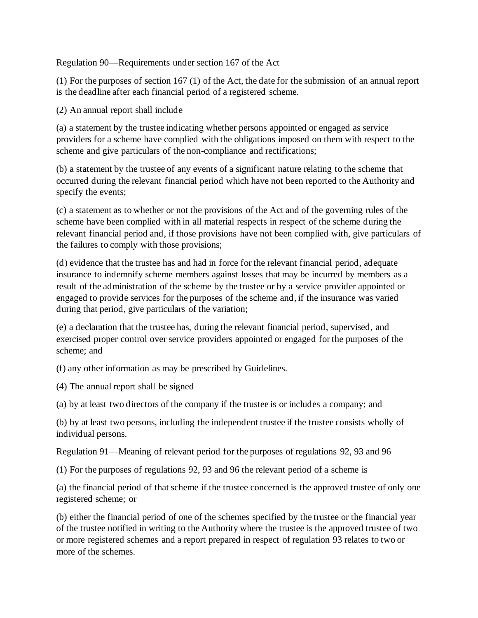Regulation 90—Requirements under section 167 of the Act

(1) For the purposes of section 167 (1) of the Act, the date for the submission of an annual report is the deadline after each financial period of a registered scheme.

(2) An annual report shall include

(a) a statement by the trustee indicating whether persons appointed or engaged as service providers for a scheme have complied with the obligations imposed on them with respect to the scheme and give particulars of the non-compliance and rectifications;

(b) a statement by the trustee of any events of a significant nature relating to the scheme that occurred during the relevant financial period which have not been reported to the Authority and specify the events;

(c) a statement as to whether or not the provisions of the Act and of the governing rules of the scheme have been complied with in all material respects in respect of the scheme during the relevant financial period and, if those provisions have not been complied with, give particulars of the failures to comply with those provisions;

(d) evidence that the trustee has and had in force for the relevant financial period, adequate insurance to indemnify scheme members against losses that may be incurred by members as a result of the administration of the scheme by the trustee or by a service provider appointed or engaged to provide services for the purposes of the scheme and, if the insurance was varied during that period, give particulars of the variation;

(e) a declaration that the trustee has, during the relevant financial period, supervised, and exercised proper control over service providers appointed or engaged for the purposes of the scheme; and

(f) any other information as may be prescribed by Guidelines.

(4) The annual report shall be signed

(a) by at least two directors of the company if the trustee is or includes a company; and

(b) by at least two persons, including the independent trustee if the trustee consists wholly of individual persons.

Regulation 91—Meaning of relevant period for the purposes of regulations 92, 93 and 96

(1) For the purposes of regulations 92, 93 and 96 the relevant period of a scheme is

(a) the financial period of that scheme if the trustee concerned is the approved trustee of only one registered scheme; or

(b) either the financial period of one of the schemes specified by the trustee or the financial year of the trustee notified in writing to the Authority where the trustee is the approved trustee of two or more registered schemes and a report prepared in respect of regulation 93 relates to two or more of the schemes.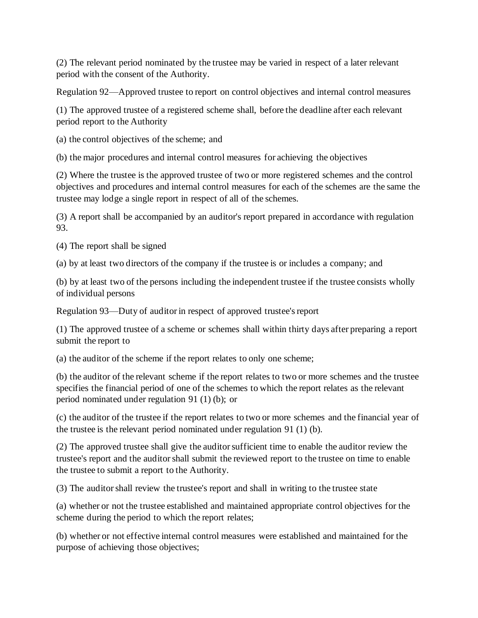(2) The relevant period nominated by the trustee may be varied in respect of a later relevant period with the consent of the Authority.

Regulation 92—Approved trustee to report on control objectives and internal control measures

(1) The approved trustee of a registered scheme shall, before the deadline after each relevant period report to the Authority

(a) the control objectives of the scheme; and

(b) the major procedures and internal control measures for achieving the objectives

(2) Where the trustee is the approved trustee of two or more registered schemes and the control objectives and procedures and internal control measures for each of the schemes are the same the trustee may lodge a single report in respect of all of the schemes.

(3) A report shall be accompanied by an auditor's report prepared in accordance with regulation 93.

(4) The report shall be signed

(a) by at least two directors of the company if the trustee is or includes a company; and

(b) by at least two of the persons including the independent trustee if the trustee consists wholly of individual persons

Regulation 93—Duty of auditor in respect of approved trustee's report

(1) The approved trustee of a scheme or schemes shall within thirty days after preparing a report submit the report to

(a) the auditor of the scheme if the report relates to only one scheme;

(b) the auditor of the relevant scheme if the report relates to two or more schemes and the trustee specifies the financial period of one of the schemes to which the report relates as the relevant period nominated under regulation 91 (1) (b); or

(c) the auditor of the trustee if the report relates to two or more schemes and the financial year of the trustee is the relevant period nominated under regulation 91 (1) (b).

(2) The approved trustee shall give the auditor sufficient time to enable the auditor review the trustee's report and the auditor shall submit the reviewed report to the trustee on time to enable the trustee to submit a report to the Authority.

(3) The auditor shall review the trustee's report and shall in writing to the trustee state

(a) whether or not the trustee established and maintained appropriate control objectives for the scheme during the period to which the report relates;

(b) whether or not effective internal control measures were established and maintained for the purpose of achieving those objectives;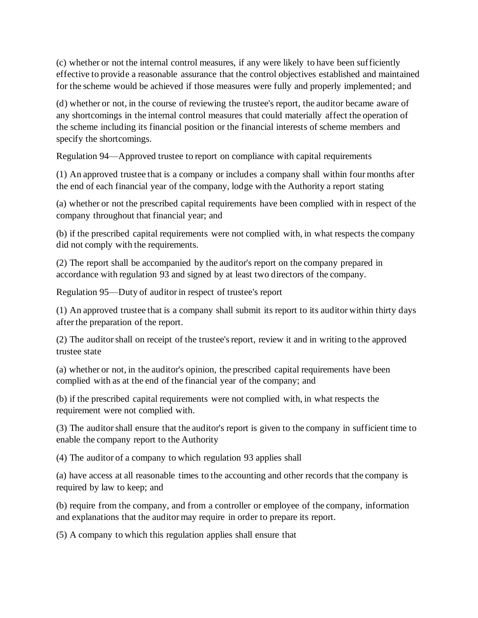(c) whether or not the internal control measures, if any were likely to have been sufficiently effective to provide a reasonable assurance that the control objectives established and maintained for the scheme would be achieved if those measures were fully and properly implemented; and

(d) whether or not, in the course of reviewing the trustee's report, the auditor became aware of any shortcomings in the internal control measures that could materially affect the operation of the scheme including its financial position or the financial interests of scheme members and specify the shortcomings.

Regulation 94—Approved trustee to report on compliance with capital requirements

(1) An approved trustee that is a company or includes a company shall within four months after the end of each financial year of the company, lodge with the Authority a report stating

(a) whether or not the prescribed capital requirements have been complied with in respect of the company throughout that financial year; and

(b) if the prescribed capital requirements were not complied with, in what respects the company did not comply with the requirements.

(2) The report shall be accompanied by the auditor's report on the company prepared in accordance with regulation 93 and signed by at least two directors of the company.

Regulation 95—Duty of auditor in respect of trustee's report

(1) An approved trustee that is a company shall submit its report to its auditor within thirty days after the preparation of the report.

(2) The auditor shall on receipt of the trustee's report, review it and in writing to the approved trustee state

(a) whether or not, in the auditor's opinion, the prescribed capital requirements have been complied with as at the end of the financial year of the company; and

(b) if the prescribed capital requirements were not complied with, in what respects the requirement were not complied with.

(3) The auditor shall ensure that the auditor's report is given to the company in sufficient time to enable the company report to the Authority

(4) The auditor of a company to which regulation 93 applies shall

(a) have access at all reasonable times to the accounting and other records that the company is required by law to keep; and

(b) require from the company, and from a controller or employee of the company, information and explanations that the auditor may require in order to prepare its report.

(5) A company to which this regulation applies shall ensure that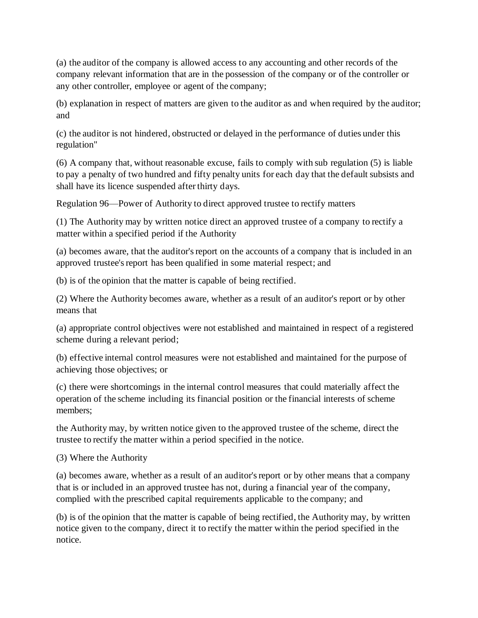(a) the auditor of the company is allowed access to any accounting and other records of the company relevant information that are in the possession of the company or of the controller or any other controller, employee or agent of the company;

(b) explanation in respect of matters are given to the auditor as and when required by the auditor; and

(c) the auditor is not hindered, obstructed or delayed in the performance of duties under this regulation"

(6) A company that, without reasonable excuse, fails to comply with sub regulation (5) is liable to pay a penalty of two hundred and fifty penalty units for each day that the default subsists and shall have its licence suspended after thirty days.

Regulation 96—Power of Authority to direct approved trustee to rectify matters

(1) The Authority may by written notice direct an approved trustee of a company to rectify a matter within a specified period if the Authority

(a) becomes aware, that the auditor's report on the accounts of a company that is included in an approved trustee's report has been qualified in some material respect; and

(b) is of the opinion that the matter is capable of being rectified.

(2) Where the Authority becomes aware, whether as a result of an auditor's report or by other means that

(a) appropriate control objectives were not established and maintained in respect of a registered scheme during a relevant period;

(b) effective internal control measures were not established and maintained for the purpose of achieving those objectives; or

(c) there were shortcomings in the internal control measures that could materially affect the operation of the scheme including its financial position or the financial interests of scheme members;

the Authority may, by written notice given to the approved trustee of the scheme, direct the trustee to rectify the matter within a period specified in the notice.

(3) Where the Authority

(a) becomes aware, whether as a result of an auditor's report or by other means that a company that is or included in an approved trustee has not, during a financial year of the company, complied with the prescribed capital requirements applicable to the company; and

(b) is of the opinion that the matter is capable of being rectified, the Authority may, by written notice given to the company, direct it to rectify the matter within the period specified in the notice.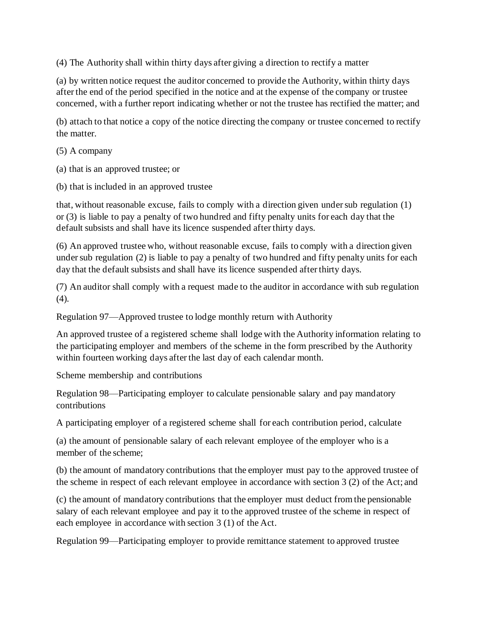(4) The Authority shall within thirty days after giving a direction to rectify a matter

(a) by written notice request the auditor concerned to provide the Authority, within thirty days after the end of the period specified in the notice and at the expense of the company or trustee concerned, with a further report indicating whether or not the trustee has rectified the matter; and

(b) attach to that notice a copy of the notice directing the company or trustee concerned to rectify the matter.

(5) A company

(a) that is an approved trustee; or

(b) that is included in an approved trustee

that, without reasonable excuse, fails to comply with a direction given under sub regulation (1) or (3) is liable to pay a penalty of two hundred and fifty penalty units for each day that the default subsists and shall have its licence suspended after thirty days.

(6) An approved trustee who, without reasonable excuse, fails to comply with a direction given under sub regulation (2) is liable to pay a penalty of two hundred and fifty penalty units for each day that the default subsists and shall have its licence suspended after thirty days.

(7) An auditor shall comply with a request made to the auditor in accordance with sub regulation  $(4)$ .

Regulation 97—Approved trustee to lodge monthly return with Authority

An approved trustee of a registered scheme shall lodge with the Authority information relating to the participating employer and members of the scheme in the form prescribed by the Authority within fourteen working days after the last day of each calendar month.

Scheme membership and contributions

Regulation 98—Participating employer to calculate pensionable salary and pay mandatory contributions

A participating employer of a registered scheme shall for each contribution period, calculate

(a) the amount of pensionable salary of each relevant employee of the employer who is a member of the scheme;

(b) the amount of mandatory contributions that the employer must pay to the approved trustee of the scheme in respect of each relevant employee in accordance with section 3 (2) of the Act; and

(c) the amount of mandatory contributions that the employer must deduct from the pensionable salary of each relevant employee and pay it to the approved trustee of the scheme in respect of each employee in accordance with section 3 (1) of the Act.

Regulation 99—Participating employer to provide remittance statement to approved trustee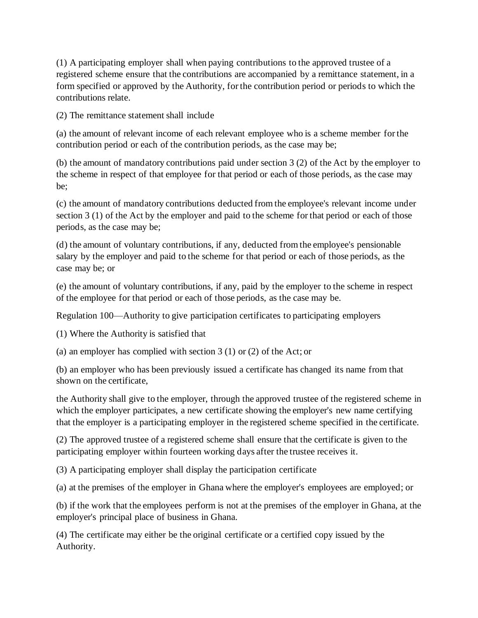(1) A participating employer shall when paying contributions to the approved trustee of a registered scheme ensure that the contributions are accompanied by a remittance statement, in a form specified or approved by the Authority, for the contribution period or periods to which the contributions relate.

(2) The remittance statement shall include

(a) the amount of relevant income of each relevant employee who is a scheme member for the contribution period or each of the contribution periods, as the case may be;

(b) the amount of mandatory contributions paid under section 3 (2) of the Act by the employer to the scheme in respect of that employee for that period or each of those periods, as the case may be;

(c) the amount of mandatory contributions deducted from the employee's relevant income under section 3 (1) of the Act by the employer and paid to the scheme for that period or each of those periods, as the case may be;

(d) the amount of voluntary contributions, if any, deducted from the employee's pensionable salary by the employer and paid to the scheme for that period or each of those periods, as the case may be; or

(e) the amount of voluntary contributions, if any, paid by the employer to the scheme in respect of the employee for that period or each of those periods, as the case may be.

Regulation 100—Authority to give participation certificates to participating employers

(1) Where the Authority is satisfied that

(a) an employer has complied with section 3 (1) or (2) of the Act; or

(b) an employer who has been previously issued a certificate has changed its name from that shown on the certificate,

the Authority shall give to the employer, through the approved trustee of the registered scheme in which the employer participates, a new certificate showing the employer's new name certifying that the employer is a participating employer in the registered scheme specified in the certificate.

(2) The approved trustee of a registered scheme shall ensure that the certificate is given to the participating employer within fourteen working days after the trustee receives it.

(3) A participating employer shall display the participation certificate

(a) at the premises of the employer in Ghana where the employer's employees are employed; or

(b) if the work that the employees perform is not at the premises of the employer in Ghana, at the employer's principal place of business in Ghana.

(4) The certificate may either be the original certificate or a certified copy issued by the Authority.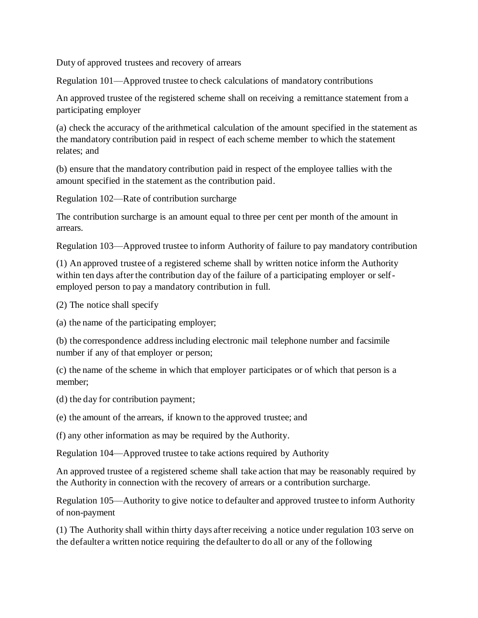Duty of approved trustees and recovery of arrears

Regulation 101—Approved trustee to check calculations of mandatory contributions

An approved trustee of the registered scheme shall on receiving a remittance statement from a participating employer

(a) check the accuracy of the arithmetical calculation of the amount specified in the statement as the mandatory contribution paid in respect of each scheme member to which the statement relates; and

(b) ensure that the mandatory contribution paid in respect of the employee tallies with the amount specified in the statement as the contribution paid.

Regulation 102—Rate of contribution surcharge

The contribution surcharge is an amount equal to three per cent per month of the amount in arrears.

Regulation 103—Approved trustee to inform Authority of failure to pay mandatory contribution

(1) An approved trustee of a registered scheme shall by written notice inform the Authority within ten days after the contribution day of the failure of a participating employer or selfemployed person to pay a mandatory contribution in full.

(2) The notice shall specify

(a) the name of the participating employer;

(b) the correspondence address including electronic mail telephone number and facsimile number if any of that employer or person;

(c) the name of the scheme in which that employer participates or of which that person is a member;

(d) the day for contribution payment;

(e) the amount of the arrears, if known to the approved trustee; and

(f) any other information as may be required by the Authority.

Regulation 104—Approved trustee to take actions required by Authority

An approved trustee of a registered scheme shall take action that may be reasonably required by the Authority in connection with the recovery of arrears or a contribution surcharge.

Regulation 105—Authority to give notice to defaulter and approved trustee to inform Authority of non-payment

(1) The Authority shall within thirty days after receiving a notice under regulation 103 serve on the defaulter a written notice requiring the defaulter to do all or any of the following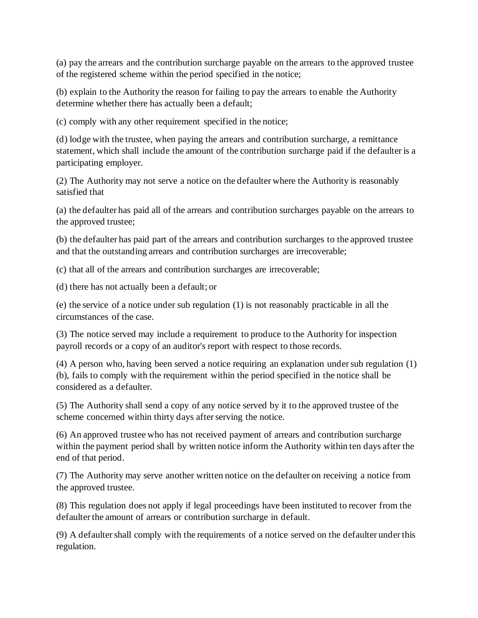(a) pay the arrears and the contribution surcharge payable on the arrears to the approved trustee of the registered scheme within the period specified in the notice;

(b) explain to the Authority the reason for failing to pay the arrears to enable the Authority determine whether there has actually been a default;

(c) comply with any other requirement specified in the notice;

(d) lodge with the trustee, when paying the arrears and contribution surcharge, a remittance statement, which shall include the amount of the contribution surcharge paid if the defaulter is a participating employer.

(2) The Authority may not serve a notice on the defaulter where the Authority is reasonably satisfied that

(a) the defaulter has paid all of the arrears and contribution surcharges payable on the arrears to the approved trustee;

(b) the defaulter has paid part of the arrears and contribution surcharges to the approved trustee and that the outstanding arrears and contribution surcharges are irrecoverable;

(c) that all of the arrears and contribution surcharges are irrecoverable;

(d) there has not actually been a default; or

(e) the service of a notice under sub regulation (1) is not reasonably practicable in all the circumstances of the case.

(3) The notice served may include a requirement to produce to the Authority for inspection payroll records or a copy of an auditor's report with respect to those records.

(4) A person who, having been served a notice requiring an explanation under sub regulation (1) (b), fails to comply with the requirement within the period specified in the notice shall be considered as a defaulter.

(5) The Authority shall send a copy of any notice served by it to the approved trustee of the scheme concerned within thirty days after serving the notice.

(6) An approved trustee who has not received payment of arrears and contribution surcharge within the payment period shall by written notice inform the Authority within ten days after the end of that period.

(7) The Authority may serve another written notice on the defaulter on receiving a notice from the approved trustee.

(8) This regulation does not apply if legal proceedings have been instituted to recover from the defaulter the amount of arrears or contribution surcharge in default.

(9) A defaulter shall comply with the requirements of a notice served on the defaulter under this regulation.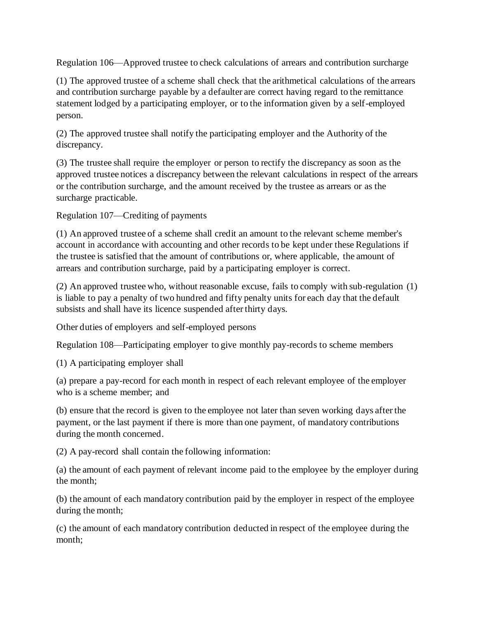Regulation 106—Approved trustee to check calculations of arrears and contribution surcharge

(1) The approved trustee of a scheme shall check that the arithmetical calculations of the arrears and contribution surcharge payable by a defaulter are correct having regard to the remittance statement lodged by a participating employer, or to the information given by a self-employed person.

(2) The approved trustee shall notify the participating employer and the Authority of the discrepancy.

(3) The trustee shall require the employer or person to rectify the discrepancy as soon as the approved trustee notices a discrepancy between the relevant calculations in respect of the arrears or the contribution surcharge, and the amount received by the trustee as arrears or as the surcharge practicable.

Regulation 107—Crediting of payments

(1) An approved trustee of a scheme shall credit an amount to the relevant scheme member's account in accordance with accounting and other records to be kept under these Regulations if the trustee is satisfied that the amount of contributions or, where applicable, the amount of arrears and contribution surcharge, paid by a participating employer is correct.

(2) An approved trustee who, without reasonable excuse, fails to comply with sub-regulation (1) is liable to pay a penalty of two hundred and fifty penalty units for each day that the default subsists and shall have its licence suspended after thirty days.

Other duties of employers and self-employed persons

Regulation 108—Participating employer to give monthly pay-records to scheme members

(1) A participating employer shall

(a) prepare a pay-record for each month in respect of each relevant employee of the employer who is a scheme member; and

(b) ensure that the record is given to the employee not later than seven working days after the payment, or the last payment if there is more than one payment, of mandatory contributions during the month concerned.

(2) A pay-record shall contain the following information:

(a) the amount of each payment of relevant income paid to the employee by the employer during the month;

(b) the amount of each mandatory contribution paid by the employer in respect of the employee during the month;

(c) the amount of each mandatory contribution deducted in respect of the employee during the month;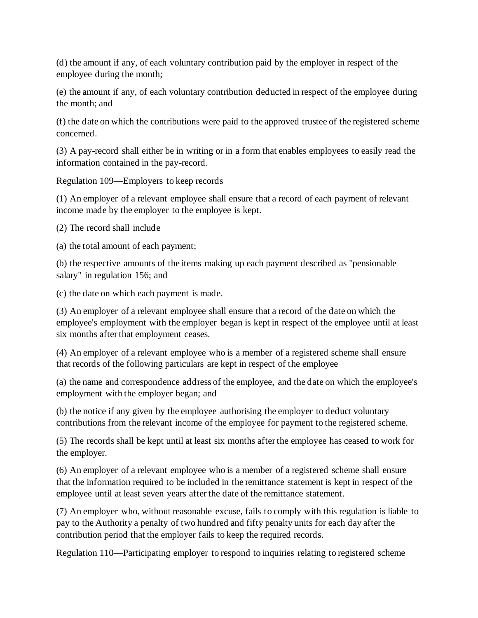(d) the amount if any, of each voluntary contribution paid by the employer in respect of the employee during the month;

(e) the amount if any, of each voluntary contribution deducted in respect of the employee during the month; and

(f) the date on which the contributions were paid to the approved trustee of the registered scheme concerned.

(3) A pay-record shall either be in writing or in a form that enables employees to easily read the information contained in the pay-record.

Regulation 109—Employers to keep records

(1) An employer of a relevant employee shall ensure that a record of each payment of relevant income made by the employer to the employee is kept.

(2) The record shall include

(a) the total amount of each payment;

(b) the respective amounts of the items making up each payment described as "pensionable salary" in regulation 156; and

(c) the date on which each payment is made.

(3) An employer of a relevant employee shall ensure that a record of the date on which the employee's employment with the employer began is kept in respect of the employee until at least six months after that employment ceases.

(4) An employer of a relevant employee who is a member of a registered scheme shall ensure that records of the following particulars are kept in respect of the employee

(a) the name and correspondence address of the employee, and the date on which the employee's employment with the employer began; and

(b) the notice if any given by the employee authorising the employer to deduct voluntary contributions from the relevant income of the employee for payment to the registered scheme.

(5) The records shall be kept until at least six months after the employee has ceased to work for the employer.

(6) An employer of a relevant employee who is a member of a registered scheme shall ensure that the information required to be included in the remittance statement is kept in respect of the employee until at least seven years after the date of the remittance statement.

(7) An employer who, without reasonable excuse, fails to comply with this regulation is liable to pay to the Authority a penalty of two hundred and fifty penalty units for each day after the contribution period that the employer fails to keep the required records.

Regulation 110—Participating employer to respond to inquiries relating to registered scheme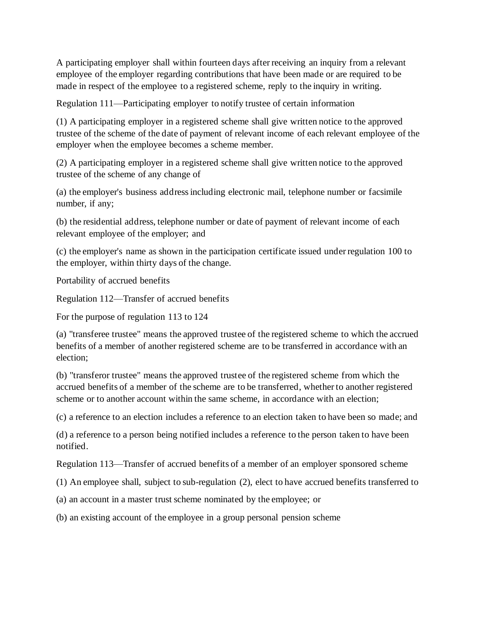A participating employer shall within fourteen days after receiving an inquiry from a relevant employee of the employer regarding contributions that have been made or are required to be made in respect of the employee to a registered scheme, reply to the inquiry in writing.

Regulation 111—Participating employer to notify trustee of certain information

(1) A participating employer in a registered scheme shall give written notice to the approved trustee of the scheme of the date of payment of relevant income of each relevant employee of the employer when the employee becomes a scheme member.

(2) A participating employer in a registered scheme shall give written notice to the approved trustee of the scheme of any change of

(a) the employer's business address including electronic mail, telephone number or facsimile number, if any;

(b) the residential address, telephone number or date of payment of relevant income of each relevant employee of the employer; and

(c) the employer's name as shown in the participation certificate issued under regulation 100 to the employer, within thirty days of the change.

Portability of accrued benefits

Regulation 112—Transfer of accrued benefits

For the purpose of regulation 113 to 124

(a) "transferee trustee" means the approved trustee of the registered scheme to which the accrued benefits of a member of another registered scheme are to be transferred in accordance with an election;

(b) "transferor trustee" means the approved trustee of the registered scheme from which the accrued benefits of a member of the scheme are to be transferred, whether to another registered scheme or to another account within the same scheme, in accordance with an election;

(c) a reference to an election includes a reference to an election taken to have been so made; and

(d) a reference to a person being notified includes a reference to the person taken to have been notified.

Regulation 113—Transfer of accrued benefits of a member of an employer sponsored scheme

(1) An employee shall, subject to sub-regulation (2), elect to have accrued benefits transferred to

(a) an account in a master trust scheme nominated by the employee; or

(b) an existing account of the employee in a group personal pension scheme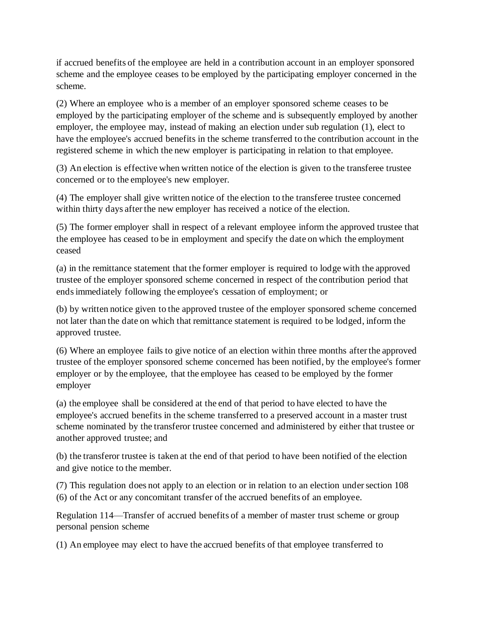if accrued benefits of the employee are held in a contribution account in an employer sponsored scheme and the employee ceases to be employed by the participating employer concerned in the scheme.

(2) Where an employee who is a member of an employer sponsored scheme ceases to be employed by the participating employer of the scheme and is subsequently employed by another employer, the employee may, instead of making an election under sub regulation (1), elect to have the employee's accrued benefits in the scheme transferred to the contribution account in the registered scheme in which the new employer is participating in relation to that employee.

(3) An election is effective when written notice of the election is given to the transferee trustee concerned or to the employee's new employer.

(4) The employer shall give written notice of the election to the transferee trustee concerned within thirty days after the new employer has received a notice of the election.

(5) The former employer shall in respect of a relevant employee inform the approved trustee that the employee has ceased to be in employment and specify the date on which the employment ceased

(a) in the remittance statement that the former employer is required to lodge with the approved trustee of the employer sponsored scheme concerned in respect of the contribution period that ends immediately following the employee's cessation of employment; or

(b) by written notice given to the approved trustee of the employer sponsored scheme concerned not later than the date on which that remittance statement is required to be lodged, inform the approved trustee.

(6) Where an employee fails to give notice of an election within three months after the approved trustee of the employer sponsored scheme concerned has been notified, by the employee's former employer or by the employee, that the employee has ceased to be employed by the former employer

(a) the employee shall be considered at the end of that period to have elected to have the employee's accrued benefits in the scheme transferred to a preserved account in a master trust scheme nominated by the transferor trustee concerned and administered by either that trustee or another approved trustee; and

(b) the transferor trustee is taken at the end of that period to have been notified of the election and give notice to the member.

(7) This regulation does not apply to an election or in relation to an election under section 108 (6) of the Act or any concomitant transfer of the accrued benefits of an employee.

Regulation 114—Transfer of accrued benefits of a member of master trust scheme or group personal pension scheme

(1) An employee may elect to have the accrued benefits of that employee transferred to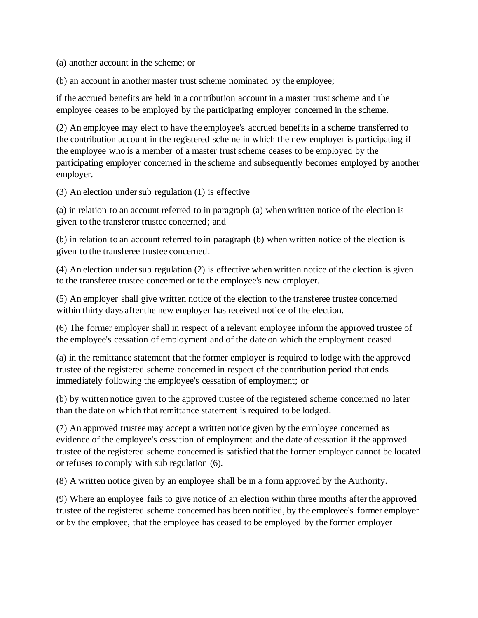(a) another account in the scheme; or

(b) an account in another master trust scheme nominated by the employee;

if the accrued benefits are held in a contribution account in a master trust scheme and the employee ceases to be employed by the participating employer concerned in the scheme.

(2) An employee may elect to have the employee's accrued benefits in a scheme transferred to the contribution account in the registered scheme in which the new employer is participating if the employee who is a member of a master trust scheme ceases to be employed by the participating employer concerned in the scheme and subsequently becomes employed by another employer.

(3) An election under sub regulation (1) is effective

(a) in relation to an account referred to in paragraph (a) when written notice of the election is given to the transferor trustee concerned; and

(b) in relation to an account referred to in paragraph (b) when written notice of the election is given to the transferee trustee concerned.

(4) An election under sub regulation (2) is effective when written notice of the election is given to the transferee trustee concerned or to the employee's new employer.

(5) An employer shall give written notice of the election to the transferee trustee concerned within thirty days after the new employer has received notice of the election.

(6) The former employer shall in respect of a relevant employee inform the approved trustee of the employee's cessation of employment and of the date on which the employment ceased

(a) in the remittance statement that the former employer is required to lodge with the approved trustee of the registered scheme concerned in respect of the contribution period that ends immediately following the employee's cessation of employment; or

(b) by written notice given to the approved trustee of the registered scheme concerned no later than the date on which that remittance statement is required to be lodged.

(7) An approved trustee may accept a written notice given by the employee concerned as evidence of the employee's cessation of employment and the date of cessation if the approved trustee of the registered scheme concerned is satisfied that the former employer cannot be located or refuses to comply with sub regulation (6).

(8) A written notice given by an employee shall be in a form approved by the Authority.

(9) Where an employee fails to give notice of an election within three months after the approved trustee of the registered scheme concerned has been notified, by the employee's former employer or by the employee, that the employee has ceased to be employed by the former employer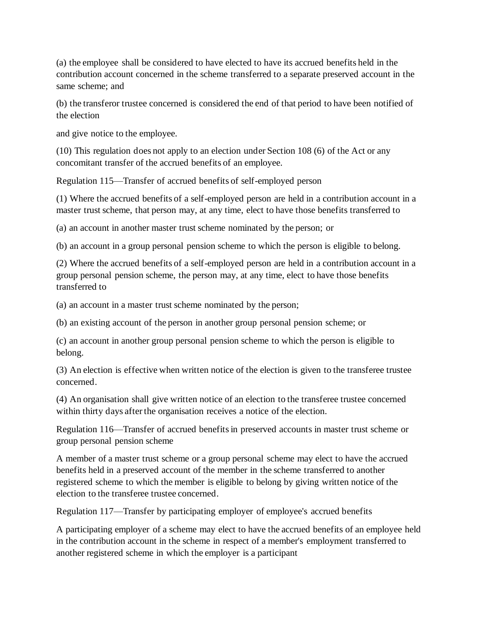(a) the employee shall be considered to have elected to have its accrued benefits held in the contribution account concerned in the scheme transferred to a separate preserved account in the same scheme; and

(b) the transferor trustee concerned is considered the end of that period to have been notified of the election

and give notice to the employee.

(10) This regulation does not apply to an election under Section 108 (6) of the Act or any concomitant transfer of the accrued benefits of an employee.

Regulation 115—Transfer of accrued benefits of self-employed person

(1) Where the accrued benefits of a self-employed person are held in a contribution account in a master trust scheme, that person may, at any time, elect to have those benefits transferred to

(a) an account in another master trust scheme nominated by the person; or

(b) an account in a group personal pension scheme to which the person is eligible to belong.

(2) Where the accrued benefits of a self-employed person are held in a contribution account in a group personal pension scheme, the person may, at any time, elect to have those benefits transferred to

(a) an account in a master trust scheme nominated by the person;

(b) an existing account of the person in another group personal pension scheme; or

(c) an account in another group personal pension scheme to which the person is eligible to belong.

(3) An election is effective when written notice of the election is given to the transferee trustee concerned.

(4) An organisation shall give written notice of an election to the transferee trustee concerned within thirty days after the organisation receives a notice of the election.

Regulation 116—Transfer of accrued benefits in preserved accounts in master trust scheme or group personal pension scheme

A member of a master trust scheme or a group personal scheme may elect to have the accrued benefits held in a preserved account of the member in the scheme transferred to another registered scheme to which the member is eligible to belong by giving written notice of the election to the transferee trustee concerned.

Regulation 117—Transfer by participating employer of employee's accrued benefits

A participating employer of a scheme may elect to have the accrued benefits of an employee held in the contribution account in the scheme in respect of a member's employment transferred to another registered scheme in which the employer is a participant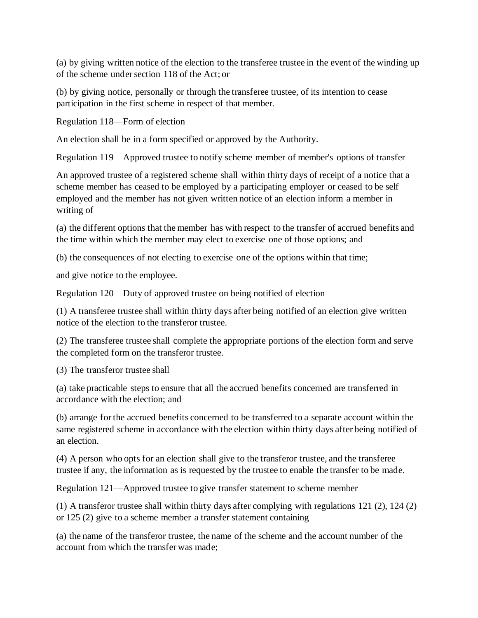(a) by giving written notice of the election to the transferee trustee in the event of the winding up of the scheme under section 118 of the Act; or

(b) by giving notice, personally or through the transferee trustee, of its intention to cease participation in the first scheme in respect of that member.

Regulation 118—Form of election

An election shall be in a form specified or approved by the Authority.

Regulation 119—Approved trustee to notify scheme member of member's options of transfer

An approved trustee of a registered scheme shall within thirty days of receipt of a notice that a scheme member has ceased to be employed by a participating employer or ceased to be self employed and the member has not given written notice of an election inform a member in writing of

(a) the different options that the member has with respect to the transfer of accrued benefits and the time within which the member may elect to exercise one of those options; and

(b) the consequences of not electing to exercise one of the options within that time;

and give notice to the employee.

Regulation 120—Duty of approved trustee on being notified of election

(1) A transferee trustee shall within thirty days after being notified of an election give written notice of the election to the transferor trustee.

(2) The transferee trustee shall complete the appropriate portions of the election form and serve the completed form on the transferor trustee.

(3) The transferor trustee shall

(a) take practicable steps to ensure that all the accrued benefits concerned are transferred in accordance with the election; and

(b) arrange for the accrued benefits concerned to be transferred to a separate account within the same registered scheme in accordance with the election within thirty days after being notified of an election.

(4) A person who opts for an election shall give to the transferor trustee, and the transferee trustee if any, the information as is requested by the trustee to enable the transfer to be made.

Regulation 121—Approved trustee to give transfer statement to scheme member

(1) A transferor trustee shall within thirty days after complying with regulations 121 (2), 124 (2) or 125 (2) give to a scheme member a transfer statement containing

(a) the name of the transferor trustee, the name of the scheme and the account number of the account from which the transfer was made;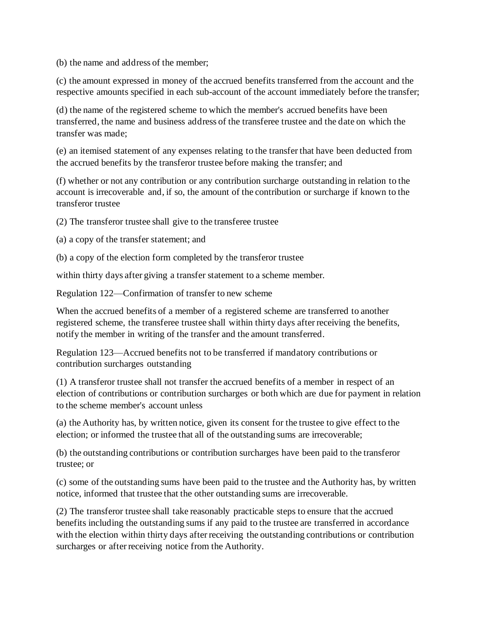(b) the name and address of the member;

(c) the amount expressed in money of the accrued benefits transferred from the account and the respective amounts specified in each sub-account of the account immediately before the transfer;

(d) the name of the registered scheme to which the member's accrued benefits have been transferred, the name and business address of the transferee trustee and the date on which the transfer was made;

(e) an itemised statement of any expenses relating to the transfer that have been deducted from the accrued benefits by the transferor trustee before making the transfer; and

(f) whether or not any contribution or any contribution surcharge outstanding in relation to the account is irrecoverable and, if so, the amount of the contribution or surcharge if known to the transferor trustee

(2) The transferor trustee shall give to the transferee trustee

(a) a copy of the transfer statement; and

(b) a copy of the election form completed by the transferor trustee

within thirty days after giving a transfer statement to a scheme member.

Regulation 122—Confirmation of transfer to new scheme

When the accrued benefits of a member of a registered scheme are transferred to another registered scheme, the transferee trustee shall within thirty days after receiving the benefits, notify the member in writing of the transfer and the amount transferred.

Regulation 123—Accrued benefits not to be transferred if mandatory contributions or contribution surcharges outstanding

(1) A transferor trustee shall not transfer the accrued benefits of a member in respect of an election of contributions or contribution surcharges or both which are due for payment in relation to the scheme member's account unless

(a) the Authority has, by written notice, given its consent for the trustee to give effect to the election; or informed the trustee that all of the outstanding sums are irrecoverable;

(b) the outstanding contributions or contribution surcharges have been paid to the transferor trustee; or

(c) some of the outstanding sums have been paid to the trustee and the Authority has, by written notice, informed that trustee that the other outstanding sums are irrecoverable.

(2) The transferor trustee shall take reasonably practicable steps to ensure that the accrued benefits including the outstanding sums if any paid to the trustee are transferred in accordance with the election within thirty days after receiving the outstanding contributions or contribution surcharges or after receiving notice from the Authority.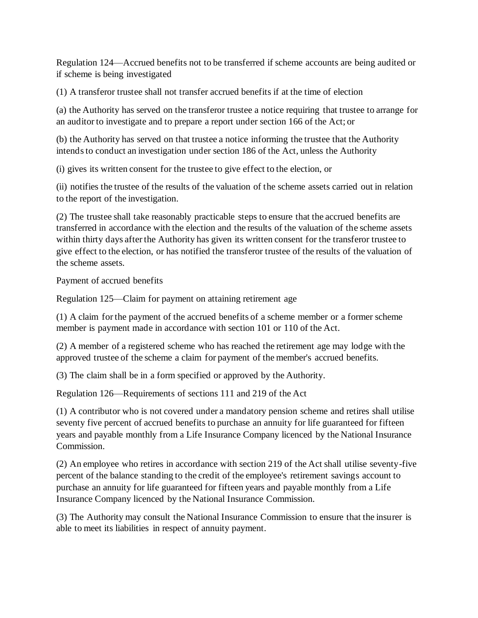Regulation 124—Accrued benefits not to be transferred if scheme accounts are being audited or if scheme is being investigated

(1) A transferor trustee shall not transfer accrued benefits if at the time of election

(a) the Authority has served on the transferor trustee a notice requiring that trustee to arrange for an auditor to investigate and to prepare a report under section 166 of the Act; or

(b) the Authority has served on that trustee a notice informing the trustee that the Authority intends to conduct an investigation under section 186 of the Act, unless the Authority

(i) gives its written consent for the trustee to give effect to the election, or

(ii) notifies the trustee of the results of the valuation of the scheme assets carried out in relation to the report of the investigation.

(2) The trustee shall take reasonably practicable steps to ensure that the accrued benefits are transferred in accordance with the election and the results of the valuation of the scheme assets within thirty days after the Authority has given its written consent for the transferor trustee to give effect to the election, or has notified the transferor trustee of the results of the valuation of the scheme assets.

Payment of accrued benefits

Regulation 125—Claim for payment on attaining retirement age

(1) A claim for the payment of the accrued benefits of a scheme member or a former scheme member is payment made in accordance with section 101 or 110 of the Act.

(2) A member of a registered scheme who has reached the retirement age may lodge with the approved trustee of the scheme a claim for payment of the member's accrued benefits.

(3) The claim shall be in a form specified or approved by the Authority.

Regulation 126—Requirements of sections 111 and 219 of the Act

(1) A contributor who is not covered under a mandatory pension scheme and retires shall utilise seventy five percent of accrued benefits to purchase an annuity for life guaranteed for fifteen years and payable monthly from a Life Insurance Company licenced by the National Insurance Commission.

(2) An employee who retires in accordance with section 219 of the Act shall utilise seventy-five percent of the balance standing to the credit of the employee's retirement savings account to purchase an annuity for life guaranteed for fifteen years and payable monthly from a Life Insurance Company licenced by the National Insurance Commission.

(3) The Authority may consult the National Insurance Commission to ensure that the insurer is able to meet its liabilities in respect of annuity payment.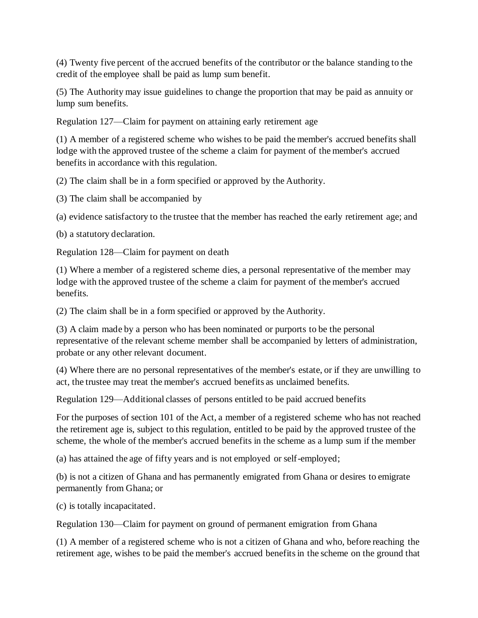(4) Twenty five percent of the accrued benefits of the contributor or the balance standing to the credit of the employee shall be paid as lump sum benefit.

(5) The Authority may issue guidelines to change the proportion that may be paid as annuity or lump sum benefits.

Regulation 127—Claim for payment on attaining early retirement age

(1) A member of a registered scheme who wishes to be paid the member's accrued benefits shall lodge with the approved trustee of the scheme a claim for payment of the member's accrued benefits in accordance with this regulation.

(2) The claim shall be in a form specified or approved by the Authority.

(3) The claim shall be accompanied by

(a) evidence satisfactory to the trustee that the member has reached the early retirement age; and

(b) a statutory declaration.

Regulation 128—Claim for payment on death

(1) Where a member of a registered scheme dies, a personal representative of the member may lodge with the approved trustee of the scheme a claim for payment of the member's accrued benefits.

(2) The claim shall be in a form specified or approved by the Authority.

(3) A claim made by a person who has been nominated or purports to be the personal representative of the relevant scheme member shall be accompanied by letters of administration, probate or any other relevant document.

(4) Where there are no personal representatives of the member's estate, or if they are unwilling to act, the trustee may treat the member's accrued benefits as unclaimed benefits.

Regulation 129—Additional classes of persons entitled to be paid accrued benefits

For the purposes of section 101 of the Act, a member of a registered scheme who has not reached the retirement age is, subject to this regulation, entitled to be paid by the approved trustee of the scheme, the whole of the member's accrued benefits in the scheme as a lump sum if the member

(a) has attained the age of fifty years and is not employed or self-employed;

(b) is not a citizen of Ghana and has permanently emigrated from Ghana or desires to emigrate permanently from Ghana; or

(c) is totally incapacitated.

Regulation 130—Claim for payment on ground of permanent emigration from Ghana

(1) A member of a registered scheme who is not a citizen of Ghana and who, before reaching the retirement age, wishes to be paid the member's accrued benefits in the scheme on the ground that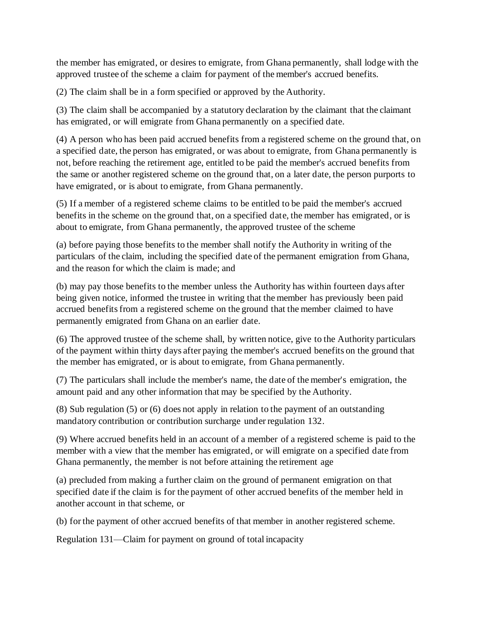the member has emigrated, or desires to emigrate, from Ghana permanently, shall lodge with the approved trustee of the scheme a claim for payment of the member's accrued benefits.

(2) The claim shall be in a form specified or approved by the Authority.

(3) The claim shall be accompanied by a statutory declaration by the claimant that the claimant has emigrated, or will emigrate from Ghana permanently on a specified date.

(4) A person who has been paid accrued benefits from a registered scheme on the ground that, on a specified date, the person has emigrated, or was about to emigrate, from Ghana permanently is not, before reaching the retirement age, entitled to be paid the member's accrued benefits from the same or another registered scheme on the ground that, on a later date, the person purports to have emigrated, or is about to emigrate, from Ghana permanently.

(5) If a member of a registered scheme claims to be entitled to be paid the member's accrued benefits in the scheme on the ground that, on a specified date, the member has emigrated, or is about to emigrate, from Ghana permanently, the approved trustee of the scheme

(a) before paying those benefits to the member shall notify the Authority in writing of the particulars of the claim, including the specified date of the permanent emigration from Ghana, and the reason for which the claim is made; and

(b) may pay those benefits to the member unless the Authority has within fourteen days after being given notice, informed the trustee in writing that the member has previously been paid accrued benefits from a registered scheme on the ground that the member claimed to have permanently emigrated from Ghana on an earlier date.

(6) The approved trustee of the scheme shall, by written notice, give to the Authority particulars of the payment within thirty days after paying the member's accrued benefits on the ground that the member has emigrated, or is about to emigrate, from Ghana permanently.

(7) The particulars shall include the member's name, the date of the member's emigration, the amount paid and any other information that may be specified by the Authority.

(8) Sub regulation (5) or (6) does not apply in relation to the payment of an outstanding mandatory contribution or contribution surcharge under regulation 132.

(9) Where accrued benefits held in an account of a member of a registered scheme is paid to the member with a view that the member has emigrated, or will emigrate on a specified date from Ghana permanently, the member is not before attaining the retirement age

(a) precluded from making a further claim on the ground of permanent emigration on that specified date if the claim is for the payment of other accrued benefits of the member held in another account in that scheme, or

(b) for the payment of other accrued benefits of that member in another registered scheme.

Regulation 131—Claim for payment on ground of total incapacity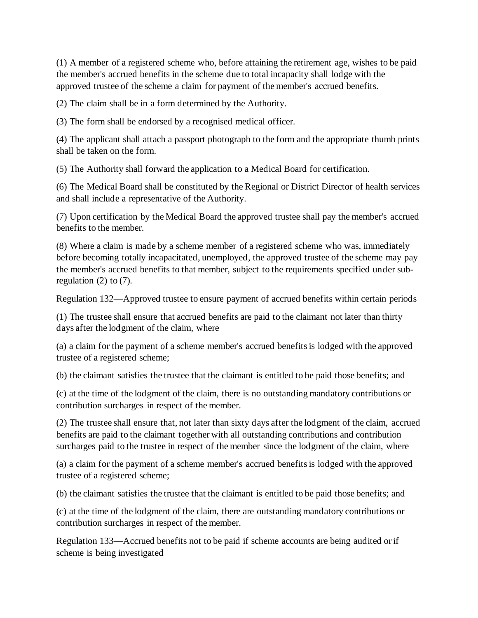(1) A member of a registered scheme who, before attaining the retirement age, wishes to be paid the member's accrued benefits in the scheme due to total incapacity shall lodge with the approved trustee of the scheme a claim for payment of the member's accrued benefits.

(2) The claim shall be in a form determined by the Authority.

(3) The form shall be endorsed by a recognised medical officer.

(4) The applicant shall attach a passport photograph to the form and the appropriate thumb prints shall be taken on the form.

(5) The Authority shall forward the application to a Medical Board for certification.

(6) The Medical Board shall be constituted by the Regional or District Director of health services and shall include a representative of the Authority.

(7) Upon certification by the Medical Board the approved trustee shall pay the member's accrued benefits to the member.

(8) Where a claim is made by a scheme member of a registered scheme who was, immediately before becoming totally incapacitated, unemployed, the approved trustee of the scheme may pay the member's accrued benefits to that member, subject to the requirements specified under subregulation  $(2)$  to  $(7)$ .

Regulation 132—Approved trustee to ensure payment of accrued benefits within certain periods

(1) The trustee shall ensure that accrued benefits are paid to the claimant not later than thirty days after the lodgment of the claim, where

(a) a claim for the payment of a scheme member's accrued benefits is lodged with the approved trustee of a registered scheme;

(b) the claimant satisfies the trustee that the claimant is entitled to be paid those benefits; and

(c) at the time of the lodgment of the claim, there is no outstanding mandatory contributions or contribution surcharges in respect of the member.

(2) The trustee shall ensure that, not later than sixty days after the lodgment of the claim, accrued benefits are paid to the claimant together with all outstanding contributions and contribution surcharges paid to the trustee in respect of the member since the lodgment of the claim, where

(a) a claim for the payment of a scheme member's accrued benefits is lodged with the approved trustee of a registered scheme;

(b) the claimant satisfies the trustee that the claimant is entitled to be paid those benefits; and

(c) at the time of the lodgment of the claim, there are outstanding mandatory contributions or contribution surcharges in respect of the member.

Regulation 133—Accrued benefits not to be paid if scheme accounts are being audited or if scheme is being investigated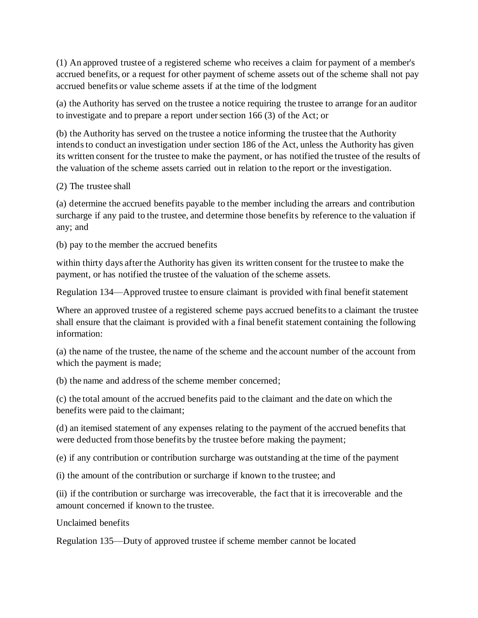(1) An approved trustee of a registered scheme who receives a claim for payment of a member's accrued benefits, or a request for other payment of scheme assets out of the scheme shall not pay accrued benefits or value scheme assets if at the time of the lodgment

(a) the Authority has served on the trustee a notice requiring the trustee to arrange for an auditor to investigate and to prepare a report under section 166 (3) of the Act; or

(b) the Authority has served on the trustee a notice informing the trustee that the Authority intends to conduct an investigation under section 186 of the Act, unless the Authority has given its written consent for the trustee to make the payment, or has notified the trustee of the results of the valuation of the scheme assets carried out in relation to the report or the investigation.

(2) The trustee shall

(a) determine the accrued benefits payable to the member including the arrears and contribution surcharge if any paid to the trustee, and determine those benefits by reference to the valuation if any; and

(b) pay to the member the accrued benefits

within thirty days after the Authority has given its written consent for the trustee to make the payment, or has notified the trustee of the valuation of the scheme assets.

Regulation 134—Approved trustee to ensure claimant is provided with final benefit statement

Where an approved trustee of a registered scheme pays accrued benefits to a claimant the trustee shall ensure that the claimant is provided with a final benefit statement containing the following information:

(a) the name of the trustee, the name of the scheme and the account number of the account from which the payment is made;

(b) the name and address of the scheme member concerned;

(c) the total amount of the accrued benefits paid to the claimant and the date on which the benefits were paid to the claimant;

(d) an itemised statement of any expenses relating to the payment of the accrued benefits that were deducted from those benefits by the trustee before making the payment;

(e) if any contribution or contribution surcharge was outstanding at the time of the payment

(i) the amount of the contribution or surcharge if known to the trustee; and

(ii) if the contribution or surcharge was irrecoverable, the fact that it is irrecoverable and the amount concerned if known to the trustee.

Unclaimed benefits

Regulation 135—Duty of approved trustee if scheme member cannot be located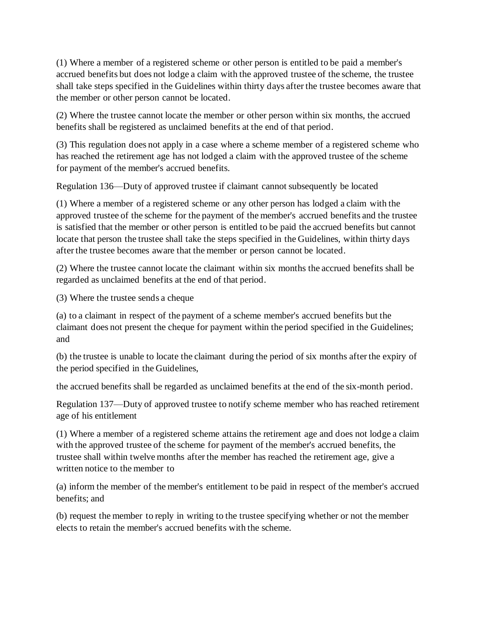(1) Where a member of a registered scheme or other person is entitled to be paid a member's accrued benefits but does not lodge a claim with the approved trustee of the scheme, the trustee shall take steps specified in the Guidelines within thirty days after the trustee becomes aware that the member or other person cannot be located.

(2) Where the trustee cannot locate the member or other person within six months, the accrued benefits shall be registered as unclaimed benefits at the end of that period.

(3) This regulation does not apply in a case where a scheme member of a registered scheme who has reached the retirement age has not lodged a claim with the approved trustee of the scheme for payment of the member's accrued benefits.

Regulation 136—Duty of approved trustee if claimant cannot subsequently be located

(1) Where a member of a registered scheme or any other person has lodged a claim with the approved trustee of the scheme for the payment of the member's accrued benefits and the trustee is satisfied that the member or other person is entitled to be paid the accrued benefits but cannot locate that person the trustee shall take the steps specified in the Guidelines, within thirty days after the trustee becomes aware that the member or person cannot be located.

(2) Where the trustee cannot locate the claimant within six months the accrued benefits shall be regarded as unclaimed benefits at the end of that period.

(3) Where the trustee sends a cheque

(a) to a claimant in respect of the payment of a scheme member's accrued benefits but the claimant does not present the cheque for payment within the period specified in the Guidelines; and

(b) the trustee is unable to locate the claimant during the period of six months after the expiry of the period specified in the Guidelines,

the accrued benefits shall be regarded as unclaimed benefits at the end of the six-month period.

Regulation 137—Duty of approved trustee to notify scheme member who has reached retirement age of his entitlement

(1) Where a member of a registered scheme attains the retirement age and does not lodge a claim with the approved trustee of the scheme for payment of the member's accrued benefits, the trustee shall within twelve months after the member has reached the retirement age, give a written notice to the member to

(a) inform the member of the member's entitlement to be paid in respect of the member's accrued benefits; and

(b) request the member to reply in writing to the trustee specifying whether or not the member elects to retain the member's accrued benefits with the scheme.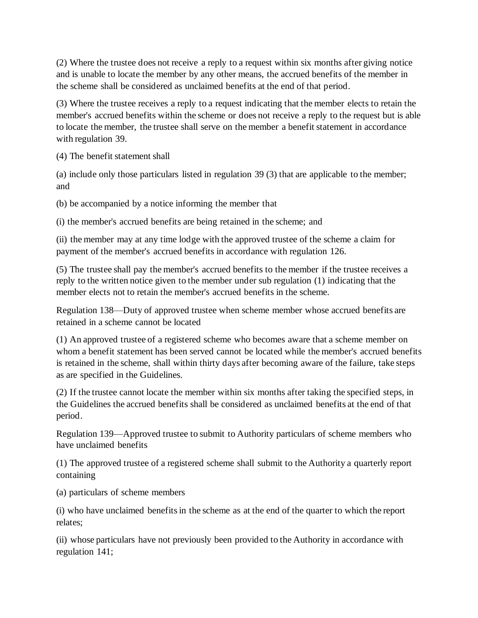(2) Where the trustee does not receive a reply to a request within six months after giving notice and is unable to locate the member by any other means, the accrued benefits of the member in the scheme shall be considered as unclaimed benefits at the end of that period.

(3) Where the trustee receives a reply to a request indicating that the member elects to retain the member's accrued benefits within the scheme or does not receive a reply to the request but is able to locate the member, the trustee shall serve on the member a benefit statement in accordance with regulation 39.

(4) The benefit statement shall

(a) include only those particulars listed in regulation 39 (3) that are applicable to the member; and

(b) be accompanied by a notice informing the member that

(i) the member's accrued benefits are being retained in the scheme; and

(ii) the member may at any time lodge with the approved trustee of the scheme a claim for payment of the member's accrued benefits in accordance with regulation 126.

(5) The trustee shall pay the member's accrued benefits to the member if the trustee receives a reply to the written notice given to the member under sub regulation (1) indicating that the member elects not to retain the member's accrued benefits in the scheme.

Regulation 138—Duty of approved trustee when scheme member whose accrued benefits are retained in a scheme cannot be located

(1) An approved trustee of a registered scheme who becomes aware that a scheme member on whom a benefit statement has been served cannot be located while the member's accrued benefits is retained in the scheme, shall within thirty days after becoming aware of the failure, take steps as are specified in the Guidelines.

(2) If the trustee cannot locate the member within six months after taking the specified steps, in the Guidelines the accrued benefits shall be considered as unclaimed benefits at the end of that period.

Regulation 139—Approved trustee to submit to Authority particulars of scheme members who have unclaimed benefits

(1) The approved trustee of a registered scheme shall submit to the Authority a quarterly report containing

(a) particulars of scheme members

(i) who have unclaimed benefits in the scheme as at the end of the quarter to which the report relates;

(ii) whose particulars have not previously been provided to the Authority in accordance with regulation 141;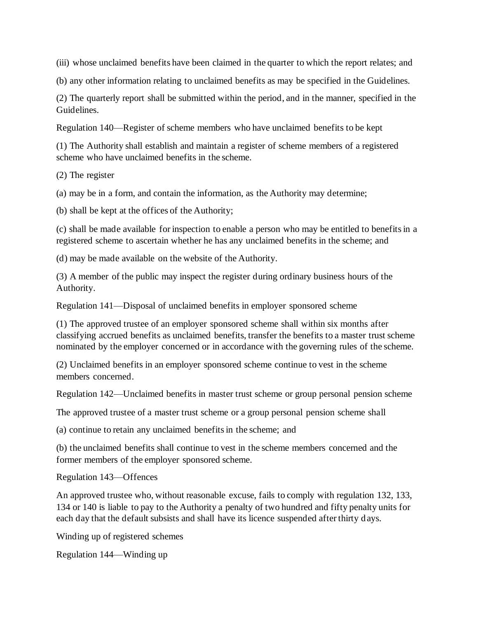(iii) whose unclaimed benefits have been claimed in the quarter to which the report relates; and

(b) any other information relating to unclaimed benefits as may be specified in the Guidelines.

(2) The quarterly report shall be submitted within the period, and in the manner, specified in the Guidelines.

Regulation 140—Register of scheme members who have unclaimed benefits to be kept

(1) The Authority shall establish and maintain a register of scheme members of a registered scheme who have unclaimed benefits in the scheme.

(2) The register

(a) may be in a form, and contain the information, as the Authority may determine;

(b) shall be kept at the offices of the Authority;

(c) shall be made available for inspection to enable a person who may be entitled to benefits in a registered scheme to ascertain whether he has any unclaimed benefits in the scheme; and

(d) may be made available on the website of the Authority.

(3) A member of the public may inspect the register during ordinary business hours of the Authority.

Regulation 141—Disposal of unclaimed benefits in employer sponsored scheme

(1) The approved trustee of an employer sponsored scheme shall within six months after classifying accrued benefits as unclaimed benefits, transfer the benefits to a master trust scheme nominated by the employer concerned or in accordance with the governing rules of the scheme.

(2) Unclaimed benefits in an employer sponsored scheme continue to vest in the scheme members concerned.

Regulation 142—Unclaimed benefits in master trust scheme or group personal pension scheme

The approved trustee of a master trust scheme or a group personal pension scheme shall

(a) continue to retain any unclaimed benefits in the scheme; and

(b) the unclaimed benefits shall continue to vest in the scheme members concerned and the former members of the employer sponsored scheme.

Regulation 143—Offences

An approved trustee who, without reasonable excuse, fails to comply with regulation 132, 133, 134 or 140 is liable to pay to the Authority a penalty of two hundred and fifty penalty units for each day that the default subsists and shall have its licence suspended after thirty d ays.

Winding up of registered schemes

Regulation 144—Winding up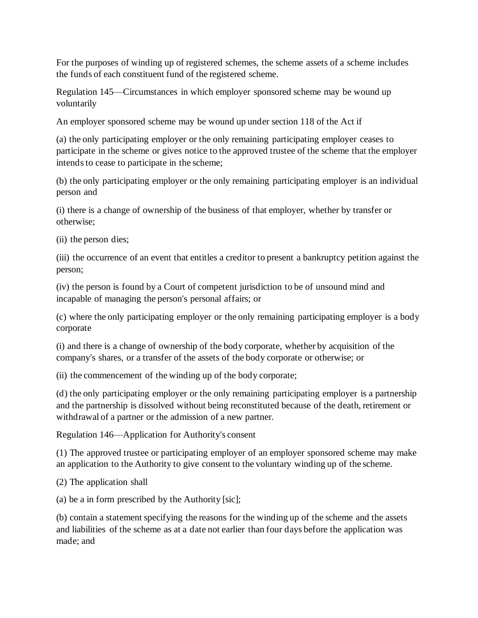For the purposes of winding up of registered schemes, the scheme assets of a scheme includes the funds of each constituent fund of the registered scheme.

Regulation 145—Circumstances in which employer sponsored scheme may be wound up voluntarily

An employer sponsored scheme may be wound up under section 118 of the Act if

(a) the only participating employer or the only remaining participating employer ceases to participate in the scheme or gives notice to the approved trustee of the scheme that the employer intends to cease to participate in the scheme;

(b) the only participating employer or the only remaining participating employer is an individual person and

(i) there is a change of ownership of the business of that employer, whether by transfer or otherwise;

(ii) the person dies;

(iii) the occurrence of an event that entitles a creditor to present a bankruptcy petition against the person;

(iv) the person is found by a Court of competent jurisdiction to be of unsound mind and incapable of managing the person's personal affairs; or

(c) where the only participating employer or the only remaining participating employer is a body corporate

(i) and there is a change of ownership of the body corporate, whether by acquisition of the company's shares, or a transfer of the assets of the body corporate or otherwise; or

(ii) the commencement of the winding up of the body corporate;

(d) the only participating employer or the only remaining participating employer is a partnership and the partnership is dissolved without being reconstituted because of the death, retirement or withdrawal of a partner or the admission of a new partner.

Regulation 146—Application for Authority's consent

(1) The approved trustee or participating employer of an employer sponsored scheme may make an application to the Authority to give consent to the voluntary winding up of the scheme.

(2) The application shall

(a) be a in form prescribed by the Authority [sic];

(b) contain a statement specifying the reasons for the winding up of the scheme and the assets and liabilities of the scheme as at a date not earlier than four days before the application was made; and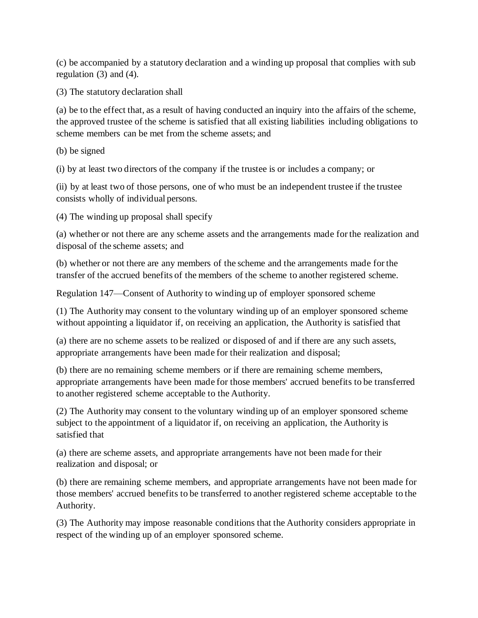(c) be accompanied by a statutory declaration and a winding up proposal that complies with sub regulation (3) and (4).

(3) The statutory declaration shall

(a) be to the effect that, as a result of having conducted an inquiry into the affairs of the scheme, the approved trustee of the scheme is satisfied that all existing liabilities including obligations to scheme members can be met from the scheme assets; and

(b) be signed

(i) by at least two directors of the company if the trustee is or includes a company; or

(ii) by at least two of those persons, one of who must be an independent trustee if the trustee consists wholly of individual persons.

(4) The winding up proposal shall specify

(a) whether or not there are any scheme assets and the arrangements made for the realization and disposal of the scheme assets; and

(b) whether or not there are any members of the scheme and the arrangements made for the transfer of the accrued benefits of the members of the scheme to another registered scheme.

Regulation 147—Consent of Authority to winding up of employer sponsored scheme

(1) The Authority may consent to the voluntary winding up of an employer sponsored scheme without appointing a liquidator if, on receiving an application, the Authority is satisfied that

(a) there are no scheme assets to be realized or disposed of and if there are any such assets, appropriate arrangements have been made for their realization and disposal;

(b) there are no remaining scheme members or if there are remaining scheme members, appropriate arrangements have been made for those members' accrued benefits to be transferred to another registered scheme acceptable to the Authority.

(2) The Authority may consent to the voluntary winding up of an employer sponsored scheme subject to the appointment of a liquidator if, on receiving an application, the Authority is satisfied that

(a) there are scheme assets, and appropriate arrangements have not been made for their realization and disposal; or

(b) there are remaining scheme members, and appropriate arrangements have not been made for those members' accrued benefits to be transferred to another registered scheme acceptable to the Authority.

(3) The Authority may impose reasonable conditions that the Authority considers appropriate in respect of the winding up of an employer sponsored scheme.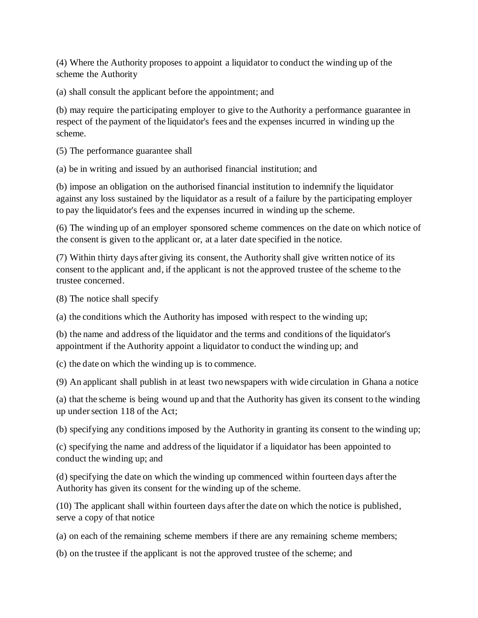(4) Where the Authority proposes to appoint a liquidator to conduct the winding up of the scheme the Authority

(a) shall consult the applicant before the appointment; and

(b) may require the participating employer to give to the Authority a performance guarantee in respect of the payment of the liquidator's fees and the expenses incurred in winding up the scheme.

(5) The performance guarantee shall

(a) be in writing and issued by an authorised financial institution; and

(b) impose an obligation on the authorised financial institution to indemnify the liquidator against any loss sustained by the liquidator as a result of a failure by the participating employer to pay the liquidator's fees and the expenses incurred in winding up the scheme.

(6) The winding up of an employer sponsored scheme commences on the date on which notice of the consent is given to the applicant or, at a later date specified in the notice.

(7) Within thirty days after giving its consent, the Authority shall give written notice of its consent to the applicant and, if the applicant is not the approved trustee of the scheme to the trustee concerned.

(8) The notice shall specify

(a) the conditions which the Authority has imposed with respect to the winding up;

(b) the name and address of the liquidator and the terms and conditions of the liquidator's appointment if the Authority appoint a liquidator to conduct the winding up; and

(c) the date on which the winding up is to commence.

(9) An applicant shall publish in at least two newspapers with wide circulation in Ghana a notice

(a) that the scheme is being wound up and that the Authority has given its consent to the winding up under section 118 of the Act;

(b) specifying any conditions imposed by the Authority in granting its consent to the winding up;

(c) specifying the name and address of the liquidator if a liquidator has been appointed to conduct the winding up; and

(d) specifying the date on which the winding up commenced within fourteen days after the Authority has given its consent for the winding up of the scheme.

(10) The applicant shall within fourteen days after the date on which the notice is published, serve a copy of that notice

(a) on each of the remaining scheme members if there are any remaining scheme members;

(b) on the trustee if the applicant is not the approved trustee of the scheme; and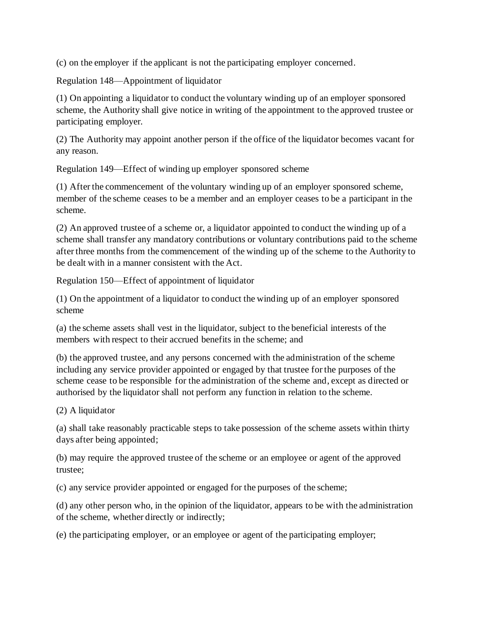(c) on the employer if the applicant is not the participating employer concerned.

Regulation 148—Appointment of liquidator

(1) On appointing a liquidator to conduct the voluntary winding up of an employer sponsored scheme, the Authority shall give notice in writing of the appointment to the approved trustee or participating employer.

(2) The Authority may appoint another person if the office of the liquidator becomes vacant for any reason.

Regulation 149—Effect of winding up employer sponsored scheme

(1) After the commencement of the voluntary winding up of an employer sponsored scheme, member of the scheme ceases to be a member and an employer ceases to be a participant in the scheme.

(2) An approved trustee of a scheme or, a liquidator appointed to conduct the winding up of a scheme shall transfer any mandatory contributions or voluntary contributions paid to the scheme after three months from the commencement of the winding up of the scheme to the Authority to be dealt with in a manner consistent with the Act.

Regulation 150—Effect of appointment of liquidator

(1) On the appointment of a liquidator to conduct the winding up of an employer sponsored scheme

(a) the scheme assets shall vest in the liquidator, subject to the beneficial interests of the members with respect to their accrued benefits in the scheme; and

(b) the approved trustee, and any persons concerned with the administration of the scheme including any service provider appointed or engaged by that trustee for the purposes of the scheme cease to be responsible for the administration of the scheme and, except as directed or authorised by the liquidator shall not perform any function in relation to the scheme.

(2) A liquidator

(a) shall take reasonably practicable steps to take possession of the scheme assets within thirty days after being appointed;

(b) may require the approved trustee of the scheme or an employee or agent of the approved trustee;

(c) any service provider appointed or engaged for the purposes of the scheme;

(d) any other person who, in the opinion of the liquidator, appears to be with the administration of the scheme, whether directly or indirectly;

(e) the participating employer, or an employee or agent of the participating employer;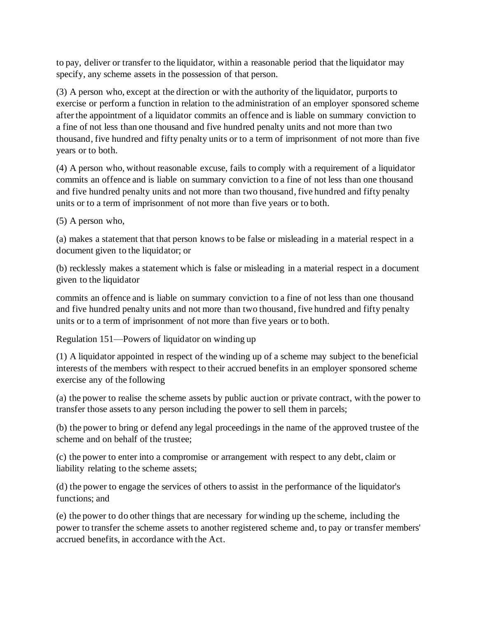to pay, deliver or transfer to the liquidator, within a reasonable period that the liquidator may specify, any scheme assets in the possession of that person.

(3) A person who, except at the direction or with the authority of the liquidator, purports to exercise or perform a function in relation to the administration of an employer sponsored scheme after the appointment of a liquidator commits an offence and is liable on summary conviction to a fine of not less than one thousand and five hundred penalty units and not more than two thousand, five hundred and fifty penalty units or to a term of imprisonment of not more than five years or to both.

(4) A person who, without reasonable excuse, fails to comply with a requirement of a liquidator commits an offence and is liable on summary conviction to a fine of not less than one thousand and five hundred penalty units and not more than two thousand, five hundred and fifty penalty units or to a term of imprisonment of not more than five years or to both.

(5) A person who,

(a) makes a statement that that person knows to be false or misleading in a material respect in a document given to the liquidator; or

(b) recklessly makes a statement which is false or misleading in a material respect in a document given to the liquidator

commits an offence and is liable on summary conviction to a fine of not less than one thousand and five hundred penalty units and not more than two thousand, five hundred and fifty penalty units or to a term of imprisonment of not more than five years or to both.

Regulation 151—Powers of liquidator on winding up

(1) A liquidator appointed in respect of the winding up of a scheme may subject to the beneficial interests of the members with respect to their accrued benefits in an employer sponsored scheme exercise any of the following

(a) the power to realise the scheme assets by public auction or private contract, with the power to transfer those assets to any person including the power to sell them in parcels;

(b) the power to bring or defend any legal proceedings in the name of the approved trustee of the scheme and on behalf of the trustee;

(c) the power to enter into a compromise or arrangement with respect to any debt, claim or liability relating to the scheme assets;

(d) the power to engage the services of others to assist in the performance of the liquidator's functions; and

(e) the power to do other things that are necessary for winding up the scheme, including the power to transfer the scheme assets to another registered scheme and, to pay or transfer members' accrued benefits, in accordance with the Act.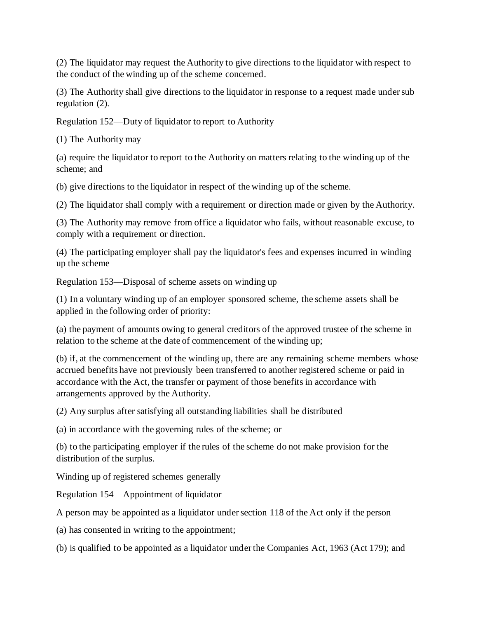(2) The liquidator may request the Authority to give directions to the liquidator with respect to the conduct of the winding up of the scheme concerned.

(3) The Authority shall give directions to the liquidator in response to a request made under sub regulation (2).

Regulation 152—Duty of liquidator to report to Authority

(1) The Authority may

(a) require the liquidator to report to the Authority on matters relating to the winding up of the scheme; and

(b) give directions to the liquidator in respect of the winding up of the scheme.

(2) The liquidator shall comply with a requirement or direction made or given by the Authority.

(3) The Authority may remove from office a liquidator who fails, without reasonable excuse, to comply with a requirement or direction.

(4) The participating employer shall pay the liquidator's fees and expenses incurred in winding up the scheme

Regulation 153—Disposal of scheme assets on winding up

(1) In a voluntary winding up of an employer sponsored scheme, the scheme assets shall be applied in the following order of priority:

(a) the payment of amounts owing to general creditors of the approved trustee of the scheme in relation to the scheme at the date of commencement of the winding up;

(b) if, at the commencement of the winding up, there are any remaining scheme members whose accrued benefits have not previously been transferred to another registered scheme or paid in accordance with the Act, the transfer or payment of those benefits in accordance with arrangements approved by the Authority.

(2) Any surplus after satisfying all outstanding liabilities shall be distributed

(a) in accordance with the governing rules of the scheme; or

(b) to the participating employer if the rules of the scheme do not make provision for the distribution of the surplus.

Winding up of registered schemes generally

Regulation 154—Appointment of liquidator

A person may be appointed as a liquidator under section 118 of the Act only if the person

(a) has consented in writing to the appointment;

(b) is qualified to be appointed as a liquidator under the Companies Act, 1963 (Act 179); and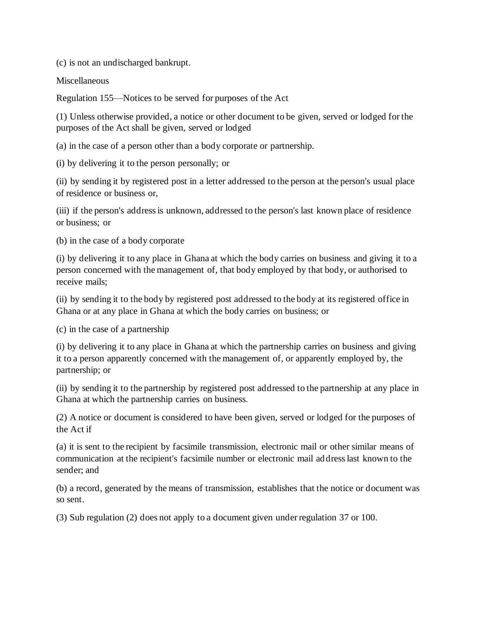(c) is not an undischarged bankrupt.

**Miscellaneous** 

Regulation 155—Notices to be served for purposes of the Act

(1) Unless otherwise provided, a notice or other document to be given, served or lodged for the purposes of the Act shall be given, served or lodged

(a) in the case of a person other than a body corporate or partnership.

(i) by delivering it to the person personally; or

(ii) by sending it by registered post in a letter addressed to the person at the person's usual place of residence or business or,

(iii) if the person's address is unknown, addressed to the person's last known place of residence or business; or

(b) in the case of a body corporate

(i) by delivering it to any place in Ghana at which the body carries on business and giving it to a person concerned with the management of, that body employed by that body, or authorised to receive mails;

(ii) by sending it to the body by registered post addressed to the body at its registered office in Ghana or at any place in Ghana at which the body carries on business; or

(c) in the case of a partnership

(i) by delivering it to any place in Ghana at which the partnership carries on business and giving it to a person apparently concerned with the management of, or apparently employed by, the partnership; or

(ii) by sending it to the partnership by registered post addressed to the partnership at any place in Ghana at which the partnership carries on business.

(2) A notice or document is considered to have been given, served or lodged for the purposes of the Act if

(a) it is sent to the recipient by facsimile transmission, electronic mail or other similar means of communication at the recipient's facsimile number or electronic mail address last known to the sender; and

(b) a record, generated by the means of transmission, establishes that the notice or document was so sent.

(3) Sub regulation (2) does not apply to a document given under regulation 37 or 100.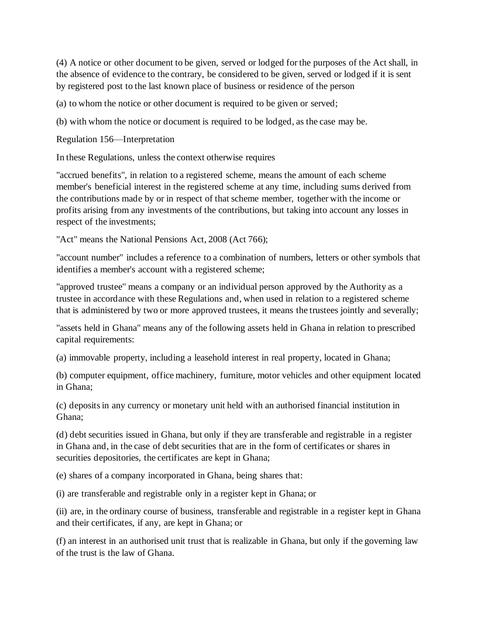(4) A notice or other document to be given, served or lodged for the purposes of the Act shall, in the absence of evidence to the contrary, be considered to be given, served or lodged if it is sent by registered post to the last known place of business or residence of the person

(a) to whom the notice or other document is required to be given or served;

(b) with whom the notice or document is required to be lodged, as the case may be.

Regulation 156—Interpretation

In these Regulations, unless the context otherwise requires

"accrued benefits", in relation to a registered scheme, means the amount of each scheme member's beneficial interest in the registered scheme at any time, including sums derived from the contributions made by or in respect of that scheme member, together with the income or profits arising from any investments of the contributions, but taking into account any losses in respect of the investments;

"Act" means the National Pensions Act, 2008 (Act 766);

"account number" includes a reference to a combination of numbers, letters or other symbols that identifies a member's account with a registered scheme;

"approved trustee" means a company or an individual person approved by the Authority as a trustee in accordance with these Regulations and, when used in relation to a registered scheme that is administered by two or more approved trustees, it means the trustees jointly and severally;

"assets held in Ghana" means any of the following assets held in Ghana in relation to prescribed capital requirements:

(a) immovable property, including a leasehold interest in real property, located in Ghana;

(b) computer equipment, office machinery, furniture, motor vehicles and other equipment located in Ghana;

(c) deposits in any currency or monetary unit held with an authorised financial institution in Ghana;

(d) debt securities issued in Ghana, but only if they are transferable and registrable in a register in Ghana and, in the case of debt securities that are in the form of certificates or shares in securities depositories, the certificates are kept in Ghana;

(e) shares of a company incorporated in Ghana, being shares that:

(i) are transferable and registrable only in a register kept in Ghana; or

(ii) are, in the ordinary course of business, transferable and registrable in a register kept in Ghana and their certificates, if any, are kept in Ghana; or

(f) an interest in an authorised unit trust that is realizable in Ghana, but only if the governing law of the trust is the law of Ghana.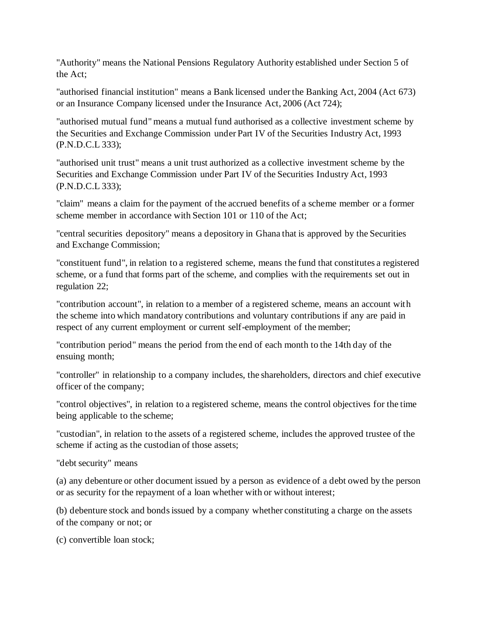"Authority" means the National Pensions Regulatory Authority established under Section 5 of the Act;

"authorised financial institution" means a Bank licensed under the Banking Act, 2004 (Act 673) or an Insurance Company licensed under the Insurance Act, 2006 (Act 724);

"authorised mutual fund" means a mutual fund authorised as a collective investment scheme by the Securities and Exchange Commission under Part IV of the Securities Industry Act, 1993 (P.N.D.C.L 333);

"authorised unit trust" means a unit trust authorized as a collective investment scheme by the Securities and Exchange Commission under Part IV of the Securities Industry Act, 1993 (P.N.D.C.L 333);

"claim" means a claim for the payment of the accrued benefits of a scheme member or a former scheme member in accordance with Section 101 or 110 of the Act;

"central securities depository" means a depository in Ghana that is approved by the Securities and Exchange Commission;

"constituent fund", in relation to a registered scheme, means the fund that constitutes a registered scheme, or a fund that forms part of the scheme, and complies with the requirements set out in regulation 22;

"contribution account", in relation to a member of a registered scheme, means an account with the scheme into which mandatory contributions and voluntary contributions if any are paid in respect of any current employment or current self-employment of the member;

"contribution period" means the period from the end of each month to the 14th day of the ensuing month;

"controller" in relationship to a company includes, the shareholders, directors and chief executive officer of the company;

"control objectives", in relation to a registered scheme, means the control objectives for the time being applicable to the scheme;

"custodian", in relation to the assets of a registered scheme, includes the approved trustee of the scheme if acting as the custodian of those assets;

"debt security" means

(a) any debenture or other document issued by a person as evidence of a debt owed by the person or as security for the repayment of a loan whether with or without interest;

(b) debenture stock and bonds issued by a company whether constituting a charge on the assets of the company or not; or

(c) convertible loan stock;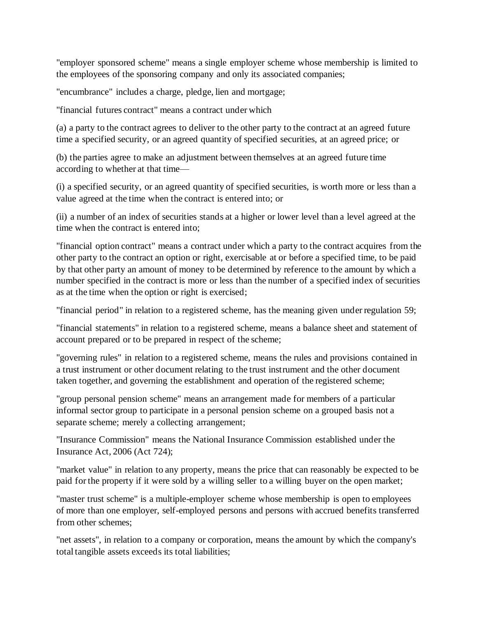"employer sponsored scheme" means a single employer scheme whose membership is limited to the employees of the sponsoring company and only its associated companies;

"encumbrance" includes a charge, pledge, lien and mortgage;

"financial futures contract" means a contract under which

(a) a party to the contract agrees to deliver to the other party to the contract at an agreed future time a specified security, or an agreed quantity of specified securities, at an agreed price; or

(b) the parties agree to make an adjustment between themselves at an agreed future time according to whether at that time—

(i) a specified security, or an agreed quantity of specified securities, is worth more or less than a value agreed at the time when the contract is entered into; or

(ii) a number of an index of securities stands at a higher or lower level than a level agreed at the time when the contract is entered into;

"financial option contract" means a contract under which a party to the contract acquires from the other party to the contract an option or right, exercisable at or before a specified time, to be paid by that other party an amount of money to be determined by reference to the amount by which a number specified in the contract is more or less than the number of a specified index of securities as at the time when the option or right is exercised;

"financial period" in relation to a registered scheme, has the meaning given under regulation 59;

"financial statements" in relation to a registered scheme, means a balance sheet and statement of account prepared or to be prepared in respect of the scheme;

"governing rules" in relation to a registered scheme, means the rules and provisions contained in a trust instrument or other document relating to the trust instrument and the other document taken together, and governing the establishment and operation of the registered scheme;

"group personal pension scheme" means an arrangement made for members of a particular informal sector group to participate in a personal pension scheme on a grouped basis not a separate scheme; merely a collecting arrangement;

"Insurance Commission" means the National Insurance Commission established under the Insurance Act, 2006 (Act 724);

"market value" in relation to any property, means the price that can reasonably be expected to be paid for the property if it were sold by a willing seller to a willing buyer on the open market;

"master trust scheme" is a multiple-employer scheme whose membership is open to employees of more than one employer, self-employed persons and persons with accrued benefits transferred from other schemes;

"net assets", in relation to a company or corporation, means the amount by which the company's total tangible assets exceeds its total liabilities;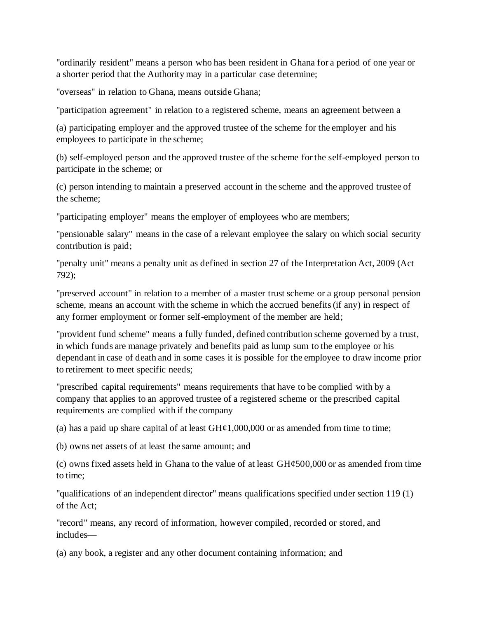"ordinarily resident" means a person who has been resident in Ghana for a period of one year or a shorter period that the Authority may in a particular case determine;

"overseas" in relation to Ghana, means outside Ghana;

"participation agreement" in relation to a registered scheme, means an agreement between a

(a) participating employer and the approved trustee of the scheme for the employer and his employees to participate in the scheme;

(b) self-employed person and the approved trustee of the scheme for the self-employed person to participate in the scheme; or

(c) person intending to maintain a preserved account in the scheme and the approved trustee of the scheme;

"participating employer" means the employer of employees who are members;

"pensionable salary" means in the case of a relevant employee the salary on which social security contribution is paid;

"penalty unit" means a penalty unit as defined in section 27 of the Interpretation Act, 2009 (Act 792);

"preserved account" in relation to a member of a master trust scheme or a group personal pension scheme, means an account with the scheme in which the accrued benefits (if any) in respect of any former employment or former self-employment of the member are held;

"provident fund scheme" means a fully funded, defined contribution scheme governed by a trust, in which funds are manage privately and benefits paid as lump sum to the employee or his dependant in case of death and in some cases it is possible for the employee to draw income prior to retirement to meet specific needs;

"prescribed capital requirements" means requirements that have to be complied with by a company that applies to an approved trustee of a registered scheme or the prescribed capital requirements are complied with if the company

(a) has a paid up share capital of at least  $GH\varphi1,000,000$  or as amended from time to time;

(b) owns net assets of at least the same amount; and

(c) owns fixed assets held in Ghana to the value of at least  $GH\epsilon 500,000$  or as amended from time to time;

"qualifications of an independent director" means qualifications specified under section 119 (1) of the Act;

"record" means, any record of information, however compiled, recorded or stored, and includes—

(a) any book, a register and any other document containing information; and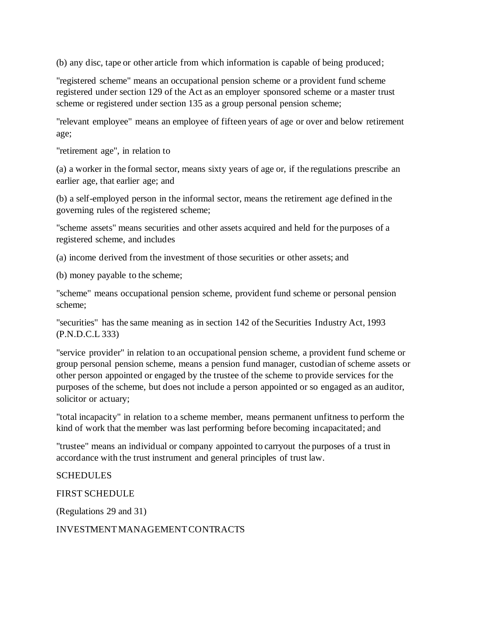(b) any disc, tape or other article from which information is capable of being produced;

"registered scheme" means an occupational pension scheme or a provident fund scheme registered under section 129 of the Act as an employer sponsored scheme or a master trust scheme or registered under section 135 as a group personal pension scheme;

"relevant employee" means an employee of fifteen years of age or over and below retirement age;

"retirement age", in relation to

(a) a worker in the formal sector, means sixty years of age or, if the regulations prescribe an earlier age, that earlier age; and

(b) a self-employed person in the informal sector, means the retirement age defined in the governing rules of the registered scheme;

"scheme assets" means securities and other assets acquired and held for the purposes of a registered scheme, and includes

(a) income derived from the investment of those securities or other assets; and

(b) money payable to the scheme;

"scheme" means occupational pension scheme, provident fund scheme or personal pension scheme;

"securities" has the same meaning as in section 142 of the Securities Industry Act, 1993 (P.N.D.C.L 333)

"service provider" in relation to an occupational pension scheme, a provident fund scheme or group personal pension scheme, means a pension fund manager, custodian of scheme assets or other person appointed or engaged by the trustee of the scheme to provide services for the purposes of the scheme, but does not include a person appointed or so engaged as an auditor, solicitor or actuary;

"total incapacity" in relation to a scheme member, means permanent unfitness to perform the kind of work that the member was last performing before becoming incapacitated; and

"trustee" means an individual or company appointed to carryout the purposes of a trust in accordance with the trust instrument and general principles of trust law.

#### **SCHEDULES**

FIRST SCHEDULE

(Regulations 29 and 31)

INVESTMENT MANAGEMENT CONTRACTS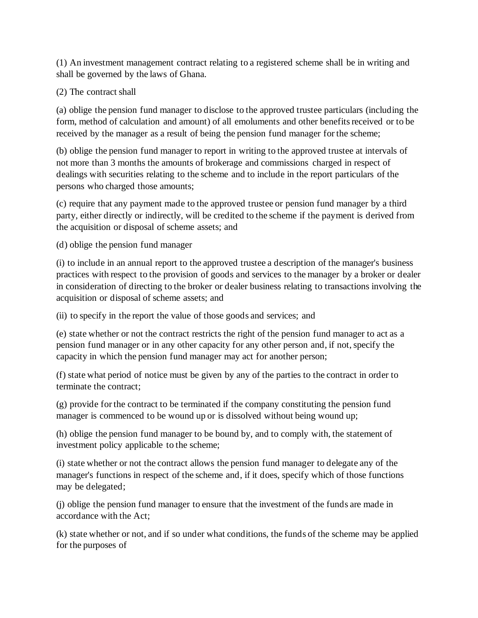(1) An investment management contract relating to a registered scheme shall be in writing and shall be governed by the laws of Ghana.

### (2) The contract shall

(a) oblige the pension fund manager to disclose to the approved trustee particulars (including the form, method of calculation and amount) of all emoluments and other benefits received or to be received by the manager as a result of being the pension fund manager for the scheme;

(b) oblige the pension fund manager to report in writing to the approved trustee at intervals of not more than 3 months the amounts of brokerage and commissions charged in respect of dealings with securities relating to the scheme and to include in the report particulars of the persons who charged those amounts;

(c) require that any payment made to the approved trustee or pension fund manager by a third party, either directly or indirectly, will be credited to the scheme if the payment is derived from the acquisition or disposal of scheme assets; and

(d) oblige the pension fund manager

(i) to include in an annual report to the approved trustee a description of the manager's business practices with respect to the provision of goods and services to the manager by a broker or dealer in consideration of directing to the broker or dealer business relating to transactions involving the acquisition or disposal of scheme assets; and

(ii) to specify in the report the value of those goods and services; and

(e) state whether or not the contract restricts the right of the pension fund manager to act as a pension fund manager or in any other capacity for any other person and, if not, specify the capacity in which the pension fund manager may act for another person;

(f) state what period of notice must be given by any of the parties to the contract in order to terminate the contract;

(g) provide for the contract to be terminated if the company constituting the pension fund manager is commenced to be wound up or is dissolved without being wound up;

(h) oblige the pension fund manager to be bound by, and to comply with, the statement of investment policy applicable to the scheme;

(i) state whether or not the contract allows the pension fund manager to delegate any of the manager's functions in respect of the scheme and, if it does, specify which of those functions may be delegated;

(j) oblige the pension fund manager to ensure that the investment of the funds are made in accordance with the Act;

(k) state whether or not, and if so under what conditions, the funds of the scheme may be applied for the purposes of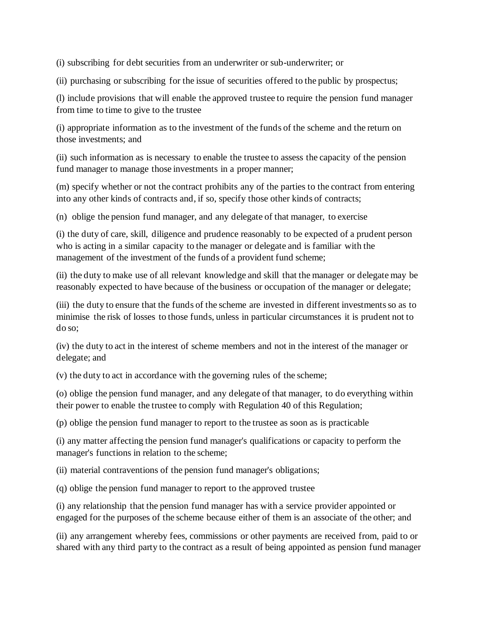(i) subscribing for debt securities from an underwriter or sub-underwriter; or

(ii) purchasing or subscribing for the issue of securities offered to the public by prospectus;

(l) include provisions that will enable the approved trustee to require the pension fund manager from time to time to give to the trustee

(i) appropriate information as to the investment of the funds of the scheme and the return on those investments; and

(ii) such information as is necessary to enable the trustee to assess the capacity of the pension fund manager to manage those investments in a proper manner;

(m) specify whether or not the contract prohibits any of the parties to the contract from entering into any other kinds of contracts and, if so, specify those other kinds of contracts;

(n) oblige the pension fund manager, and any delegate of that manager, to exercise

(i) the duty of care, skill, diligence and prudence reasonably to be expected of a prudent person who is acting in a similar capacity to the manager or delegate and is familiar with the management of the investment of the funds of a provident fund scheme;

(ii) the duty to make use of all relevant knowledge and skill that the manager or delegate may be reasonably expected to have because of the business or occupation of the manager or delegate;

(iii) the duty to ensure that the funds of the scheme are invested in different investments so as to minimise the risk of losses to those funds, unless in particular circumstances it is prudent not to do so;

(iv) the duty to act in the interest of scheme members and not in the interest of the manager or delegate; and

(v) the duty to act in accordance with the governing rules of the scheme;

(o) oblige the pension fund manager, and any delegate of that manager, to do everything within their power to enable the trustee to comply with Regulation 40 of this Regulation;

(p) oblige the pension fund manager to report to the trustee as soon as is practicable

(i) any matter affecting the pension fund manager's qualifications or capacity to perform the manager's functions in relation to the scheme;

(ii) material contraventions of the pension fund manager's obligations;

(q) oblige the pension fund manager to report to the approved trustee

(i) any relationship that the pension fund manager has with a service provider appointed or engaged for the purposes of the scheme because either of them is an associate of the other; and

(ii) any arrangement whereby fees, commissions or other payments are received from, paid to or shared with any third party to the contract as a result of being appointed as pension fund manager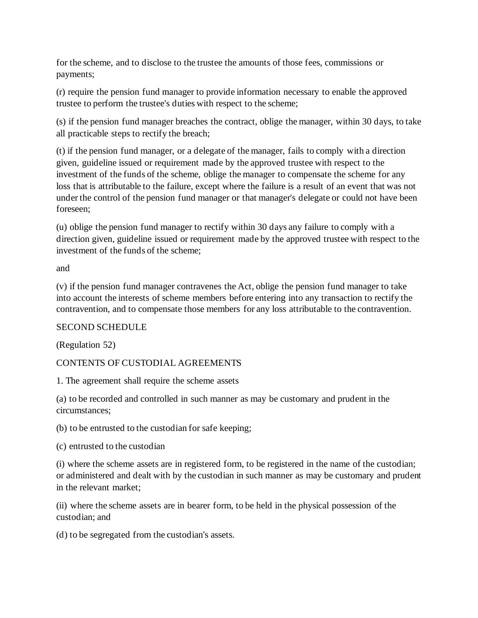for the scheme, and to disclose to the trustee the amounts of those fees, commissions or payments;

(r) require the pension fund manager to provide information necessary to enable the approved trustee to perform the trustee's duties with respect to the scheme;

(s) if the pension fund manager breaches the contract, oblige the manager, within 30 days, to take all practicable steps to rectify the breach;

(t) if the pension fund manager, or a delegate of the manager, fails to comply with a direction given, guideline issued or requirement made by the approved trustee with respect to the investment of the funds of the scheme, oblige the manager to compensate the scheme for any loss that is attributable to the failure, except where the failure is a result of an event that was not under the control of the pension fund manager or that manager's delegate or could not have been foreseen;

(u) oblige the pension fund manager to rectify within 30 days any failure to comply with a direction given, guideline issued or requirement made by the approved trustee with respect to the investment of the funds of the scheme;

and

(v) if the pension fund manager contravenes the Act, oblige the pension fund manager to take into account the interests of scheme members before entering into any transaction to rectify the contravention, and to compensate those members for any loss attributable to the contravention.

#### SECOND SCHEDULE

(Regulation 52)

## CONTENTS OF CUSTODIAL AGREEMENTS

1. The agreement shall require the scheme assets

(a) to be recorded and controlled in such manner as may be customary and prudent in the circumstances;

(b) to be entrusted to the custodian for safe keeping;

(c) entrusted to the custodian

(i) where the scheme assets are in registered form, to be registered in the name of the custodian; or administered and dealt with by the custodian in such manner as may be customary and prudent in the relevant market;

(ii) where the scheme assets are in bearer form, to be held in the physical possession of the custodian; and

(d) to be segregated from the custodian's assets.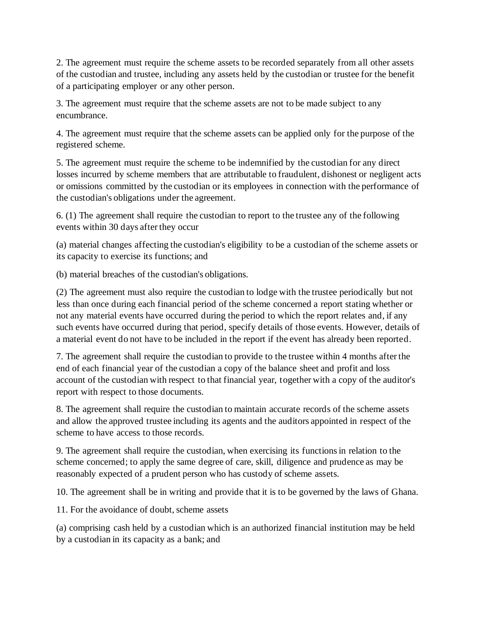2. The agreement must require the scheme assets to be recorded separately from all other assets of the custodian and trustee, including any assets held by the custodian or trustee for the benefit of a participating employer or any other person.

3. The agreement must require that the scheme assets are not to be made subject to any encumbrance.

4. The agreement must require that the scheme assets can be applied only for the purpose of the registered scheme.

5. The agreement must require the scheme to be indemnified by the custodian for any direct losses incurred by scheme members that are attributable to fraudulent, dishonest or negligent acts or omissions committed by the custodian or its employees in connection with the performance of the custodian's obligations under the agreement.

6. (1) The agreement shall require the custodian to report to the trustee any of the following events within 30 days after they occur

(a) material changes affecting the custodian's eligibility to be a custodian of the scheme assets or its capacity to exercise its functions; and

(b) material breaches of the custodian's obligations.

(2) The agreement must also require the custodian to lodge with the trustee periodically but not less than once during each financial period of the scheme concerned a report stating whether or not any material events have occurred during the period to which the report relates and, if any such events have occurred during that period, specify details of those events. However, details of a material event do not have to be included in the report if the event has already been reported.

7. The agreement shall require the custodian to provide to the trustee within 4 months after the end of each financial year of the custodian a copy of the balance sheet and profit and loss account of the custodian with respect to that financial year, together with a copy of the auditor's report with respect to those documents.

8. The agreement shall require the custodian to maintain accurate records of the scheme assets and allow the approved trustee including its agents and the auditors appointed in respect of the scheme to have access to those records.

9. The agreement shall require the custodian, when exercising its functions in relation to the scheme concerned; to apply the same degree of care, skill, diligence and prudence as may be reasonably expected of a prudent person who has custody of scheme assets.

10. The agreement shall be in writing and provide that it is to be governed by the laws of Ghana.

11. For the avoidance of doubt, scheme assets

(a) comprising cash held by a custodian which is an authorized financial institution may be held by a custodian in its capacity as a bank; and